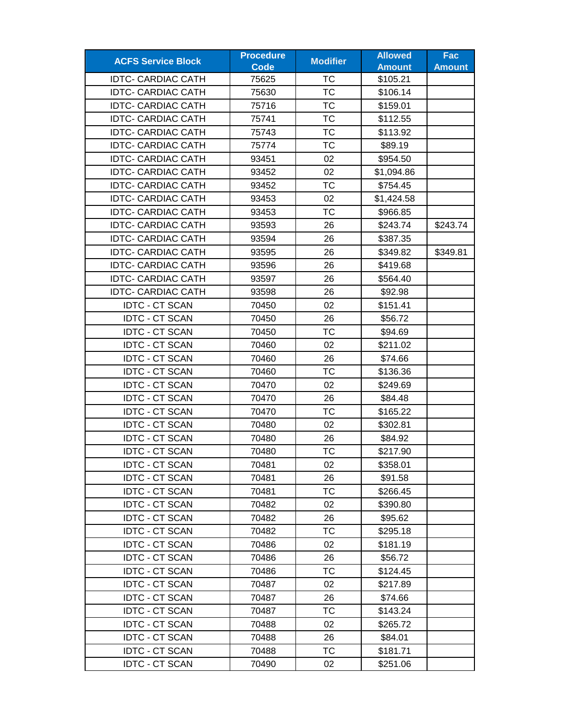| <b>ACFS Service Block</b> | <b>Procedure</b> | <b>Modifier</b> | <b>Allowed</b> | Fac           |
|---------------------------|------------------|-----------------|----------------|---------------|
|                           | <b>Code</b>      |                 | <b>Amount</b>  | <b>Amount</b> |
| <b>IDTC- CARDIAC CATH</b> | 75625            | ТC              | \$105.21       |               |
| <b>IDTC- CARDIAC CATH</b> | 75630            | TC              | \$106.14       |               |
| <b>IDTC- CARDIAC CATH</b> | 75716            | <b>TC</b>       | \$159.01       |               |
| <b>IDTC- CARDIAC CATH</b> | 75741            | <b>TC</b>       | \$112.55       |               |
| <b>IDTC- CARDIAC CATH</b> | 75743            | ТC              | \$113.92       |               |
| <b>IDTC- CARDIAC CATH</b> | 75774            | <b>TC</b>       | \$89.19        |               |
| <b>IDTC- CARDIAC CATH</b> | 93451            | 02              | \$954.50       |               |
| <b>IDTC- CARDIAC CATH</b> | 93452            | 02              | \$1,094.86     |               |
| <b>IDTC- CARDIAC CATH</b> | 93452            | <b>TC</b>       | \$754.45       |               |
| <b>IDTC- CARDIAC CATH</b> | 93453            | 02              | \$1,424.58     |               |
| <b>IDTC- CARDIAC CATH</b> | 93453            | TC              | \$966.85       |               |
| <b>IDTC- CARDIAC CATH</b> | 93593            | 26              | \$243.74       | \$243.74      |
| <b>IDTC- CARDIAC CATH</b> | 93594            | 26              | \$387.35       |               |
| <b>IDTC- CARDIAC CATH</b> | 93595            | 26              | \$349.82       | \$349.81      |
| <b>IDTC- CARDIAC CATH</b> | 93596            | 26              | \$419.68       |               |
| <b>IDTC- CARDIAC CATH</b> | 93597            | 26              | \$564.40       |               |
| <b>IDTC- CARDIAC CATH</b> | 93598            | 26              | \$92.98        |               |
| <b>IDTC - CT SCAN</b>     | 70450            | 02              | \$151.41       |               |
| <b>IDTC - CT SCAN</b>     | 70450            | 26              | \$56.72        |               |
| <b>IDTC - CT SCAN</b>     | 70450            | <b>TC</b>       | \$94.69        |               |
| <b>IDTC - CT SCAN</b>     | 70460            | 02              | \$211.02       |               |
| <b>IDTC - CT SCAN</b>     | 70460            | 26              | \$74.66        |               |
| <b>IDTC - CT SCAN</b>     | 70460            | ТC              | \$136.36       |               |
| <b>IDTC - CT SCAN</b>     | 70470            | 02              | \$249.69       |               |
| <b>IDTC - CT SCAN</b>     | 70470            | 26              | \$84.48        |               |
| <b>IDTC - CT SCAN</b>     | 70470            | ТC              | \$165.22       |               |
| <b>IDTC - CT SCAN</b>     | 70480            | 02              | \$302.81       |               |
| <b>IDTC - CT SCAN</b>     | 70480            | 26              | \$84.92        |               |
| <b>IDTC - CT SCAN</b>     | 70480            | <b>TC</b>       | \$217.90       |               |
| <b>IDTC - CT SCAN</b>     | 70481            | 02              | \$358.01       |               |
| <b>IDTC - CT SCAN</b>     | 70481            | 26              | \$91.58        |               |
| <b>IDTC - CT SCAN</b>     | 70481            | <b>TC</b>       | \$266.45       |               |
| <b>IDTC - CT SCAN</b>     | 70482            | 02              | \$390.80       |               |
| <b>IDTC - CT SCAN</b>     | 70482            | 26              | \$95.62        |               |
| <b>IDTC - CT SCAN</b>     | 70482            | <b>TC</b>       | \$295.18       |               |
| <b>IDTC - CT SCAN</b>     | 70486            | 02              | \$181.19       |               |
| <b>IDTC - CT SCAN</b>     | 70486            | 26              | \$56.72        |               |
| <b>IDTC - CT SCAN</b>     | 70486            | ТC              | \$124.45       |               |
| <b>IDTC - CT SCAN</b>     | 70487            | 02              | \$217.89       |               |
| <b>IDTC - CT SCAN</b>     | 70487            | 26              | \$74.66        |               |
| <b>IDTC - CT SCAN</b>     | 70487            | ТC              | \$143.24       |               |
| <b>IDTC - CT SCAN</b>     | 70488            | 02              | \$265.72       |               |
| <b>IDTC - CT SCAN</b>     | 70488            | 26              | \$84.01        |               |
| <b>IDTC - CT SCAN</b>     | 70488            | <b>TC</b>       | \$181.71       |               |
| <b>IDTC - CT SCAN</b>     | 70490            | 02              | \$251.06       |               |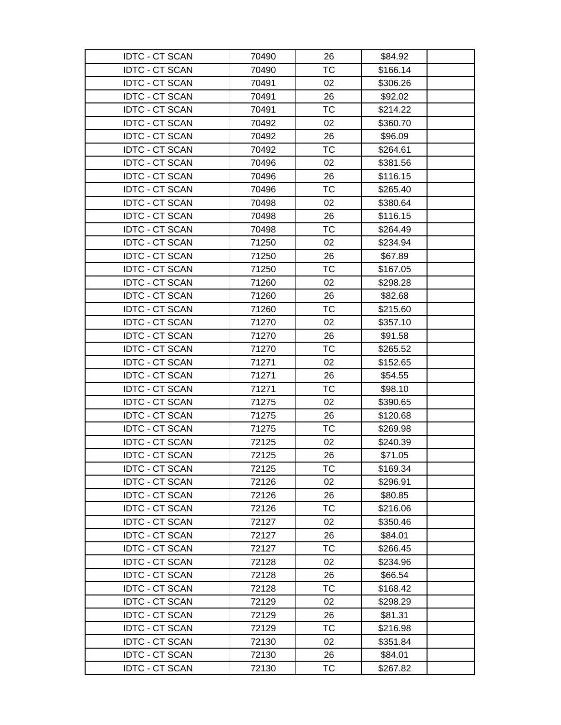| <b>IDTC - CT SCAN</b> | 70490 | 26        | \$84.92  |  |
|-----------------------|-------|-----------|----------|--|
| <b>IDTC - CT SCAN</b> | 70490 | <b>TC</b> | \$166.14 |  |
| <b>IDTC - CT SCAN</b> | 70491 | 02        | \$306.26 |  |
| <b>IDTC - CT SCAN</b> | 70491 | 26        | \$92.02  |  |
| <b>IDTC - CT SCAN</b> | 70491 | <b>TC</b> | \$214.22 |  |
| <b>IDTC - CT SCAN</b> | 70492 | 02        | \$360.70 |  |
| <b>IDTC - CT SCAN</b> | 70492 | 26        | \$96.09  |  |
| <b>IDTC - CT SCAN</b> | 70492 | <b>TC</b> | \$264.61 |  |
| <b>IDTC - CT SCAN</b> | 70496 | 02        | \$381.56 |  |
| <b>IDTC - CT SCAN</b> | 70496 | 26        | \$116.15 |  |
| <b>IDTC - CT SCAN</b> | 70496 | <b>TC</b> | \$265.40 |  |
| <b>IDTC - CT SCAN</b> | 70498 | 02        | \$380.64 |  |
| <b>IDTC - CT SCAN</b> | 70498 | 26        | \$116.15 |  |
| <b>IDTC - CT SCAN</b> | 70498 | <b>TC</b> | \$264.49 |  |
| <b>IDTC - CT SCAN</b> | 71250 | 02        | \$234.94 |  |
| <b>IDTC - CT SCAN</b> | 71250 | 26        | \$67.89  |  |
| <b>IDTC - CT SCAN</b> | 71250 | <b>TC</b> | \$167.05 |  |
| <b>IDTC - CT SCAN</b> | 71260 | 02        | \$298.28 |  |
| <b>IDTC - CT SCAN</b> | 71260 | 26        | \$82.68  |  |
| <b>IDTC - CT SCAN</b> | 71260 | <b>TC</b> | \$215.60 |  |
| <b>IDTC - CT SCAN</b> | 71270 | 02        | \$357.10 |  |
| <b>IDTC - CT SCAN</b> | 71270 | 26        | \$91.58  |  |
| <b>IDTC - CT SCAN</b> | 71270 | <b>TC</b> | \$265.52 |  |
| <b>IDTC - CT SCAN</b> | 71271 | 02        | \$152.65 |  |
| <b>IDTC - CT SCAN</b> | 71271 | 26        | \$54.55  |  |
| <b>IDTC - CT SCAN</b> | 71271 | TC        | \$98.10  |  |
| <b>IDTC - CT SCAN</b> | 71275 | 02        | \$390.65 |  |
| <b>IDTC - CT SCAN</b> | 71275 | 26        | \$120.68 |  |
| <b>IDTC - CT SCAN</b> | 71275 | TC        | \$269.98 |  |
| <b>IDTC - CT SCAN</b> | 72125 | 02        | \$240.39 |  |
| <b>IDTC - CT SCAN</b> | 72125 | 26        | \$71.05  |  |
| <b>IDTC - CT SCAN</b> | 72125 | тс        | \$169.34 |  |
| <b>IDTC - CT SCAN</b> | 72126 | 02        | \$296.91 |  |
| <b>IDTC - CT SCAN</b> | 72126 | 26        | \$80.85  |  |
| <b>IDTC - CT SCAN</b> | 72126 | <b>TC</b> | \$216.06 |  |
| <b>IDTC - CT SCAN</b> | 72127 | 02        | \$350.46 |  |
| <b>IDTC - CT SCAN</b> | 72127 | 26        | \$84.01  |  |
| <b>IDTC - CT SCAN</b> | 72127 | TC        | \$266.45 |  |
| <b>IDTC - CT SCAN</b> | 72128 | 02        | \$234.96 |  |
| <b>IDTC - CT SCAN</b> | 72128 | 26        | \$66.54  |  |
| <b>IDTC - CT SCAN</b> | 72128 | ТC        | \$168.42 |  |
| <b>IDTC - CT SCAN</b> | 72129 | 02        | \$298.29 |  |
| <b>IDTC - CT SCAN</b> | 72129 | 26        | \$81.31  |  |
| <b>IDTC - CT SCAN</b> | 72129 | TC        | \$216.98 |  |
| <b>IDTC - CT SCAN</b> | 72130 | 02        | \$351.84 |  |
| <b>IDTC - CT SCAN</b> | 72130 | 26        | \$84.01  |  |
| <b>IDTC - CT SCAN</b> | 72130 | ТC        | \$267.82 |  |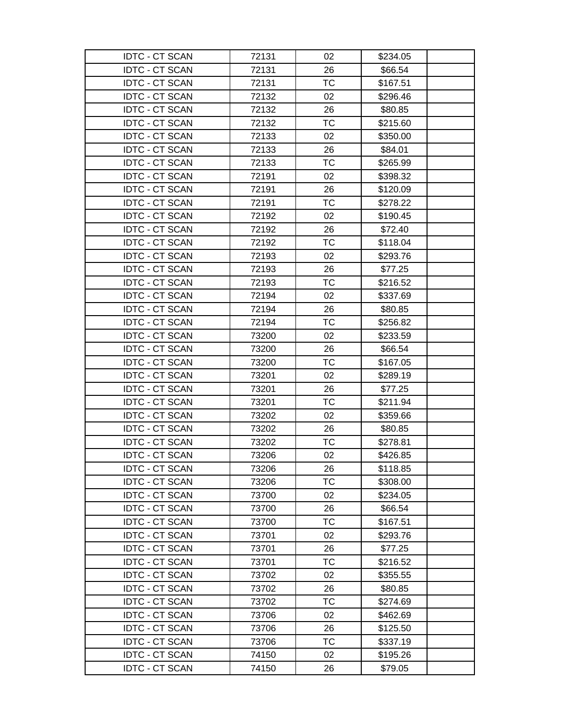| <b>IDTC - CT SCAN</b> | 72131 | 02        | \$234.05 |  |
|-----------------------|-------|-----------|----------|--|
| <b>IDTC - CT SCAN</b> | 72131 | 26        | \$66.54  |  |
| <b>IDTC - CT SCAN</b> | 72131 | <b>TC</b> | \$167.51 |  |
| <b>IDTC - CT SCAN</b> | 72132 | 02        | \$296.46 |  |
| <b>IDTC - CT SCAN</b> | 72132 | 26        | \$80.85  |  |
| <b>IDTC - CT SCAN</b> | 72132 | ТC        | \$215.60 |  |
| <b>IDTC - CT SCAN</b> | 72133 | 02        | \$350.00 |  |
| <b>IDTC - CT SCAN</b> | 72133 | 26        | \$84.01  |  |
| <b>IDTC - CT SCAN</b> | 72133 | <b>TC</b> | \$265.99 |  |
| <b>IDTC - CT SCAN</b> | 72191 | 02        | \$398.32 |  |
| <b>IDTC - CT SCAN</b> | 72191 | 26        | \$120.09 |  |
| <b>IDTC - CT SCAN</b> | 72191 | TC        | \$278.22 |  |
| <b>IDTC - CT SCAN</b> | 72192 | 02        | \$190.45 |  |
| <b>IDTC - CT SCAN</b> | 72192 | 26        | \$72.40  |  |
| <b>IDTC - CT SCAN</b> | 72192 | TC        | \$118.04 |  |
| <b>IDTC - CT SCAN</b> | 72193 | 02        | \$293.76 |  |
| <b>IDTC - CT SCAN</b> | 72193 | 26        | \$77.25  |  |
| <b>IDTC - CT SCAN</b> | 72193 | <b>TC</b> | \$216.52 |  |
| <b>IDTC - CT SCAN</b> | 72194 | 02        | \$337.69 |  |
| <b>IDTC - CT SCAN</b> | 72194 | 26        | \$80.85  |  |
| <b>IDTC - CT SCAN</b> | 72194 | <b>TC</b> | \$256.82 |  |
| <b>IDTC - CT SCAN</b> | 73200 | 02        | \$233.59 |  |
| <b>IDTC - CT SCAN</b> | 73200 | 26        | \$66.54  |  |
| <b>IDTC - CT SCAN</b> | 73200 | <b>TC</b> | \$167.05 |  |
| <b>IDTC - CT SCAN</b> | 73201 | 02        | \$289.19 |  |
| <b>IDTC - CT SCAN</b> | 73201 | 26        | \$77.25  |  |
| <b>IDTC - CT SCAN</b> | 73201 | <b>TC</b> | \$211.94 |  |
| <b>IDTC - CT SCAN</b> | 73202 | 02        | \$359.66 |  |
| <b>IDTC - CT SCAN</b> | 73202 | 26        | \$80.85  |  |
| <b>IDTC - CT SCAN</b> | 73202 | TC        | \$278.81 |  |
| <b>IDTC - CT SCAN</b> | 73206 | 02        | \$426.85 |  |
| <b>IDTC - CT SCAN</b> | 73206 | 26        | \$118.85 |  |
| <b>IDTC - CT SCAN</b> | 73206 | <b>TC</b> | \$308.00 |  |
| <b>IDTC - CT SCAN</b> | 73700 | 02        | \$234.05 |  |
| <b>IDTC - CT SCAN</b> | 73700 | 26        | \$66.54  |  |
| <b>IDTC - CT SCAN</b> | 73700 | <b>TC</b> | \$167.51 |  |
| <b>IDTC - CT SCAN</b> | 73701 | 02        | \$293.76 |  |
| <b>IDTC - CT SCAN</b> | 73701 | 26        | \$77.25  |  |
| <b>IDTC - CT SCAN</b> | 73701 | <b>TC</b> | \$216.52 |  |
| <b>IDTC - CT SCAN</b> | 73702 | 02        | \$355.55 |  |
| <b>IDTC - CT SCAN</b> | 73702 | 26        | \$80.85  |  |
| <b>IDTC - CT SCAN</b> | 73702 | ТC        | \$274.69 |  |
| <b>IDTC - CT SCAN</b> | 73706 | 02        | \$462.69 |  |
| <b>IDTC - CT SCAN</b> | 73706 | 26        | \$125.50 |  |
| <b>IDTC - CT SCAN</b> | 73706 | <b>TC</b> | \$337.19 |  |
| <b>IDTC - CT SCAN</b> | 74150 | 02        | \$195.26 |  |
| <b>IDTC - CT SCAN</b> | 74150 | 26        | \$79.05  |  |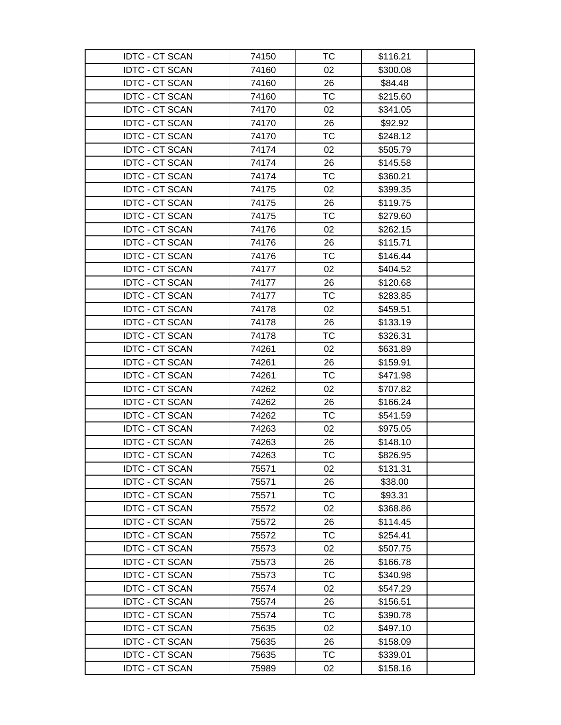| <b>IDTC - CT SCAN</b> | 74150 | ТC        | \$116.21 |  |
|-----------------------|-------|-----------|----------|--|
| <b>IDTC - CT SCAN</b> | 74160 | 02        | \$300.08 |  |
| <b>IDTC - CT SCAN</b> | 74160 | 26        | \$84.48  |  |
| <b>IDTC - CT SCAN</b> | 74160 | <b>TC</b> | \$215.60 |  |
| <b>IDTC - CT SCAN</b> | 74170 | 02        | \$341.05 |  |
| <b>IDTC - CT SCAN</b> | 74170 | 26        | \$92.92  |  |
| <b>IDTC - CT SCAN</b> | 74170 | TC        | \$248.12 |  |
| <b>IDTC - CT SCAN</b> | 74174 | 02        | \$505.79 |  |
| <b>IDTC - CT SCAN</b> | 74174 | 26        | \$145.58 |  |
| <b>IDTC - CT SCAN</b> | 74174 | TC        | \$360.21 |  |
| <b>IDTC - CT SCAN</b> | 74175 | 02        | \$399.35 |  |
| <b>IDTC - CT SCAN</b> | 74175 | 26        | \$119.75 |  |
| <b>IDTC - CT SCAN</b> | 74175 | <b>TC</b> | \$279.60 |  |
| <b>IDTC - CT SCAN</b> | 74176 | 02        | \$262.15 |  |
| <b>IDTC - CT SCAN</b> | 74176 | 26        | \$115.71 |  |
| <b>IDTC - CT SCAN</b> | 74176 | TC        | \$146.44 |  |
| <b>IDTC - CT SCAN</b> | 74177 | 02        | \$404.52 |  |
| <b>IDTC - CT SCAN</b> | 74177 | 26        | \$120.68 |  |
| <b>IDTC - CT SCAN</b> | 74177 | ТC        | \$283.85 |  |
| <b>IDTC - CT SCAN</b> | 74178 | 02        | \$459.51 |  |
| <b>IDTC - CT SCAN</b> | 74178 | 26        | \$133.19 |  |
| <b>IDTC - CT SCAN</b> | 74178 | <b>TC</b> | \$326.31 |  |
| <b>IDTC - CT SCAN</b> | 74261 | 02        | \$631.89 |  |
| <b>IDTC - CT SCAN</b> | 74261 | 26        | \$159.91 |  |
| <b>IDTC - CT SCAN</b> | 74261 | TC        | \$471.98 |  |
| <b>IDTC - CT SCAN</b> | 74262 | 02        | \$707.82 |  |
| <b>IDTC - CT SCAN</b> | 74262 | 26        | \$166.24 |  |
| <b>IDTC - CT SCAN</b> | 74262 | TC        | \$541.59 |  |
| <b>IDTC - CT SCAN</b> | 74263 | 02        | \$975.05 |  |
| <b>IDTC - CT SCAN</b> | 74263 | 26        | \$148.10 |  |
| <b>IDTC - CT SCAN</b> | 74263 | <b>TC</b> | \$826.95 |  |
| <b>IDTC - CT SCAN</b> | 75571 | 02        | \$131.31 |  |
| <b>IDTC - CT SCAN</b> | 75571 | 26        | \$38.00  |  |
| <b>IDTC - CT SCAN</b> | 75571 | TC        | \$93.31  |  |
| <b>IDTC - CT SCAN</b> | 75572 | 02        | \$368.86 |  |
| <b>IDTC - CT SCAN</b> | 75572 | 26        | \$114.45 |  |
| <b>IDTC - CT SCAN</b> | 75572 | <b>TC</b> | \$254.41 |  |
| <b>IDTC - CT SCAN</b> | 75573 | 02        | \$507.75 |  |
| <b>IDTC - CT SCAN</b> | 75573 | 26        | \$166.78 |  |
| <b>IDTC - CT SCAN</b> | 75573 | <b>TC</b> | \$340.98 |  |
| <b>IDTC - CT SCAN</b> | 75574 | 02        | \$547.29 |  |
| <b>IDTC - CT SCAN</b> | 75574 | 26        | \$156.51 |  |
| <b>IDTC - CT SCAN</b> | 75574 | TC        | \$390.78 |  |
| <b>IDTC - CT SCAN</b> | 75635 | 02        | \$497.10 |  |
| <b>IDTC - CT SCAN</b> | 75635 | 26        | \$158.09 |  |
| <b>IDTC - CT SCAN</b> | 75635 | TC        | \$339.01 |  |
| <b>IDTC - CT SCAN</b> | 75989 | 02        | \$158.16 |  |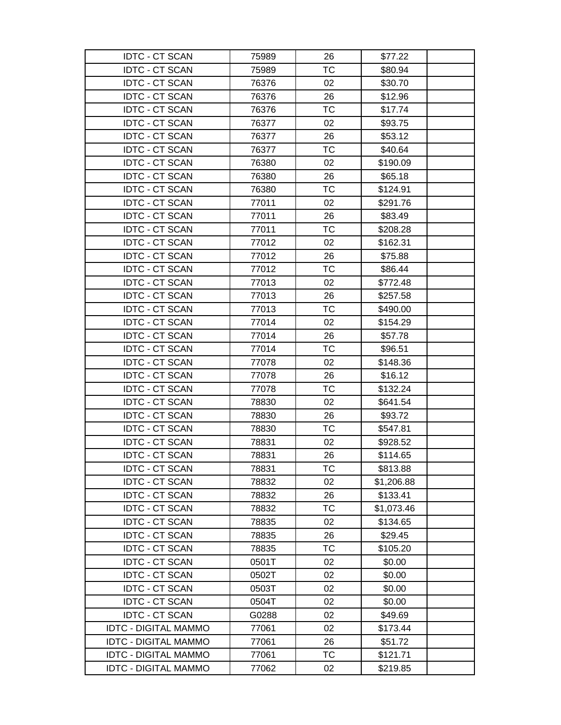| <b>IDTC - CT SCAN</b>       | 75989 | 26        | \$77.22    |  |
|-----------------------------|-------|-----------|------------|--|
| <b>IDTC - CT SCAN</b>       | 75989 | <b>TC</b> | \$80.94    |  |
| <b>IDTC - CT SCAN</b>       | 76376 | 02        | \$30.70    |  |
| <b>IDTC - CT SCAN</b>       | 76376 | 26        | \$12.96    |  |
| <b>IDTC - CT SCAN</b>       | 76376 | <b>TC</b> | \$17.74    |  |
| <b>IDTC - CT SCAN</b>       | 76377 | 02        | \$93.75    |  |
| <b>IDTC - CT SCAN</b>       | 76377 | 26        | \$53.12    |  |
| <b>IDTC - CT SCAN</b>       | 76377 | <b>TC</b> | \$40.64    |  |
| <b>IDTC - CT SCAN</b>       | 76380 | 02        | \$190.09   |  |
| <b>IDTC - CT SCAN</b>       | 76380 | 26        | \$65.18    |  |
| <b>IDTC - CT SCAN</b>       | 76380 | <b>TC</b> | \$124.91   |  |
| <b>IDTC - CT SCAN</b>       | 77011 | 02        | \$291.76   |  |
| <b>IDTC - CT SCAN</b>       | 77011 | 26        | \$83.49    |  |
| <b>IDTC - CT SCAN</b>       | 77011 | <b>TC</b> | \$208.28   |  |
| <b>IDTC - CT SCAN</b>       | 77012 | 02        | \$162.31   |  |
| <b>IDTC - CT SCAN</b>       | 77012 | 26        | \$75.88    |  |
| <b>IDTC - CT SCAN</b>       | 77012 | <b>TC</b> | \$86.44    |  |
| <b>IDTC - CT SCAN</b>       | 77013 | 02        | \$772.48   |  |
| <b>IDTC - CT SCAN</b>       | 77013 | 26        | \$257.58   |  |
| <b>IDTC - CT SCAN</b>       | 77013 | <b>TC</b> | \$490.00   |  |
| <b>IDTC - CT SCAN</b>       | 77014 | 02        | \$154.29   |  |
| <b>IDTC - CT SCAN</b>       | 77014 | 26        | \$57.78    |  |
| <b>IDTC - CT SCAN</b>       | 77014 | <b>TC</b> | \$96.51    |  |
| <b>IDTC - CT SCAN</b>       | 77078 | 02        | \$148.36   |  |
| <b>IDTC - CT SCAN</b>       | 77078 | 26        | \$16.12    |  |
| <b>IDTC - CT SCAN</b>       | 77078 | ТC        | \$132.24   |  |
| <b>IDTC - CT SCAN</b>       | 78830 | 02        | \$641.54   |  |
| <b>IDTC - CT SCAN</b>       | 78830 | 26        | \$93.72    |  |
| <b>IDTC - CT SCAN</b>       | 78830 | ТC        | \$547.81   |  |
| <b>IDTC - CT SCAN</b>       | 78831 | 02        | \$928.52   |  |
| <b>IDTC - CT SCAN</b>       | 78831 | 26        | \$114.65   |  |
| <b>IDTC - CT SCAN</b>       | 78831 | тс        | \$813.88   |  |
| <b>IDTC - CT SCAN</b>       | 78832 | 02        | \$1,206.88 |  |
| <b>IDTC - CT SCAN</b>       | 78832 | 26        | \$133.41   |  |
| <b>IDTC - CT SCAN</b>       | 78832 | ТC        | \$1,073.46 |  |
| <b>IDTC - CT SCAN</b>       | 78835 | 02        | \$134.65   |  |
| <b>IDTC - CT SCAN</b>       | 78835 | 26        | \$29.45    |  |
| <b>IDTC - CT SCAN</b>       | 78835 | ТC        | \$105.20   |  |
| <b>IDTC - CT SCAN</b>       | 0501T | 02        | \$0.00     |  |
| <b>IDTC - CT SCAN</b>       | 0502T | 02        | \$0.00     |  |
| <b>IDTC - CT SCAN</b>       | 0503T | 02        | \$0.00     |  |
| <b>IDTC - CT SCAN</b>       | 0504T | 02        | \$0.00     |  |
| <b>IDTC - CT SCAN</b>       | G0288 | 02        | \$49.69    |  |
| <b>IDTC - DIGITAL MAMMO</b> | 77061 | 02        | \$173.44   |  |
| <b>IDTC - DIGITAL MAMMO</b> | 77061 | 26        | \$51.72    |  |
| <b>IDTC - DIGITAL MAMMO</b> | 77061 | ТC        | \$121.71   |  |
| <b>IDTC - DIGITAL MAMMO</b> | 77062 | 02        | \$219.85   |  |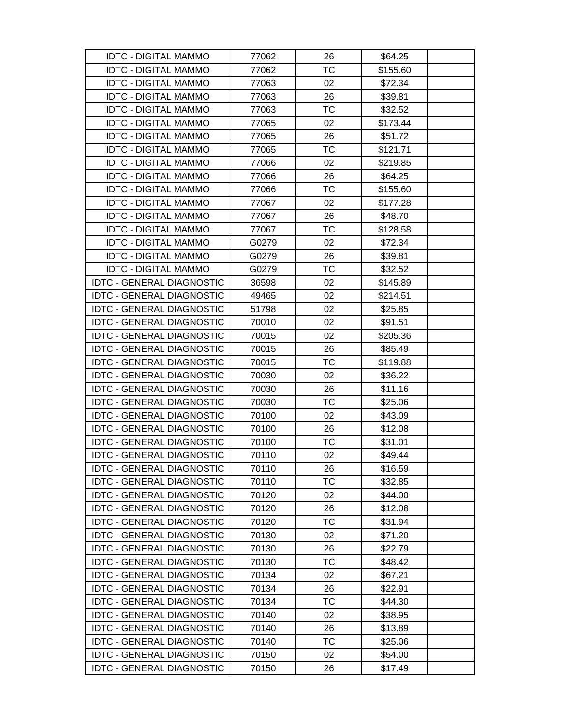| <b>IDTC - DIGITAL MAMMO</b>      | 77062 | 26        | \$64.25  |
|----------------------------------|-------|-----------|----------|
| <b>IDTC - DIGITAL MAMMO</b>      | 77062 | TC        | \$155.60 |
| <b>IDTC - DIGITAL MAMMO</b>      | 77063 | 02        | \$72.34  |
| <b>IDTC - DIGITAL MAMMO</b>      | 77063 | 26        | \$39.81  |
| <b>IDTC - DIGITAL MAMMO</b>      | 77063 | ТC        | \$32.52  |
| <b>IDTC - DIGITAL MAMMO</b>      | 77065 | 02        | \$173.44 |
| <b>IDTC - DIGITAL MAMMO</b>      | 77065 | 26        | \$51.72  |
| <b>IDTC - DIGITAL MAMMO</b>      | 77065 | <b>TC</b> | \$121.71 |
| <b>IDTC - DIGITAL MAMMO</b>      | 77066 | 02        | \$219.85 |
| <b>IDTC - DIGITAL MAMMO</b>      | 77066 | 26        | \$64.25  |
| <b>IDTC - DIGITAL MAMMO</b>      | 77066 | <b>TC</b> | \$155.60 |
| <b>IDTC - DIGITAL MAMMO</b>      | 77067 | 02        | \$177.28 |
| <b>IDTC - DIGITAL MAMMO</b>      | 77067 | 26        | \$48.70  |
| <b>IDTC - DIGITAL MAMMO</b>      | 77067 | <b>TC</b> | \$128.58 |
| <b>IDTC - DIGITAL MAMMO</b>      | G0279 | 02        | \$72.34  |
| <b>IDTC - DIGITAL MAMMO</b>      | G0279 | 26        | \$39.81  |
| <b>IDTC - DIGITAL MAMMO</b>      | G0279 | <b>TC</b> | \$32.52  |
| <b>IDTC - GENERAL DIAGNOSTIC</b> | 36598 | 02        | \$145.89 |
| <b>IDTC - GENERAL DIAGNOSTIC</b> | 49465 | 02        | \$214.51 |
| <b>IDTC - GENERAL DIAGNOSTIC</b> | 51798 | 02        | \$25.85  |
| <b>IDTC - GENERAL DIAGNOSTIC</b> | 70010 | 02        | \$91.51  |
| <b>IDTC - GENERAL DIAGNOSTIC</b> | 70015 | 02        | \$205.36 |
| <b>IDTC - GENERAL DIAGNOSTIC</b> | 70015 | 26        | \$85.49  |
| <b>IDTC - GENERAL DIAGNOSTIC</b> | 70015 | ТC        | \$119.88 |
| <b>IDTC - GENERAL DIAGNOSTIC</b> | 70030 | 02        | \$36.22  |
| <b>IDTC - GENERAL DIAGNOSTIC</b> | 70030 | 26        | \$11.16  |
| <b>IDTC - GENERAL DIAGNOSTIC</b> | 70030 | TC        | \$25.06  |
| <b>IDTC - GENERAL DIAGNOSTIC</b> | 70100 | 02        | \$43.09  |
| <b>IDTC - GENERAL DIAGNOSTIC</b> | 70100 | 26        | \$12.08  |
| <b>IDTC - GENERAL DIAGNOSTIC</b> | 70100 | <b>TC</b> | \$31.01  |
| <b>IDTC - GENERAL DIAGNOSTIC</b> | 70110 | 02        | \$49.44  |
| <b>IDTC - GENERAL DIAGNOSTIC</b> | 70110 | 26        | \$16.59  |
| <b>IDTC - GENERAL DIAGNOSTIC</b> | 70110 | <b>TC</b> | \$32.85  |
| <b>IDTC - GENERAL DIAGNOSTIC</b> | 70120 | 02        | \$44.00  |
| <b>IDTC - GENERAL DIAGNOSTIC</b> | 70120 | 26        | \$12.08  |
| <b>IDTC - GENERAL DIAGNOSTIC</b> | 70120 | <b>TC</b> | \$31.94  |
| <b>IDTC - GENERAL DIAGNOSTIC</b> | 70130 | 02        | \$71.20  |
| <b>IDTC - GENERAL DIAGNOSTIC</b> | 70130 | 26        | \$22.79  |
| <b>IDTC - GENERAL DIAGNOSTIC</b> | 70130 | TC        | \$48.42  |
| <b>IDTC - GENERAL DIAGNOSTIC</b> | 70134 | 02        | \$67.21  |
| <b>IDTC - GENERAL DIAGNOSTIC</b> | 70134 | 26        | \$22.91  |
| <b>IDTC - GENERAL DIAGNOSTIC</b> | 70134 | TC        | \$44.30  |
| <b>IDTC - GENERAL DIAGNOSTIC</b> | 70140 | 02        | \$38.95  |
| <b>IDTC - GENERAL DIAGNOSTIC</b> | 70140 | 26        | \$13.89  |
| <b>IDTC - GENERAL DIAGNOSTIC</b> | 70140 | <b>TC</b> | \$25.06  |
| <b>IDTC - GENERAL DIAGNOSTIC</b> | 70150 | 02        | \$54.00  |
| <b>IDTC - GENERAL DIAGNOSTIC</b> | 70150 | 26        | \$17.49  |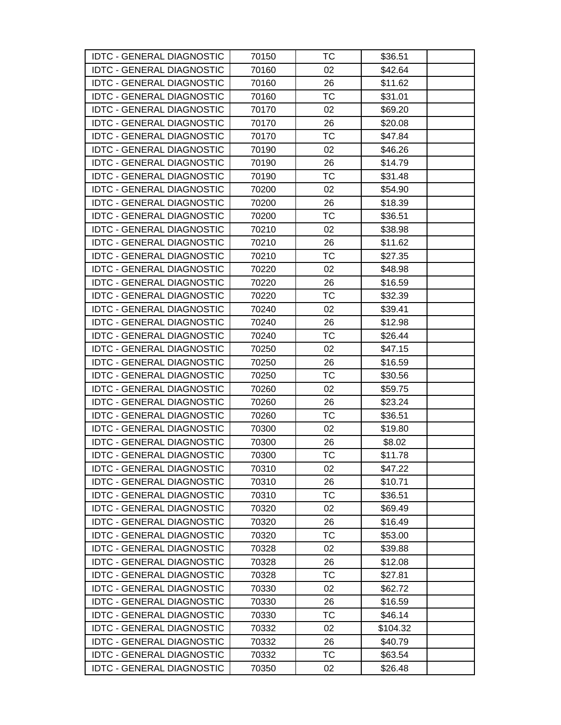| <b>IDTC - GENERAL DIAGNOSTIC</b> | 70150 | тс        | \$36.51  |  |
|----------------------------------|-------|-----------|----------|--|
| <b>IDTC - GENERAL DIAGNOSTIC</b> | 70160 | 02        | \$42.64  |  |
| <b>IDTC - GENERAL DIAGNOSTIC</b> | 70160 | 26        | \$11.62  |  |
| <b>IDTC - GENERAL DIAGNOSTIC</b> | 70160 | <b>TC</b> | \$31.01  |  |
| <b>IDTC - GENERAL DIAGNOSTIC</b> | 70170 | 02        | \$69.20  |  |
| <b>IDTC - GENERAL DIAGNOSTIC</b> | 70170 | 26        | \$20.08  |  |
| <b>IDTC - GENERAL DIAGNOSTIC</b> | 70170 | <b>TC</b> | \$47.84  |  |
| <b>IDTC - GENERAL DIAGNOSTIC</b> | 70190 | 02        | \$46.26  |  |
| <b>IDTC - GENERAL DIAGNOSTIC</b> | 70190 | 26        | \$14.79  |  |
| <b>IDTC - GENERAL DIAGNOSTIC</b> | 70190 | TC        | \$31.48  |  |
| <b>IDTC - GENERAL DIAGNOSTIC</b> | 70200 | 02        | \$54.90  |  |
| <b>IDTC - GENERAL DIAGNOSTIC</b> | 70200 | 26        | \$18.39  |  |
| <b>IDTC - GENERAL DIAGNOSTIC</b> | 70200 | TC        | \$36.51  |  |
| <b>IDTC - GENERAL DIAGNOSTIC</b> | 70210 | 02        | \$38.98  |  |
| <b>IDTC - GENERAL DIAGNOSTIC</b> | 70210 | 26        | \$11.62  |  |
| <b>IDTC - GENERAL DIAGNOSTIC</b> | 70210 | <b>TC</b> | \$27.35  |  |
| <b>IDTC - GENERAL DIAGNOSTIC</b> | 70220 | 02        | \$48.98  |  |
| <b>IDTC - GENERAL DIAGNOSTIC</b> | 70220 | 26        | \$16.59  |  |
| <b>IDTC - GENERAL DIAGNOSTIC</b> | 70220 | TC        | \$32.39  |  |
| <b>IDTC - GENERAL DIAGNOSTIC</b> | 70240 | 02        | \$39.41  |  |
| <b>IDTC - GENERAL DIAGNOSTIC</b> | 70240 | 26        | \$12.98  |  |
| <b>IDTC - GENERAL DIAGNOSTIC</b> | 70240 | TC        | \$26.44  |  |
| <b>IDTC - GENERAL DIAGNOSTIC</b> | 70250 | 02        | \$47.15  |  |
| <b>IDTC - GENERAL DIAGNOSTIC</b> | 70250 | 26        | \$16.59  |  |
| <b>IDTC - GENERAL DIAGNOSTIC</b> | 70250 | TC        | \$30.56  |  |
| <b>IDTC - GENERAL DIAGNOSTIC</b> | 70260 | 02        | \$59.75  |  |
| <b>IDTC - GENERAL DIAGNOSTIC</b> | 70260 | 26        | \$23.24  |  |
| <b>IDTC - GENERAL DIAGNOSTIC</b> | 70260 | TC        | \$36.51  |  |
| <b>IDTC - GENERAL DIAGNOSTIC</b> | 70300 | 02        | \$19.80  |  |
| <b>IDTC - GENERAL DIAGNOSTIC</b> | 70300 | 26        | \$8.02   |  |
| <b>IDTC - GENERAL DIAGNOSTIC</b> | 70300 | <b>TC</b> | \$11.78  |  |
| <b>IDTC - GENERAL DIAGNOSTIC</b> | 70310 | 02        | \$47.22  |  |
| <b>IDTC - GENERAL DIAGNOSTIC</b> | 70310 | 26        | \$10.71  |  |
| <b>IDTC - GENERAL DIAGNOSTIC</b> | 70310 | TC        | \$36.51  |  |
| <b>IDTC - GENERAL DIAGNOSTIC</b> | 70320 | 02        | \$69.49  |  |
| <b>IDTC - GENERAL DIAGNOSTIC</b> | 70320 | 26        | \$16.49  |  |
| <b>IDTC - GENERAL DIAGNOSTIC</b> | 70320 | <b>TC</b> | \$53.00  |  |
| <b>IDTC - GENERAL DIAGNOSTIC</b> | 70328 | 02        | \$39.88  |  |
| <b>IDTC - GENERAL DIAGNOSTIC</b> | 70328 | 26        | \$12.08  |  |
| <b>IDTC - GENERAL DIAGNOSTIC</b> | 70328 | <b>TC</b> | \$27.81  |  |
| <b>IDTC - GENERAL DIAGNOSTIC</b> | 70330 | 02        | \$62.72  |  |
| <b>IDTC - GENERAL DIAGNOSTIC</b> | 70330 | 26        | \$16.59  |  |
| <b>IDTC - GENERAL DIAGNOSTIC</b> | 70330 | TC        | \$46.14  |  |
| <b>IDTC - GENERAL DIAGNOSTIC</b> | 70332 | 02        | \$104.32 |  |
| <b>IDTC - GENERAL DIAGNOSTIC</b> | 70332 | 26        | \$40.79  |  |
| <b>IDTC - GENERAL DIAGNOSTIC</b> | 70332 | TC        | \$63.54  |  |
| <b>IDTC - GENERAL DIAGNOSTIC</b> | 70350 | 02        | \$26.48  |  |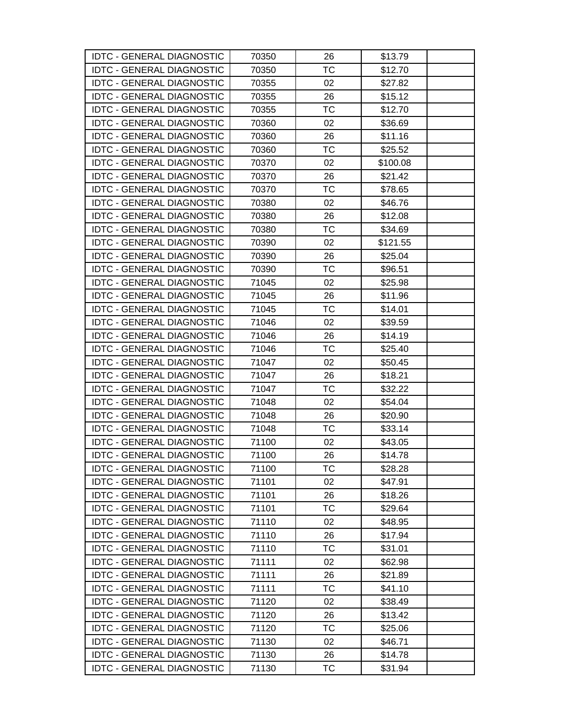| <b>IDTC - GENERAL DIAGNOSTIC</b> | 70350 | 26        | \$13.79  |
|----------------------------------|-------|-----------|----------|
| <b>IDTC - GENERAL DIAGNOSTIC</b> | 70350 | <b>TC</b> | \$12.70  |
| <b>IDTC - GENERAL DIAGNOSTIC</b> | 70355 | 02        | \$27.82  |
| <b>IDTC - GENERAL DIAGNOSTIC</b> | 70355 | 26        | \$15.12  |
| <b>IDTC - GENERAL DIAGNOSTIC</b> | 70355 | ТC        | \$12.70  |
| <b>IDTC - GENERAL DIAGNOSTIC</b> | 70360 | 02        | \$36.69  |
| <b>IDTC - GENERAL DIAGNOSTIC</b> | 70360 | 26        | \$11.16  |
| <b>IDTC - GENERAL DIAGNOSTIC</b> | 70360 | <b>TC</b> | \$25.52  |
| <b>IDTC - GENERAL DIAGNOSTIC</b> | 70370 | 02        | \$100.08 |
| <b>IDTC - GENERAL DIAGNOSTIC</b> | 70370 | 26        | \$21.42  |
| <b>IDTC - GENERAL DIAGNOSTIC</b> | 70370 | TC        | \$78.65  |
| <b>IDTC - GENERAL DIAGNOSTIC</b> | 70380 | 02        | \$46.76  |
| <b>IDTC - GENERAL DIAGNOSTIC</b> | 70380 | 26        | \$12.08  |
| <b>IDTC - GENERAL DIAGNOSTIC</b> | 70380 | ТC        | \$34.69  |
| <b>IDTC - GENERAL DIAGNOSTIC</b> | 70390 | 02        | \$121.55 |
| <b>IDTC - GENERAL DIAGNOSTIC</b> | 70390 | 26        | \$25.04  |
| <b>IDTC - GENERAL DIAGNOSTIC</b> | 70390 | <b>TC</b> | \$96.51  |
| <b>IDTC - GENERAL DIAGNOSTIC</b> | 71045 | 02        | \$25.98  |
| <b>IDTC - GENERAL DIAGNOSTIC</b> | 71045 | 26        | \$11.96  |
| <b>IDTC - GENERAL DIAGNOSTIC</b> | 71045 | ТC        | \$14.01  |
| <b>IDTC - GENERAL DIAGNOSTIC</b> | 71046 | 02        | \$39.59  |
| <b>IDTC - GENERAL DIAGNOSTIC</b> | 71046 | 26        | \$14.19  |
| <b>IDTC - GENERAL DIAGNOSTIC</b> | 71046 | ТC        | \$25.40  |
| <b>IDTC - GENERAL DIAGNOSTIC</b> | 71047 | 02        | \$50.45  |
| <b>IDTC - GENERAL DIAGNOSTIC</b> | 71047 | 26        | \$18.21  |
| <b>IDTC - GENERAL DIAGNOSTIC</b> | 71047 | ТC        | \$32.22  |
| <b>IDTC - GENERAL DIAGNOSTIC</b> | 71048 | 02        | \$54.04  |
| <b>IDTC - GENERAL DIAGNOSTIC</b> | 71048 | 26        | \$20.90  |
| <b>IDTC - GENERAL DIAGNOSTIC</b> | 71048 | TC        | \$33.14  |
| <b>IDTC - GENERAL DIAGNOSTIC</b> | 71100 | 02        | \$43.05  |
| <b>IDTC - GENERAL DIAGNOSTIC</b> | 71100 | 26        | \$14.78  |
| <b>IDTC - GENERAL DIAGNOSTIC</b> | 71100 | ТC        | \$28.28  |
| <b>IDTC - GENERAL DIAGNOSTIC</b> | 71101 | 02        | \$47.91  |
| <b>IDTC - GENERAL DIAGNOSTIC</b> | 71101 | 26        | \$18.26  |
| <b>IDTC - GENERAL DIAGNOSTIC</b> | 71101 | TC        | \$29.64  |
| <b>IDTC - GENERAL DIAGNOSTIC</b> | 71110 | 02        | \$48.95  |
| <b>IDTC - GENERAL DIAGNOSTIC</b> | 71110 | 26        | \$17.94  |
| <b>IDTC - GENERAL DIAGNOSTIC</b> | 71110 | ТC        | \$31.01  |
| <b>IDTC - GENERAL DIAGNOSTIC</b> | 71111 | 02        | \$62.98  |
| <b>IDTC - GENERAL DIAGNOSTIC</b> | 71111 | 26        | \$21.89  |
| <b>IDTC - GENERAL DIAGNOSTIC</b> | 71111 | ТC        | \$41.10  |
| <b>IDTC - GENERAL DIAGNOSTIC</b> | 71120 | 02        | \$38.49  |
| <b>IDTC - GENERAL DIAGNOSTIC</b> | 71120 | 26        | \$13.42  |
| <b>IDTC - GENERAL DIAGNOSTIC</b> | 71120 | ТC        | \$25.06  |
| <b>IDTC - GENERAL DIAGNOSTIC</b> | 71130 | 02        | \$46.71  |
| <b>IDTC - GENERAL DIAGNOSTIC</b> | 71130 | 26        | \$14.78  |
| <b>IDTC - GENERAL DIAGNOSTIC</b> | 71130 | <b>TC</b> | \$31.94  |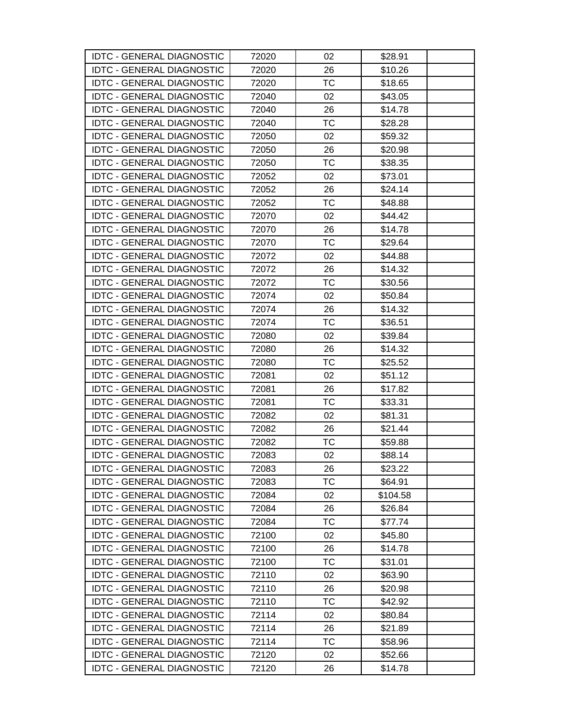| <b>IDTC - GENERAL DIAGNOSTIC</b> | 72020 | 02        | \$28.91  |
|----------------------------------|-------|-----------|----------|
| <b>IDTC - GENERAL DIAGNOSTIC</b> | 72020 | 26        | \$10.26  |
| <b>IDTC - GENERAL DIAGNOSTIC</b> | 72020 | ТC        | \$18.65  |
| <b>IDTC - GENERAL DIAGNOSTIC</b> | 72040 | 02        | \$43.05  |
| <b>IDTC - GENERAL DIAGNOSTIC</b> | 72040 | 26        | \$14.78  |
| <b>IDTC - GENERAL DIAGNOSTIC</b> | 72040 | ТC        | \$28.28  |
| <b>IDTC - GENERAL DIAGNOSTIC</b> | 72050 | 02        | \$59.32  |
| <b>IDTC - GENERAL DIAGNOSTIC</b> | 72050 | 26        | \$20.98  |
| <b>IDTC - GENERAL DIAGNOSTIC</b> | 72050 | <b>TC</b> | \$38.35  |
| <b>IDTC - GENERAL DIAGNOSTIC</b> | 72052 | 02        | \$73.01  |
| <b>IDTC - GENERAL DIAGNOSTIC</b> | 72052 | 26        | \$24.14  |
| <b>IDTC - GENERAL DIAGNOSTIC</b> | 72052 | ТC        | \$48.88  |
| <b>IDTC - GENERAL DIAGNOSTIC</b> | 72070 | 02        | \$44.42  |
| <b>IDTC - GENERAL DIAGNOSTIC</b> | 72070 | 26        | \$14.78  |
| <b>IDTC - GENERAL DIAGNOSTIC</b> | 72070 | ТC        | \$29.64  |
| <b>IDTC - GENERAL DIAGNOSTIC</b> | 72072 | 02        | \$44.88  |
| <b>IDTC - GENERAL DIAGNOSTIC</b> | 72072 | 26        | \$14.32  |
| <b>IDTC - GENERAL DIAGNOSTIC</b> | 72072 | TC        | \$30.56  |
| <b>IDTC - GENERAL DIAGNOSTIC</b> | 72074 | 02        | \$50.84  |
| <b>IDTC - GENERAL DIAGNOSTIC</b> | 72074 | 26        | \$14.32  |
| <b>IDTC - GENERAL DIAGNOSTIC</b> | 72074 | <b>TC</b> | \$36.51  |
| <b>IDTC - GENERAL DIAGNOSTIC</b> | 72080 | 02        | \$39.84  |
| <b>IDTC - GENERAL DIAGNOSTIC</b> | 72080 | 26        | \$14.32  |
| <b>IDTC - GENERAL DIAGNOSTIC</b> | 72080 | ТC        | \$25.52  |
| <b>IDTC - GENERAL DIAGNOSTIC</b> | 72081 | 02        | \$51.12  |
| <b>IDTC - GENERAL DIAGNOSTIC</b> | 72081 | 26        | \$17.82  |
| <b>IDTC - GENERAL DIAGNOSTIC</b> | 72081 | ТC        | \$33.31  |
| <b>IDTC - GENERAL DIAGNOSTIC</b> | 72082 | 02        | \$81.31  |
| <b>IDTC - GENERAL DIAGNOSTIC</b> | 72082 | 26        | \$21.44  |
| <b>IDTC - GENERAL DIAGNOSTIC</b> | 72082 | TC        | \$59.88  |
| <b>IDTC - GENERAL DIAGNOSTIC</b> | 72083 | 02        | \$88.14  |
| <b>IDTC - GENERAL DIAGNOSTIC</b> | 72083 | 26        | \$23.22  |
| <b>IDTC - GENERAL DIAGNOSTIC</b> | 72083 | ТC        | \$64.91  |
| <b>IDTC - GENERAL DIAGNOSTIC</b> | 72084 | 02        | \$104.58 |
| <b>IDTC - GENERAL DIAGNOSTIC</b> | 72084 | 26        | \$26.84  |
| <b>IDTC - GENERAL DIAGNOSTIC</b> | 72084 | ТC        | \$77.74  |
| <b>IDTC - GENERAL DIAGNOSTIC</b> | 72100 | 02        | \$45.80  |
| <b>IDTC - GENERAL DIAGNOSTIC</b> | 72100 | 26        | \$14.78  |
| <b>IDTC - GENERAL DIAGNOSTIC</b> | 72100 | ТC        | \$31.01  |
| <b>IDTC - GENERAL DIAGNOSTIC</b> | 72110 | 02        | \$63.90  |
| <b>IDTC - GENERAL DIAGNOSTIC</b> | 72110 | 26        | \$20.98  |
| <b>IDTC - GENERAL DIAGNOSTIC</b> | 72110 | ТC        | \$42.92  |
| <b>IDTC - GENERAL DIAGNOSTIC</b> | 72114 | 02        | \$80.84  |
| <b>IDTC - GENERAL DIAGNOSTIC</b> | 72114 | 26        | \$21.89  |
| <b>IDTC - GENERAL DIAGNOSTIC</b> | 72114 | ТC        | \$58.96  |
| <b>IDTC - GENERAL DIAGNOSTIC</b> | 72120 | 02        | \$52.66  |
| <b>IDTC - GENERAL DIAGNOSTIC</b> | 72120 | 26        | \$14.78  |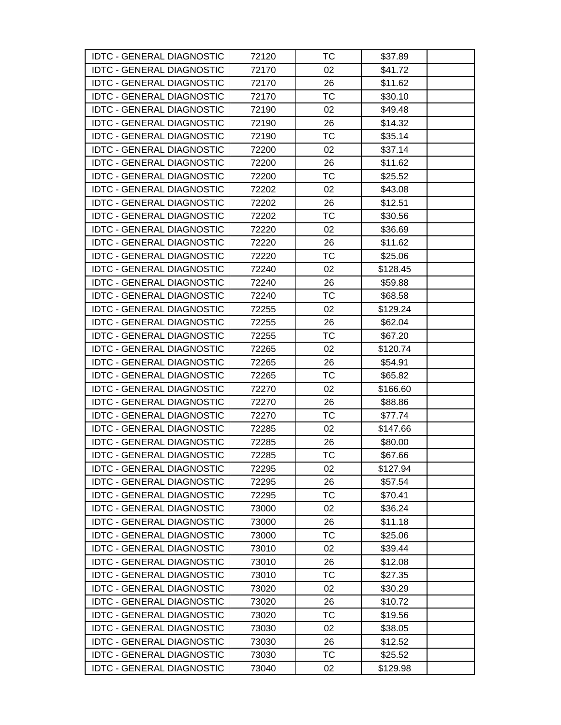| <b>IDTC - GENERAL DIAGNOSTIC</b> | 72120 | тс        | \$37.89  |  |
|----------------------------------|-------|-----------|----------|--|
| <b>IDTC - GENERAL DIAGNOSTIC</b> | 72170 | 02        | \$41.72  |  |
| <b>IDTC - GENERAL DIAGNOSTIC</b> | 72170 | 26        | \$11.62  |  |
| <b>IDTC - GENERAL DIAGNOSTIC</b> | 72170 | <b>TC</b> | \$30.10  |  |
| <b>IDTC - GENERAL DIAGNOSTIC</b> | 72190 | 02        | \$49.48  |  |
| <b>IDTC - GENERAL DIAGNOSTIC</b> | 72190 | 26        | \$14.32  |  |
| <b>IDTC - GENERAL DIAGNOSTIC</b> | 72190 | <b>TC</b> | \$35.14  |  |
| <b>IDTC - GENERAL DIAGNOSTIC</b> | 72200 | 02        | \$37.14  |  |
| <b>IDTC - GENERAL DIAGNOSTIC</b> | 72200 | 26        | \$11.62  |  |
| <b>IDTC - GENERAL DIAGNOSTIC</b> | 72200 | TC        | \$25.52  |  |
| <b>IDTC - GENERAL DIAGNOSTIC</b> | 72202 | 02        | \$43.08  |  |
| <b>IDTC - GENERAL DIAGNOSTIC</b> | 72202 | 26        | \$12.51  |  |
| <b>IDTC - GENERAL DIAGNOSTIC</b> | 72202 | TC        | \$30.56  |  |
| <b>IDTC - GENERAL DIAGNOSTIC</b> | 72220 | 02        | \$36.69  |  |
| <b>IDTC - GENERAL DIAGNOSTIC</b> | 72220 | 26        | \$11.62  |  |
| <b>IDTC - GENERAL DIAGNOSTIC</b> | 72220 | <b>TC</b> | \$25.06  |  |
| <b>IDTC - GENERAL DIAGNOSTIC</b> | 72240 | 02        | \$128.45 |  |
| <b>IDTC - GENERAL DIAGNOSTIC</b> | 72240 | 26        | \$59.88  |  |
| <b>IDTC - GENERAL DIAGNOSTIC</b> | 72240 | TC        | \$68.58  |  |
| <b>IDTC - GENERAL DIAGNOSTIC</b> | 72255 | 02        | \$129.24 |  |
| <b>IDTC - GENERAL DIAGNOSTIC</b> | 72255 | 26        | \$62.04  |  |
| <b>IDTC - GENERAL DIAGNOSTIC</b> | 72255 | TC        | \$67.20  |  |
| <b>IDTC - GENERAL DIAGNOSTIC</b> | 72265 | 02        | \$120.74 |  |
| <b>IDTC - GENERAL DIAGNOSTIC</b> | 72265 | 26        | \$54.91  |  |
| <b>IDTC - GENERAL DIAGNOSTIC</b> | 72265 | TC        | \$65.82  |  |
| <b>IDTC - GENERAL DIAGNOSTIC</b> | 72270 | 02        | \$166.60 |  |
| <b>IDTC - GENERAL DIAGNOSTIC</b> | 72270 | 26        | \$88.86  |  |
| <b>IDTC - GENERAL DIAGNOSTIC</b> | 72270 | TC        | \$77.74  |  |
| <b>IDTC - GENERAL DIAGNOSTIC</b> | 72285 | 02        | \$147.66 |  |
| <b>IDTC - GENERAL DIAGNOSTIC</b> | 72285 | 26        | \$80.00  |  |
| <b>IDTC - GENERAL DIAGNOSTIC</b> | 72285 | <b>TC</b> | \$67.66  |  |
| <b>IDTC - GENERAL DIAGNOSTIC</b> | 72295 | 02        | \$127.94 |  |
| <b>IDTC - GENERAL DIAGNOSTIC</b> | 72295 | 26        | \$57.54  |  |
| <b>IDTC - GENERAL DIAGNOSTIC</b> | 72295 | TC        | \$70.41  |  |
| <b>IDTC - GENERAL DIAGNOSTIC</b> | 73000 | 02        | \$36.24  |  |
| <b>IDTC - GENERAL DIAGNOSTIC</b> | 73000 | 26        | \$11.18  |  |
| <b>IDTC - GENERAL DIAGNOSTIC</b> | 73000 | <b>TC</b> | \$25.06  |  |
| <b>IDTC - GENERAL DIAGNOSTIC</b> | 73010 | 02        | \$39.44  |  |
| <b>IDTC - GENERAL DIAGNOSTIC</b> | 73010 | 26        | \$12.08  |  |
| <b>IDTC - GENERAL DIAGNOSTIC</b> | 73010 | <b>TC</b> | \$27.35  |  |
| <b>IDTC - GENERAL DIAGNOSTIC</b> | 73020 | 02        | \$30.29  |  |
| <b>IDTC - GENERAL DIAGNOSTIC</b> | 73020 | 26        | \$10.72  |  |
| <b>IDTC - GENERAL DIAGNOSTIC</b> | 73020 | TC        | \$19.56  |  |
| <b>IDTC - GENERAL DIAGNOSTIC</b> | 73030 | 02        | \$38.05  |  |
| <b>IDTC - GENERAL DIAGNOSTIC</b> | 73030 | 26        | \$12.52  |  |
| <b>IDTC - GENERAL DIAGNOSTIC</b> | 73030 | TC        | \$25.52  |  |
| <b>IDTC - GENERAL DIAGNOSTIC</b> | 73040 | 02        | \$129.98 |  |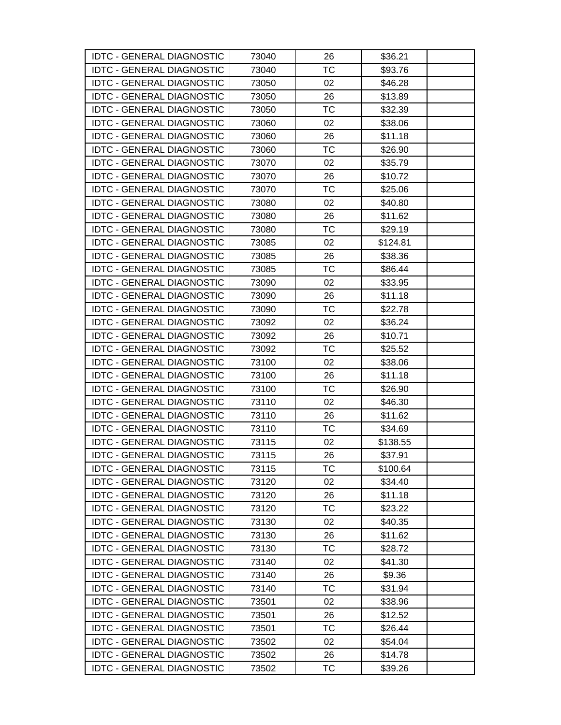| <b>IDTC - GENERAL DIAGNOSTIC</b> | 73040 | 26        | \$36.21  |  |
|----------------------------------|-------|-----------|----------|--|
| <b>IDTC - GENERAL DIAGNOSTIC</b> | 73040 | <b>TC</b> | \$93.76  |  |
| <b>IDTC - GENERAL DIAGNOSTIC</b> | 73050 | 02        | \$46.28  |  |
| <b>IDTC - GENERAL DIAGNOSTIC</b> | 73050 | 26        | \$13.89  |  |
| <b>IDTC - GENERAL DIAGNOSTIC</b> | 73050 | ТC        | \$32.39  |  |
| <b>IDTC - GENERAL DIAGNOSTIC</b> | 73060 | 02        | \$38.06  |  |
| <b>IDTC - GENERAL DIAGNOSTIC</b> | 73060 | 26        | \$11.18  |  |
| <b>IDTC - GENERAL DIAGNOSTIC</b> | 73060 | <b>TC</b> | \$26.90  |  |
| <b>IDTC - GENERAL DIAGNOSTIC</b> | 73070 | 02        | \$35.79  |  |
| <b>IDTC - GENERAL DIAGNOSTIC</b> | 73070 | 26        | \$10.72  |  |
| <b>IDTC - GENERAL DIAGNOSTIC</b> | 73070 | TC        | \$25.06  |  |
| <b>IDTC - GENERAL DIAGNOSTIC</b> | 73080 | 02        | \$40.80  |  |
| <b>IDTC - GENERAL DIAGNOSTIC</b> | 73080 | 26        | \$11.62  |  |
| <b>IDTC - GENERAL DIAGNOSTIC</b> | 73080 | ТC        | \$29.19  |  |
| <b>IDTC - GENERAL DIAGNOSTIC</b> | 73085 | 02        | \$124.81 |  |
| <b>IDTC - GENERAL DIAGNOSTIC</b> | 73085 | 26        | \$38.36  |  |
| <b>IDTC - GENERAL DIAGNOSTIC</b> | 73085 | <b>TC</b> | \$86.44  |  |
| <b>IDTC - GENERAL DIAGNOSTIC</b> | 73090 | 02        | \$33.95  |  |
| <b>IDTC - GENERAL DIAGNOSTIC</b> | 73090 | 26        | \$11.18  |  |
| <b>IDTC - GENERAL DIAGNOSTIC</b> | 73090 | ТC        | \$22.78  |  |
| <b>IDTC - GENERAL DIAGNOSTIC</b> | 73092 | 02        | \$36.24  |  |
| <b>IDTC - GENERAL DIAGNOSTIC</b> | 73092 | 26        | \$10.71  |  |
| <b>IDTC - GENERAL DIAGNOSTIC</b> | 73092 | ТC        | \$25.52  |  |
| <b>IDTC - GENERAL DIAGNOSTIC</b> | 73100 | 02        | \$38.06  |  |
| <b>IDTC - GENERAL DIAGNOSTIC</b> | 73100 | 26        | \$11.18  |  |
| <b>IDTC - GENERAL DIAGNOSTIC</b> | 73100 | ТC        | \$26.90  |  |
| <b>IDTC - GENERAL DIAGNOSTIC</b> | 73110 | 02        | \$46.30  |  |
| <b>IDTC - GENERAL DIAGNOSTIC</b> | 73110 | 26        | \$11.62  |  |
| <b>IDTC - GENERAL DIAGNOSTIC</b> | 73110 | TC        | \$34.69  |  |
| <b>IDTC - GENERAL DIAGNOSTIC</b> | 73115 | 02        | \$138.55 |  |
| <b>IDTC - GENERAL DIAGNOSTIC</b> | 73115 | 26        | \$37.91  |  |
| <b>IDTC - GENERAL DIAGNOSTIC</b> | 73115 | ТC        | \$100.64 |  |
| <b>IDTC - GENERAL DIAGNOSTIC</b> | 73120 | 02        | \$34.40  |  |
| <b>IDTC - GENERAL DIAGNOSTIC</b> | 73120 | 26        | \$11.18  |  |
| <b>IDTC - GENERAL DIAGNOSTIC</b> | 73120 | TC        | \$23.22  |  |
| <b>IDTC - GENERAL DIAGNOSTIC</b> | 73130 | 02        | \$40.35  |  |
| <b>IDTC - GENERAL DIAGNOSTIC</b> | 73130 | 26        | \$11.62  |  |
| <b>IDTC - GENERAL DIAGNOSTIC</b> | 73130 | ТC        | \$28.72  |  |
| <b>IDTC - GENERAL DIAGNOSTIC</b> | 73140 | 02        | \$41.30  |  |
| <b>IDTC - GENERAL DIAGNOSTIC</b> | 73140 | 26        | \$9.36   |  |
| <b>IDTC - GENERAL DIAGNOSTIC</b> | 73140 | ТC        | \$31.94  |  |
| <b>IDTC - GENERAL DIAGNOSTIC</b> | 73501 | 02        | \$38.96  |  |
| <b>IDTC - GENERAL DIAGNOSTIC</b> | 73501 | 26        | \$12.52  |  |
| <b>IDTC - GENERAL DIAGNOSTIC</b> | 73501 | ТC        | \$26.44  |  |
| <b>IDTC - GENERAL DIAGNOSTIC</b> | 73502 | 02        | \$54.04  |  |
| <b>IDTC - GENERAL DIAGNOSTIC</b> | 73502 | 26        | \$14.78  |  |
| <b>IDTC - GENERAL DIAGNOSTIC</b> | 73502 | <b>TC</b> | \$39.26  |  |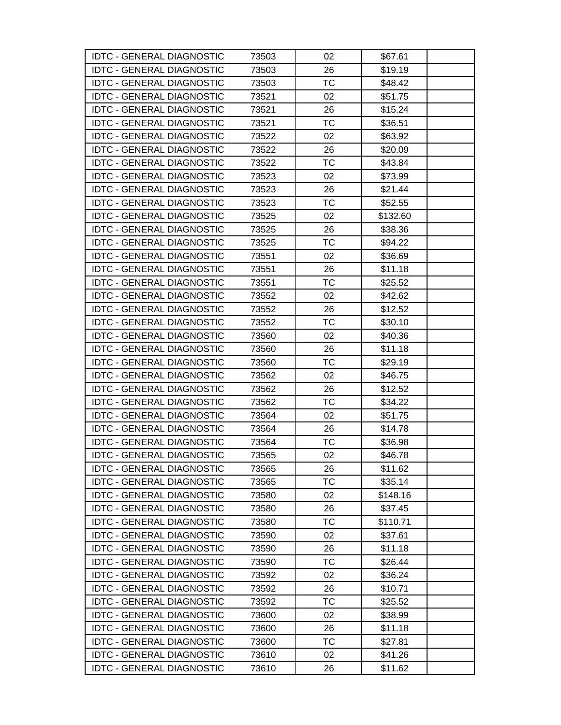| <b>IDTC - GENERAL DIAGNOSTIC</b> | 73503 | 02        | \$67.61  |  |
|----------------------------------|-------|-----------|----------|--|
| <b>IDTC - GENERAL DIAGNOSTIC</b> | 73503 | 26        | \$19.19  |  |
| <b>IDTC - GENERAL DIAGNOSTIC</b> | 73503 | TC        | \$48.42  |  |
| <b>IDTC - GENERAL DIAGNOSTIC</b> | 73521 | 02        | \$51.75  |  |
| <b>IDTC - GENERAL DIAGNOSTIC</b> | 73521 | 26        | \$15.24  |  |
| <b>IDTC - GENERAL DIAGNOSTIC</b> | 73521 | TC        | \$36.51  |  |
| <b>IDTC - GENERAL DIAGNOSTIC</b> | 73522 | 02        | \$63.92  |  |
| <b>IDTC - GENERAL DIAGNOSTIC</b> | 73522 | 26        | \$20.09  |  |
| <b>IDTC - GENERAL DIAGNOSTIC</b> | 73522 | <b>TC</b> | \$43.84  |  |
| <b>IDTC - GENERAL DIAGNOSTIC</b> | 73523 | 02        | \$73.99  |  |
| <b>IDTC - GENERAL DIAGNOSTIC</b> | 73523 | 26        | \$21.44  |  |
| <b>IDTC - GENERAL DIAGNOSTIC</b> | 73523 | TC        | \$52.55  |  |
| <b>IDTC - GENERAL DIAGNOSTIC</b> | 73525 | 02        | \$132.60 |  |
| <b>IDTC - GENERAL DIAGNOSTIC</b> | 73525 | 26        | \$38.36  |  |
| <b>IDTC - GENERAL DIAGNOSTIC</b> | 73525 | TC        | \$94.22  |  |
| <b>IDTC - GENERAL DIAGNOSTIC</b> | 73551 | 02        | \$36.69  |  |
| <b>IDTC - GENERAL DIAGNOSTIC</b> | 73551 | 26        | \$11.18  |  |
| <b>IDTC - GENERAL DIAGNOSTIC</b> | 73551 | TC        | \$25.52  |  |
| <b>IDTC - GENERAL DIAGNOSTIC</b> | 73552 | 02        | \$42.62  |  |
| <b>IDTC - GENERAL DIAGNOSTIC</b> | 73552 | 26        | \$12.52  |  |
| <b>IDTC - GENERAL DIAGNOSTIC</b> | 73552 | <b>TC</b> | \$30.10  |  |
| <b>IDTC - GENERAL DIAGNOSTIC</b> | 73560 | 02        | \$40.36  |  |
| <b>IDTC - GENERAL DIAGNOSTIC</b> | 73560 | 26        | \$11.18  |  |
| <b>IDTC - GENERAL DIAGNOSTIC</b> | 73560 | <b>TC</b> | \$29.19  |  |
| <b>IDTC - GENERAL DIAGNOSTIC</b> | 73562 | 02        | \$46.75  |  |
| <b>IDTC - GENERAL DIAGNOSTIC</b> | 73562 | 26        | \$12.52  |  |
| <b>IDTC - GENERAL DIAGNOSTIC</b> | 73562 | TC        | \$34.22  |  |
| <b>IDTC - GENERAL DIAGNOSTIC</b> | 73564 | 02        | \$51.75  |  |
| <b>IDTC - GENERAL DIAGNOSTIC</b> | 73564 | 26        | \$14.78  |  |
| <b>IDTC - GENERAL DIAGNOSTIC</b> | 73564 | TC        | \$36.98  |  |
| <b>IDTC - GENERAL DIAGNOSTIC</b> | 73565 | 02        | \$46.78  |  |
| <b>IDTC - GENERAL DIAGNOSTIC</b> | 73565 | 26        | \$11.62  |  |
| <b>IDTC - GENERAL DIAGNOSTIC</b> | 73565 | <b>TC</b> | \$35.14  |  |
| <b>IDTC - GENERAL DIAGNOSTIC</b> | 73580 | 02        | \$148.16 |  |
| <b>IDTC - GENERAL DIAGNOSTIC</b> | 73580 | 26        | \$37.45  |  |
| <b>IDTC - GENERAL DIAGNOSTIC</b> | 73580 | ТC        | \$110.71 |  |
| <b>IDTC - GENERAL DIAGNOSTIC</b> | 73590 | 02        | \$37.61  |  |
| <b>IDTC - GENERAL DIAGNOSTIC</b> | 73590 | 26        | \$11.18  |  |
| <b>IDTC - GENERAL DIAGNOSTIC</b> | 73590 | ТC        | \$26.44  |  |
| <b>IDTC - GENERAL DIAGNOSTIC</b> | 73592 | 02        | \$36.24  |  |
| <b>IDTC - GENERAL DIAGNOSTIC</b> | 73592 | 26        | \$10.71  |  |
| <b>IDTC - GENERAL DIAGNOSTIC</b> | 73592 | TC        | \$25.52  |  |
| <b>IDTC - GENERAL DIAGNOSTIC</b> | 73600 | 02        | \$38.99  |  |
| <b>IDTC - GENERAL DIAGNOSTIC</b> | 73600 | 26        | \$11.18  |  |
| <b>IDTC - GENERAL DIAGNOSTIC</b> | 73600 | TC        | \$27.81  |  |
| <b>IDTC - GENERAL DIAGNOSTIC</b> | 73610 | 02        | \$41.26  |  |
| <b>IDTC - GENERAL DIAGNOSTIC</b> | 73610 | 26        | \$11.62  |  |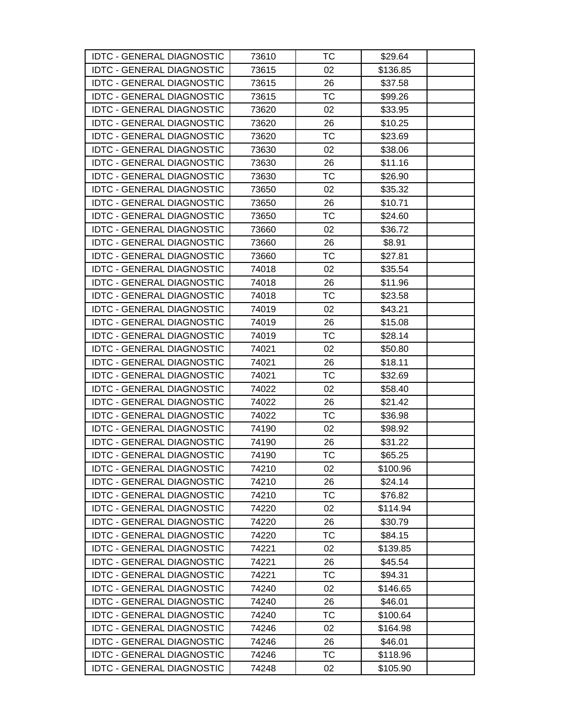| <b>IDTC - GENERAL DIAGNOSTIC</b> | 73610 | ТC        | \$29.64  |  |
|----------------------------------|-------|-----------|----------|--|
| <b>IDTC - GENERAL DIAGNOSTIC</b> | 73615 | 02        | \$136.85 |  |
| <b>IDTC - GENERAL DIAGNOSTIC</b> | 73615 | 26        | \$37.58  |  |
| <b>IDTC - GENERAL DIAGNOSTIC</b> | 73615 | <b>TC</b> | \$99.26  |  |
| <b>IDTC - GENERAL DIAGNOSTIC</b> | 73620 | 02        | \$33.95  |  |
| <b>IDTC - GENERAL DIAGNOSTIC</b> | 73620 | 26        | \$10.25  |  |
| <b>IDTC - GENERAL DIAGNOSTIC</b> | 73620 | TC        | \$23.69  |  |
| <b>IDTC - GENERAL DIAGNOSTIC</b> | 73630 | 02        | \$38.06  |  |
| <b>IDTC - GENERAL DIAGNOSTIC</b> | 73630 | 26        | \$11.16  |  |
| <b>IDTC - GENERAL DIAGNOSTIC</b> | 73630 | ТC        | \$26.90  |  |
| <b>IDTC - GENERAL DIAGNOSTIC</b> | 73650 | 02        | \$35.32  |  |
| <b>IDTC - GENERAL DIAGNOSTIC</b> | 73650 | 26        | \$10.71  |  |
| <b>IDTC - GENERAL DIAGNOSTIC</b> | 73650 | ТC        | \$24.60  |  |
| <b>IDTC - GENERAL DIAGNOSTIC</b> | 73660 | 02        | \$36.72  |  |
| <b>IDTC - GENERAL DIAGNOSTIC</b> | 73660 | 26        | \$8.91   |  |
| <b>IDTC - GENERAL DIAGNOSTIC</b> | 73660 | <b>TC</b> | \$27.81  |  |
| <b>IDTC - GENERAL DIAGNOSTIC</b> | 74018 | 02        | \$35.54  |  |
| <b>IDTC - GENERAL DIAGNOSTIC</b> | 74018 | 26        | \$11.96  |  |
| <b>IDTC - GENERAL DIAGNOSTIC</b> | 74018 | TC        | \$23.58  |  |
| <b>IDTC - GENERAL DIAGNOSTIC</b> | 74019 | 02        | \$43.21  |  |
| <b>IDTC - GENERAL DIAGNOSTIC</b> | 74019 | 26        | \$15.08  |  |
| <b>IDTC - GENERAL DIAGNOSTIC</b> | 74019 | TC        | \$28.14  |  |
| <b>IDTC - GENERAL DIAGNOSTIC</b> | 74021 | 02        | \$50.80  |  |
| <b>IDTC - GENERAL DIAGNOSTIC</b> | 74021 | 26        | \$18.11  |  |
| <b>IDTC - GENERAL DIAGNOSTIC</b> | 74021 | TC        | \$32.69  |  |
| <b>IDTC - GENERAL DIAGNOSTIC</b> | 74022 | 02        | \$58.40  |  |
| <b>IDTC - GENERAL DIAGNOSTIC</b> | 74022 | 26        | \$21.42  |  |
| <b>IDTC - GENERAL DIAGNOSTIC</b> | 74022 | TC        | \$36.98  |  |
| <b>IDTC - GENERAL DIAGNOSTIC</b> | 74190 | 02        | \$98.92  |  |
| <b>IDTC - GENERAL DIAGNOSTIC</b> | 74190 | 26        | \$31.22  |  |
| <b>IDTC - GENERAL DIAGNOSTIC</b> | 74190 | <b>TC</b> | \$65.25  |  |
| <b>IDTC - GENERAL DIAGNOSTIC</b> | 74210 | 02        | \$100.96 |  |
| <b>IDTC - GENERAL DIAGNOSTIC</b> | 74210 | 26        | \$24.14  |  |
| <b>IDTC - GENERAL DIAGNOSTIC</b> | 74210 | TC        | \$76.82  |  |
| <b>IDTC - GENERAL DIAGNOSTIC</b> | 74220 | 02        | \$114.94 |  |
| <b>IDTC - GENERAL DIAGNOSTIC</b> | 74220 | 26        | \$30.79  |  |
| <b>IDTC - GENERAL DIAGNOSTIC</b> | 74220 | <b>TC</b> | \$84.15  |  |
| <b>IDTC - GENERAL DIAGNOSTIC</b> | 74221 | 02        | \$139.85 |  |
| <b>IDTC - GENERAL DIAGNOSTIC</b> | 74221 | 26        | \$45.54  |  |
| <b>IDTC - GENERAL DIAGNOSTIC</b> | 74221 | <b>TC</b> | \$94.31  |  |
| <b>IDTC - GENERAL DIAGNOSTIC</b> | 74240 | 02        | \$146.65 |  |
| <b>IDTC - GENERAL DIAGNOSTIC</b> | 74240 | 26        | \$46.01  |  |
| <b>IDTC - GENERAL DIAGNOSTIC</b> | 74240 | <b>TC</b> | \$100.64 |  |
| <b>IDTC - GENERAL DIAGNOSTIC</b> | 74246 | 02        | \$164.98 |  |
| <b>IDTC - GENERAL DIAGNOSTIC</b> | 74246 | 26        | \$46.01  |  |
| <b>IDTC - GENERAL DIAGNOSTIC</b> | 74246 | ТC        | \$118.96 |  |
| <b>IDTC - GENERAL DIAGNOSTIC</b> | 74248 | 02        | \$105.90 |  |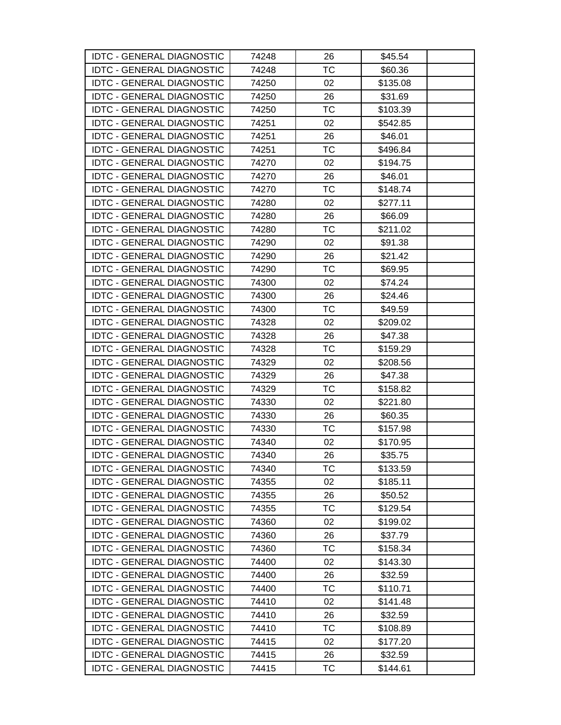| <b>IDTC - GENERAL DIAGNOSTIC</b> | 74248 | 26        | \$45.54  |  |
|----------------------------------|-------|-----------|----------|--|
| <b>IDTC - GENERAL DIAGNOSTIC</b> | 74248 | <b>TC</b> | \$60.36  |  |
| <b>IDTC - GENERAL DIAGNOSTIC</b> | 74250 | 02        | \$135.08 |  |
| <b>IDTC - GENERAL DIAGNOSTIC</b> | 74250 | 26        | \$31.69  |  |
| <b>IDTC - GENERAL DIAGNOSTIC</b> | 74250 | <b>TC</b> | \$103.39 |  |
| <b>IDTC - GENERAL DIAGNOSTIC</b> | 74251 | 02        | \$542.85 |  |
| <b>IDTC - GENERAL DIAGNOSTIC</b> | 74251 | 26        | \$46.01  |  |
| <b>IDTC - GENERAL DIAGNOSTIC</b> | 74251 | ТC        | \$496.84 |  |
| <b>IDTC - GENERAL DIAGNOSTIC</b> | 74270 | 02        | \$194.75 |  |
| <b>IDTC - GENERAL DIAGNOSTIC</b> | 74270 | 26        | \$46.01  |  |
| <b>IDTC - GENERAL DIAGNOSTIC</b> | 74270 | TC        | \$148.74 |  |
| <b>IDTC - GENERAL DIAGNOSTIC</b> | 74280 | 02        | \$277.11 |  |
| <b>IDTC - GENERAL DIAGNOSTIC</b> | 74280 | 26        | \$66.09  |  |
| <b>IDTC - GENERAL DIAGNOSTIC</b> | 74280 | ТC        | \$211.02 |  |
| <b>IDTC - GENERAL DIAGNOSTIC</b> | 74290 | 02        | \$91.38  |  |
| <b>IDTC - GENERAL DIAGNOSTIC</b> | 74290 | 26        | \$21.42  |  |
| <b>IDTC - GENERAL DIAGNOSTIC</b> | 74290 | TC        | \$69.95  |  |
| <b>IDTC - GENERAL DIAGNOSTIC</b> | 74300 | 02        | \$74.24  |  |
| <b>IDTC - GENERAL DIAGNOSTIC</b> | 74300 | 26        | \$24.46  |  |
| <b>IDTC - GENERAL DIAGNOSTIC</b> | 74300 | ТC        | \$49.59  |  |
| <b>IDTC - GENERAL DIAGNOSTIC</b> | 74328 | 02        | \$209.02 |  |
| <b>IDTC - GENERAL DIAGNOSTIC</b> | 74328 | 26        | \$47.38  |  |
| <b>IDTC - GENERAL DIAGNOSTIC</b> | 74328 | ТC        | \$159.29 |  |
| <b>IDTC - GENERAL DIAGNOSTIC</b> | 74329 | 02        | \$208.56 |  |
| <b>IDTC - GENERAL DIAGNOSTIC</b> | 74329 | 26        | \$47.38  |  |
| <b>IDTC - GENERAL DIAGNOSTIC</b> | 74329 | ТC        | \$158.82 |  |
| <b>IDTC - GENERAL DIAGNOSTIC</b> | 74330 | 02        | \$221.80 |  |
| <b>IDTC - GENERAL DIAGNOSTIC</b> | 74330 | 26        | \$60.35  |  |
| <b>IDTC - GENERAL DIAGNOSTIC</b> | 74330 | TC        | \$157.98 |  |
| <b>IDTC - GENERAL DIAGNOSTIC</b> | 74340 | 02        | \$170.95 |  |
| <b>IDTC - GENERAL DIAGNOSTIC</b> | 74340 | 26        | \$35.75  |  |
| <b>IDTC - GENERAL DIAGNOSTIC</b> | 74340 | ТC        | \$133.59 |  |
| <b>IDTC - GENERAL DIAGNOSTIC</b> | 74355 | 02        | \$185.11 |  |
| <b>IDTC - GENERAL DIAGNOSTIC</b> | 74355 | 26        | \$50.52  |  |
| <b>IDTC - GENERAL DIAGNOSTIC</b> | 74355 | TC        | \$129.54 |  |
| <b>IDTC - GENERAL DIAGNOSTIC</b> | 74360 | 02        | \$199.02 |  |
| <b>IDTC - GENERAL DIAGNOSTIC</b> | 74360 | 26        | \$37.79  |  |
| <b>IDTC - GENERAL DIAGNOSTIC</b> | 74360 | ТC        | \$158.34 |  |
| <b>IDTC - GENERAL DIAGNOSTIC</b> | 74400 | 02        | \$143.30 |  |
| <b>IDTC - GENERAL DIAGNOSTIC</b> | 74400 | 26        | \$32.59  |  |
| <b>IDTC - GENERAL DIAGNOSTIC</b> | 74400 | ТC        | \$110.71 |  |
| <b>IDTC - GENERAL DIAGNOSTIC</b> | 74410 | 02        | \$141.48 |  |
| <b>IDTC - GENERAL DIAGNOSTIC</b> | 74410 | 26        | \$32.59  |  |
| <b>IDTC - GENERAL DIAGNOSTIC</b> | 74410 | <b>TC</b> | \$108.89 |  |
| <b>IDTC - GENERAL DIAGNOSTIC</b> | 74415 | 02        | \$177.20 |  |
| <b>IDTC - GENERAL DIAGNOSTIC</b> | 74415 | 26        | \$32.59  |  |
| <b>IDTC - GENERAL DIAGNOSTIC</b> | 74415 | <b>TC</b> | \$144.61 |  |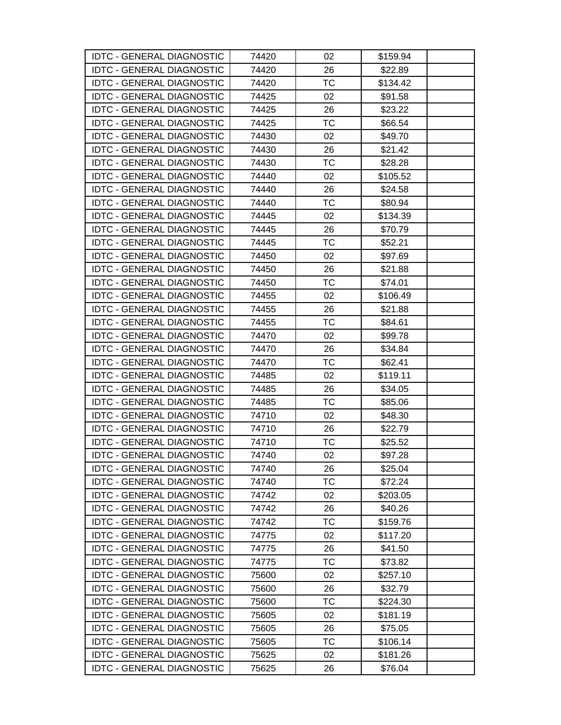| <b>IDTC - GENERAL DIAGNOSTIC</b> | 74420 | 02        | \$159.94 |  |
|----------------------------------|-------|-----------|----------|--|
| <b>IDTC - GENERAL DIAGNOSTIC</b> | 74420 | 26        | \$22.89  |  |
| <b>IDTC - GENERAL DIAGNOSTIC</b> | 74420 | TC        | \$134.42 |  |
| <b>IDTC - GENERAL DIAGNOSTIC</b> | 74425 | 02        | \$91.58  |  |
| <b>IDTC - GENERAL DIAGNOSTIC</b> | 74425 | 26        | \$23.22  |  |
| <b>IDTC - GENERAL DIAGNOSTIC</b> | 74425 | ТC        | \$66.54  |  |
| <b>IDTC - GENERAL DIAGNOSTIC</b> | 74430 | 02        | \$49.70  |  |
| <b>IDTC - GENERAL DIAGNOSTIC</b> | 74430 | 26        | \$21.42  |  |
| <b>IDTC - GENERAL DIAGNOSTIC</b> | 74430 | <b>TC</b> | \$28.28  |  |
| <b>IDTC - GENERAL DIAGNOSTIC</b> | 74440 | 02        | \$105.52 |  |
| <b>IDTC - GENERAL DIAGNOSTIC</b> | 74440 | 26        | \$24.58  |  |
| <b>IDTC - GENERAL DIAGNOSTIC</b> | 74440 | ТC        | \$80.94  |  |
| <b>IDTC - GENERAL DIAGNOSTIC</b> | 74445 | 02        | \$134.39 |  |
| <b>IDTC - GENERAL DIAGNOSTIC</b> | 74445 | 26        | \$70.79  |  |
| <b>IDTC - GENERAL DIAGNOSTIC</b> | 74445 | ТC        | \$52.21  |  |
| <b>IDTC - GENERAL DIAGNOSTIC</b> | 74450 | 02        | \$97.69  |  |
| <b>IDTC - GENERAL DIAGNOSTIC</b> | 74450 | 26        | \$21.88  |  |
| <b>IDTC - GENERAL DIAGNOSTIC</b> | 74450 | <b>TC</b> | \$74.01  |  |
| <b>IDTC - GENERAL DIAGNOSTIC</b> | 74455 | 02        | \$106.49 |  |
| <b>IDTC - GENERAL DIAGNOSTIC</b> | 74455 | 26        | \$21.88  |  |
| <b>IDTC - GENERAL DIAGNOSTIC</b> | 74455 | <b>TC</b> | \$84.61  |  |
| <b>IDTC - GENERAL DIAGNOSTIC</b> | 74470 | 02        | \$99.78  |  |
| <b>IDTC - GENERAL DIAGNOSTIC</b> | 74470 | 26        | \$34.84  |  |
| <b>IDTC - GENERAL DIAGNOSTIC</b> | 74470 | <b>TC</b> | \$62.41  |  |
| <b>IDTC - GENERAL DIAGNOSTIC</b> | 74485 | 02        | \$119.11 |  |
| <b>IDTC - GENERAL DIAGNOSTIC</b> | 74485 | 26        | \$34.05  |  |
| <b>IDTC - GENERAL DIAGNOSTIC</b> | 74485 | <b>TC</b> | \$85.06  |  |
| <b>IDTC - GENERAL DIAGNOSTIC</b> | 74710 | 02        | \$48.30  |  |
| <b>IDTC - GENERAL DIAGNOSTIC</b> | 74710 | 26        | \$22.79  |  |
| <b>IDTC - GENERAL DIAGNOSTIC</b> | 74710 | TC        | \$25.52  |  |
| <b>IDTC - GENERAL DIAGNOSTIC</b> | 74740 | 02        | \$97.28  |  |
| <b>IDTC - GENERAL DIAGNOSTIC</b> | 74740 | 26        | \$25.04  |  |
| <b>IDTC - GENERAL DIAGNOSTIC</b> | 74740 | <b>TC</b> | \$72.24  |  |
| <b>IDTC - GENERAL DIAGNOSTIC</b> | 74742 | 02        | \$203.05 |  |
| <b>IDTC - GENERAL DIAGNOSTIC</b> | 74742 | 26        | \$40.26  |  |
| <b>IDTC - GENERAL DIAGNOSTIC</b> | 74742 | ТC        | \$159.76 |  |
| <b>IDTC - GENERAL DIAGNOSTIC</b> | 74775 | 02        | \$117.20 |  |
| <b>IDTC - GENERAL DIAGNOSTIC</b> | 74775 | 26        | \$41.50  |  |
| <b>IDTC - GENERAL DIAGNOSTIC</b> | 74775 | TC        | \$73.82  |  |
| <b>IDTC - GENERAL DIAGNOSTIC</b> | 75600 | 02        | \$257.10 |  |
| <b>IDTC - GENERAL DIAGNOSTIC</b> | 75600 | 26        | \$32.79  |  |
| <b>IDTC - GENERAL DIAGNOSTIC</b> | 75600 | ТC        | \$224.30 |  |
| <b>IDTC - GENERAL DIAGNOSTIC</b> | 75605 | 02        | \$181.19 |  |
| <b>IDTC - GENERAL DIAGNOSTIC</b> | 75605 | 26        | \$75.05  |  |
| <b>IDTC - GENERAL DIAGNOSTIC</b> | 75605 | ТC        | \$106.14 |  |
| <b>IDTC - GENERAL DIAGNOSTIC</b> | 75625 | 02        | \$181.26 |  |
| <b>IDTC - GENERAL DIAGNOSTIC</b> | 75625 | 26        | \$76.04  |  |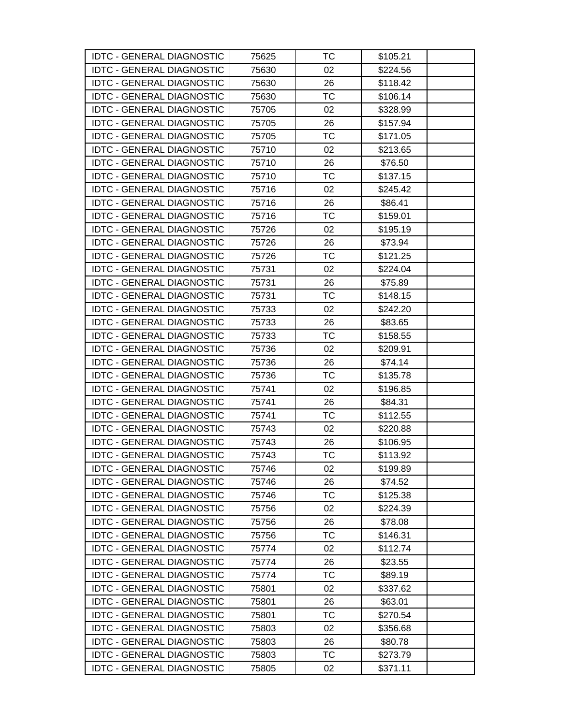| <b>IDTC - GENERAL DIAGNOSTIC</b> | 75625 | ТC        | \$105.21 |  |
|----------------------------------|-------|-----------|----------|--|
| <b>IDTC - GENERAL DIAGNOSTIC</b> | 75630 | 02        | \$224.56 |  |
| <b>IDTC - GENERAL DIAGNOSTIC</b> | 75630 | 26        | \$118.42 |  |
| <b>IDTC - GENERAL DIAGNOSTIC</b> | 75630 | <b>TC</b> | \$106.14 |  |
| <b>IDTC - GENERAL DIAGNOSTIC</b> | 75705 | 02        | \$328.99 |  |
| <b>IDTC - GENERAL DIAGNOSTIC</b> | 75705 | 26        | \$157.94 |  |
| <b>IDTC - GENERAL DIAGNOSTIC</b> | 75705 | <b>TC</b> | \$171.05 |  |
| <b>IDTC - GENERAL DIAGNOSTIC</b> | 75710 | 02        | \$213.65 |  |
| <b>IDTC - GENERAL DIAGNOSTIC</b> | 75710 | 26        | \$76.50  |  |
| <b>IDTC - GENERAL DIAGNOSTIC</b> | 75710 | TC        | \$137.15 |  |
| <b>IDTC - GENERAL DIAGNOSTIC</b> | 75716 | 02        | \$245.42 |  |
| <b>IDTC - GENERAL DIAGNOSTIC</b> | 75716 | 26        | \$86.41  |  |
| <b>IDTC - GENERAL DIAGNOSTIC</b> | 75716 | ТC        | \$159.01 |  |
| <b>IDTC - GENERAL DIAGNOSTIC</b> | 75726 | 02        | \$195.19 |  |
| <b>IDTC - GENERAL DIAGNOSTIC</b> | 75726 | 26        | \$73.94  |  |
| <b>IDTC - GENERAL DIAGNOSTIC</b> | 75726 | <b>TC</b> | \$121.25 |  |
| <b>IDTC - GENERAL DIAGNOSTIC</b> | 75731 | 02        | \$224.04 |  |
| <b>IDTC - GENERAL DIAGNOSTIC</b> | 75731 | 26        | \$75.89  |  |
| <b>IDTC - GENERAL DIAGNOSTIC</b> | 75731 | ТC        | \$148.15 |  |
| <b>IDTC - GENERAL DIAGNOSTIC</b> | 75733 | 02        | \$242.20 |  |
| <b>IDTC - GENERAL DIAGNOSTIC</b> | 75733 | 26        | \$83.65  |  |
| <b>IDTC - GENERAL DIAGNOSTIC</b> | 75733 | <b>TC</b> | \$158.55 |  |
| <b>IDTC - GENERAL DIAGNOSTIC</b> | 75736 | 02        | \$209.91 |  |
| <b>IDTC - GENERAL DIAGNOSTIC</b> | 75736 | 26        | \$74.14  |  |
| <b>IDTC - GENERAL DIAGNOSTIC</b> | 75736 | TC        | \$135.78 |  |
| <b>IDTC - GENERAL DIAGNOSTIC</b> | 75741 | 02        | \$196.85 |  |
| <b>IDTC - GENERAL DIAGNOSTIC</b> | 75741 | 26        | \$84.31  |  |
| <b>IDTC - GENERAL DIAGNOSTIC</b> | 75741 | ТC        | \$112.55 |  |
| <b>IDTC - GENERAL DIAGNOSTIC</b> | 75743 | 02        | \$220.88 |  |
| <b>IDTC - GENERAL DIAGNOSTIC</b> | 75743 | 26        | \$106.95 |  |
| <b>IDTC - GENERAL DIAGNOSTIC</b> | 75743 | <b>TC</b> | \$113.92 |  |
| <b>IDTC - GENERAL DIAGNOSTIC</b> | 75746 | 02        | \$199.89 |  |
| <b>IDTC - GENERAL DIAGNOSTIC</b> | 75746 | 26        | \$74.52  |  |
| <b>IDTC - GENERAL DIAGNOSTIC</b> | 75746 | ТC        | \$125.38 |  |
| <b>IDTC - GENERAL DIAGNOSTIC</b> | 75756 | 02        | \$224.39 |  |
| <b>IDTC - GENERAL DIAGNOSTIC</b> | 75756 | 26        | \$78.08  |  |
| <b>IDTC - GENERAL DIAGNOSTIC</b> | 75756 | TC        | \$146.31 |  |
| <b>IDTC - GENERAL DIAGNOSTIC</b> | 75774 | 02        | \$112.74 |  |
| <b>IDTC - GENERAL DIAGNOSTIC</b> | 75774 | 26        | \$23.55  |  |
| <b>IDTC - GENERAL DIAGNOSTIC</b> | 75774 | <b>TC</b> | \$89.19  |  |
| <b>IDTC - GENERAL DIAGNOSTIC</b> | 75801 | 02        | \$337.62 |  |
| <b>IDTC - GENERAL DIAGNOSTIC</b> | 75801 | 26        | \$63.01  |  |
| <b>IDTC - GENERAL DIAGNOSTIC</b> | 75801 | TC        | \$270.54 |  |
| <b>IDTC - GENERAL DIAGNOSTIC</b> | 75803 | 02        | \$356.68 |  |
| <b>IDTC - GENERAL DIAGNOSTIC</b> | 75803 | 26        | \$80.78  |  |
| <b>IDTC - GENERAL DIAGNOSTIC</b> | 75803 | ТC        | \$273.79 |  |
| <b>IDTC - GENERAL DIAGNOSTIC</b> | 75805 | 02        | \$371.11 |  |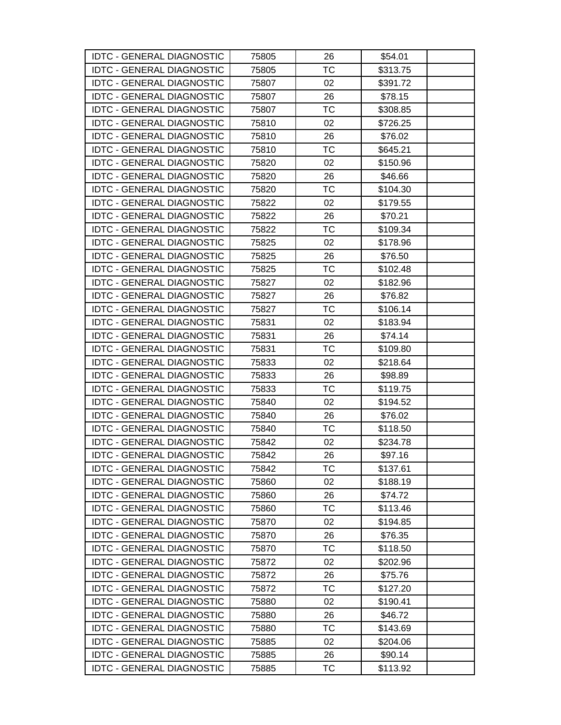| <b>IDTC - GENERAL DIAGNOSTIC</b> | 75805 | 26        | \$54.01  |  |
|----------------------------------|-------|-----------|----------|--|
| <b>IDTC - GENERAL DIAGNOSTIC</b> | 75805 | <b>TC</b> | \$313.75 |  |
| <b>IDTC - GENERAL DIAGNOSTIC</b> | 75807 | 02        | \$391.72 |  |
| <b>IDTC - GENERAL DIAGNOSTIC</b> | 75807 | 26        | \$78.15  |  |
| <b>IDTC - GENERAL DIAGNOSTIC</b> | 75807 | <b>TC</b> | \$308.85 |  |
| <b>IDTC - GENERAL DIAGNOSTIC</b> | 75810 | 02        | \$726.25 |  |
| <b>IDTC - GENERAL DIAGNOSTIC</b> | 75810 | 26        | \$76.02  |  |
| <b>IDTC - GENERAL DIAGNOSTIC</b> | 75810 | ТC        | \$645.21 |  |
| <b>IDTC - GENERAL DIAGNOSTIC</b> | 75820 | 02        | \$150.96 |  |
| <b>IDTC - GENERAL DIAGNOSTIC</b> | 75820 | 26        | \$46.66  |  |
| <b>IDTC - GENERAL DIAGNOSTIC</b> | 75820 | TC        | \$104.30 |  |
| <b>IDTC - GENERAL DIAGNOSTIC</b> | 75822 | 02        | \$179.55 |  |
| <b>IDTC - GENERAL DIAGNOSTIC</b> | 75822 | 26        | \$70.21  |  |
| <b>IDTC - GENERAL DIAGNOSTIC</b> | 75822 | ТC        | \$109.34 |  |
| <b>IDTC - GENERAL DIAGNOSTIC</b> | 75825 | 02        | \$178.96 |  |
| <b>IDTC - GENERAL DIAGNOSTIC</b> | 75825 | 26        | \$76.50  |  |
| <b>IDTC - GENERAL DIAGNOSTIC</b> | 75825 | TC        | \$102.48 |  |
| <b>IDTC - GENERAL DIAGNOSTIC</b> | 75827 | 02        | \$182.96 |  |
| <b>IDTC - GENERAL DIAGNOSTIC</b> | 75827 | 26        | \$76.82  |  |
| <b>IDTC - GENERAL DIAGNOSTIC</b> | 75827 | ТC        | \$106.14 |  |
| <b>IDTC - GENERAL DIAGNOSTIC</b> | 75831 | 02        | \$183.94 |  |
| <b>IDTC - GENERAL DIAGNOSTIC</b> | 75831 | 26        | \$74.14  |  |
| <b>IDTC - GENERAL DIAGNOSTIC</b> | 75831 | TC        | \$109.80 |  |
| <b>IDTC - GENERAL DIAGNOSTIC</b> | 75833 | 02        | \$218.64 |  |
| <b>IDTC - GENERAL DIAGNOSTIC</b> | 75833 | 26        | \$98.89  |  |
| <b>IDTC - GENERAL DIAGNOSTIC</b> | 75833 | ТC        | \$119.75 |  |
| <b>IDTC - GENERAL DIAGNOSTIC</b> | 75840 | 02        | \$194.52 |  |
| <b>IDTC - GENERAL DIAGNOSTIC</b> | 75840 | 26        | \$76.02  |  |
| <b>IDTC - GENERAL DIAGNOSTIC</b> | 75840 | TC        | \$118.50 |  |
| <b>IDTC - GENERAL DIAGNOSTIC</b> | 75842 | 02        | \$234.78 |  |
| <b>IDTC - GENERAL DIAGNOSTIC</b> | 75842 | 26        | \$97.16  |  |
| <b>IDTC - GENERAL DIAGNOSTIC</b> | 75842 | ТC        | \$137.61 |  |
| <b>IDTC - GENERAL DIAGNOSTIC</b> | 75860 | 02        | \$188.19 |  |
| <b>IDTC - GENERAL DIAGNOSTIC</b> | 75860 | 26        | \$74.72  |  |
| <b>IDTC - GENERAL DIAGNOSTIC</b> | 75860 | TC        | \$113.46 |  |
| <b>IDTC - GENERAL DIAGNOSTIC</b> | 75870 | 02        | \$194.85 |  |
| <b>IDTC - GENERAL DIAGNOSTIC</b> | 75870 | 26        | \$76.35  |  |
| <b>IDTC - GENERAL DIAGNOSTIC</b> | 75870 | ТC        | \$118.50 |  |
| <b>IDTC - GENERAL DIAGNOSTIC</b> | 75872 | 02        | \$202.96 |  |
| <b>IDTC - GENERAL DIAGNOSTIC</b> | 75872 | 26        | \$75.76  |  |
| <b>IDTC - GENERAL DIAGNOSTIC</b> | 75872 | ТC        | \$127.20 |  |
| <b>IDTC - GENERAL DIAGNOSTIC</b> | 75880 | 02        | \$190.41 |  |
| <b>IDTC - GENERAL DIAGNOSTIC</b> | 75880 | 26        | \$46.72  |  |
| <b>IDTC - GENERAL DIAGNOSTIC</b> | 75880 | <b>TC</b> | \$143.69 |  |
| <b>IDTC - GENERAL DIAGNOSTIC</b> | 75885 | 02        | \$204.06 |  |
| <b>IDTC - GENERAL DIAGNOSTIC</b> | 75885 | 26        | \$90.14  |  |
| <b>IDTC - GENERAL DIAGNOSTIC</b> | 75885 | <b>TC</b> | \$113.92 |  |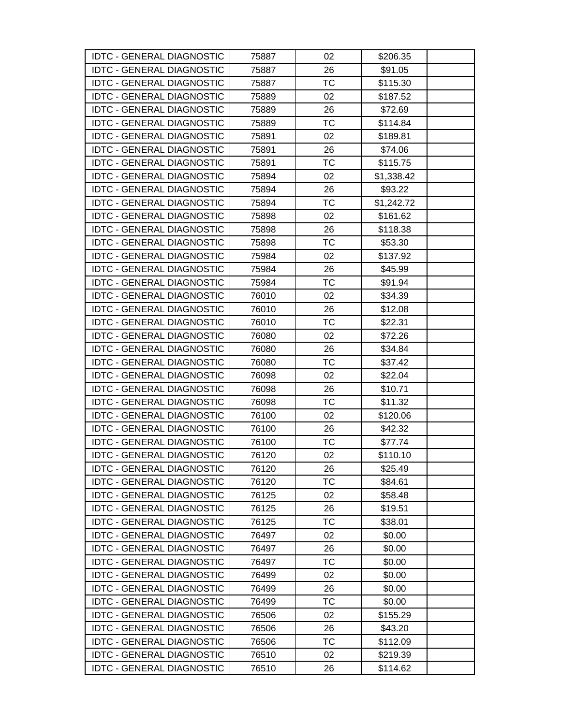| <b>IDTC - GENERAL DIAGNOSTIC</b> | 75887 | 02        | \$206.35   |  |
|----------------------------------|-------|-----------|------------|--|
| <b>IDTC - GENERAL DIAGNOSTIC</b> | 75887 | 26        | \$91.05    |  |
| <b>IDTC - GENERAL DIAGNOSTIC</b> | 75887 | <b>TC</b> | \$115.30   |  |
| <b>IDTC - GENERAL DIAGNOSTIC</b> | 75889 | 02        | \$187.52   |  |
| <b>IDTC - GENERAL DIAGNOSTIC</b> | 75889 | 26        | \$72.69    |  |
| <b>IDTC - GENERAL DIAGNOSTIC</b> | 75889 | <b>TC</b> | \$114.84   |  |
| <b>IDTC - GENERAL DIAGNOSTIC</b> | 75891 | 02        | \$189.81   |  |
| <b>IDTC - GENERAL DIAGNOSTIC</b> | 75891 | 26        | \$74.06    |  |
| <b>IDTC - GENERAL DIAGNOSTIC</b> | 75891 | <b>TC</b> | \$115.75   |  |
| <b>IDTC - GENERAL DIAGNOSTIC</b> | 75894 | 02        | \$1,338.42 |  |
| <b>IDTC - GENERAL DIAGNOSTIC</b> | 75894 | 26        | \$93.22    |  |
| <b>IDTC - GENERAL DIAGNOSTIC</b> | 75894 | ТC        | \$1,242.72 |  |
| <b>IDTC - GENERAL DIAGNOSTIC</b> | 75898 | 02        | \$161.62   |  |
| <b>IDTC - GENERAL DIAGNOSTIC</b> | 75898 | 26        | \$118.38   |  |
| <b>IDTC - GENERAL DIAGNOSTIC</b> | 75898 | ТC        | \$53.30    |  |
| <b>IDTC - GENERAL DIAGNOSTIC</b> | 75984 | 02        | \$137.92   |  |
| <b>IDTC - GENERAL DIAGNOSTIC</b> | 75984 | 26        | \$45.99    |  |
| <b>IDTC - GENERAL DIAGNOSTIC</b> | 75984 | ТC        | \$91.94    |  |
| <b>IDTC - GENERAL DIAGNOSTIC</b> | 76010 | 02        | \$34.39    |  |
| <b>IDTC - GENERAL DIAGNOSTIC</b> | 76010 | 26        | \$12.08    |  |
| <b>IDTC - GENERAL DIAGNOSTIC</b> | 76010 | <b>TC</b> | \$22.31    |  |
| <b>IDTC - GENERAL DIAGNOSTIC</b> | 76080 | 02        | \$72.26    |  |
| <b>IDTC - GENERAL DIAGNOSTIC</b> | 76080 | 26        | \$34.84    |  |
| <b>IDTC - GENERAL DIAGNOSTIC</b> | 76080 | TC        | \$37.42    |  |
| <b>IDTC - GENERAL DIAGNOSTIC</b> | 76098 | 02        | \$22.04    |  |
| <b>IDTC - GENERAL DIAGNOSTIC</b> | 76098 | 26        | \$10.71    |  |
| <b>IDTC - GENERAL DIAGNOSTIC</b> | 76098 | ТC        | \$11.32    |  |
| <b>IDTC - GENERAL DIAGNOSTIC</b> | 76100 | 02        | \$120.06   |  |
| <b>IDTC - GENERAL DIAGNOSTIC</b> | 76100 | 26        | \$42.32    |  |
| <b>IDTC - GENERAL DIAGNOSTIC</b> | 76100 | TC        | \$77.74    |  |
| <b>IDTC - GENERAL DIAGNOSTIC</b> | 76120 | 02        | \$110.10   |  |
| <b>IDTC - GENERAL DIAGNOSTIC</b> | 76120 | 26        | \$25.49    |  |
| <b>IDTC - GENERAL DIAGNOSTIC</b> | 76120 | ТC        | \$84.61    |  |
| <b>IDTC - GENERAL DIAGNOSTIC</b> | 76125 | 02        | \$58.48    |  |
| <b>IDTC - GENERAL DIAGNOSTIC</b> | 76125 | 26        | \$19.51    |  |
| <b>IDTC - GENERAL DIAGNOSTIC</b> | 76125 | ТC        | \$38.01    |  |
| <b>IDTC - GENERAL DIAGNOSTIC</b> | 76497 | 02        | \$0.00     |  |
| <b>IDTC - GENERAL DIAGNOSTIC</b> | 76497 | 26        | \$0.00     |  |
| <b>IDTC - GENERAL DIAGNOSTIC</b> | 76497 | ТC        | \$0.00     |  |
| <b>IDTC - GENERAL DIAGNOSTIC</b> | 76499 | 02        | \$0.00     |  |
| <b>IDTC - GENERAL DIAGNOSTIC</b> | 76499 | 26        | \$0.00     |  |
| <b>IDTC - GENERAL DIAGNOSTIC</b> | 76499 | ТC        | \$0.00     |  |
| <b>IDTC - GENERAL DIAGNOSTIC</b> | 76506 | 02        | \$155.29   |  |
| <b>IDTC - GENERAL DIAGNOSTIC</b> | 76506 | 26        | \$43.20    |  |
| <b>IDTC - GENERAL DIAGNOSTIC</b> | 76506 | ТC        | \$112.09   |  |
| <b>IDTC - GENERAL DIAGNOSTIC</b> | 76510 | 02        | \$219.39   |  |
| <b>IDTC - GENERAL DIAGNOSTIC</b> | 76510 | 26        | \$114.62   |  |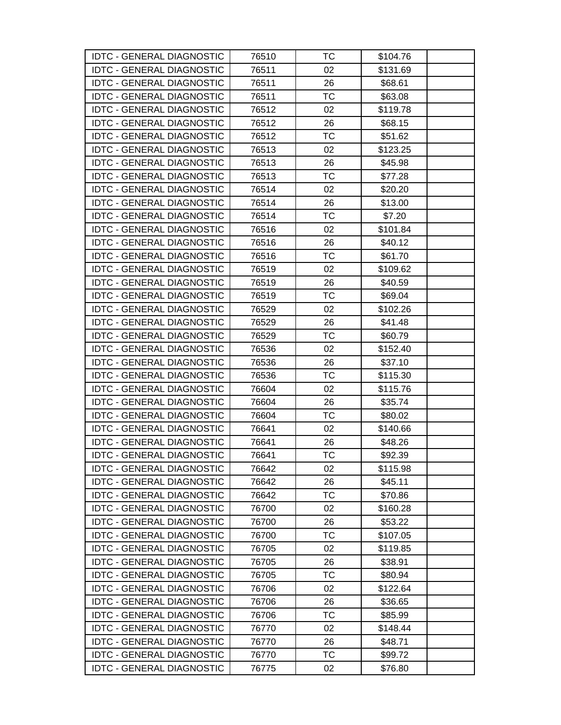| <b>IDTC - GENERAL DIAGNOSTIC</b> | 76510 | ТC        | \$104.76 |  |
|----------------------------------|-------|-----------|----------|--|
| <b>IDTC - GENERAL DIAGNOSTIC</b> | 76511 | 02        | \$131.69 |  |
| <b>IDTC - GENERAL DIAGNOSTIC</b> | 76511 | 26        | \$68.61  |  |
| <b>IDTC - GENERAL DIAGNOSTIC</b> | 76511 | <b>TC</b> | \$63.08  |  |
| <b>IDTC - GENERAL DIAGNOSTIC</b> | 76512 | 02        | \$119.78 |  |
| <b>IDTC - GENERAL DIAGNOSTIC</b> | 76512 | 26        | \$68.15  |  |
| <b>IDTC - GENERAL DIAGNOSTIC</b> | 76512 | <b>TC</b> | \$51.62  |  |
| <b>IDTC - GENERAL DIAGNOSTIC</b> | 76513 | 02        | \$123.25 |  |
| <b>IDTC - GENERAL DIAGNOSTIC</b> | 76513 | 26        | \$45.98  |  |
| <b>IDTC - GENERAL DIAGNOSTIC</b> | 76513 | TC        | \$77.28  |  |
| <b>IDTC - GENERAL DIAGNOSTIC</b> | 76514 | 02        | \$20.20  |  |
| <b>IDTC - GENERAL DIAGNOSTIC</b> | 76514 | 26        | \$13.00  |  |
| <b>IDTC - GENERAL DIAGNOSTIC</b> | 76514 | ТC        | \$7.20   |  |
| <b>IDTC - GENERAL DIAGNOSTIC</b> | 76516 | 02        | \$101.84 |  |
| <b>IDTC - GENERAL DIAGNOSTIC</b> | 76516 | 26        | \$40.12  |  |
| <b>IDTC - GENERAL DIAGNOSTIC</b> | 76516 | <b>TC</b> | \$61.70  |  |
| <b>IDTC - GENERAL DIAGNOSTIC</b> | 76519 | 02        | \$109.62 |  |
| <b>IDTC - GENERAL DIAGNOSTIC</b> | 76519 | 26        | \$40.59  |  |
| <b>IDTC - GENERAL DIAGNOSTIC</b> | 76519 | ТC        | \$69.04  |  |
| <b>IDTC - GENERAL DIAGNOSTIC</b> | 76529 | 02        | \$102.26 |  |
| <b>IDTC - GENERAL DIAGNOSTIC</b> | 76529 | 26        | \$41.48  |  |
| <b>IDTC - GENERAL DIAGNOSTIC</b> | 76529 | <b>TC</b> | \$60.79  |  |
| <b>IDTC - GENERAL DIAGNOSTIC</b> | 76536 | 02        | \$152.40 |  |
| <b>IDTC - GENERAL DIAGNOSTIC</b> | 76536 | 26        | \$37.10  |  |
| <b>IDTC - GENERAL DIAGNOSTIC</b> | 76536 | TC        | \$115.30 |  |
| <b>IDTC - GENERAL DIAGNOSTIC</b> | 76604 | 02        | \$115.76 |  |
| <b>IDTC - GENERAL DIAGNOSTIC</b> | 76604 | 26        | \$35.74  |  |
| <b>IDTC - GENERAL DIAGNOSTIC</b> | 76604 | ТC        | \$80.02  |  |
| <b>IDTC - GENERAL DIAGNOSTIC</b> | 76641 | 02        | \$140.66 |  |
| <b>IDTC - GENERAL DIAGNOSTIC</b> | 76641 | 26        | \$48.26  |  |
| <b>IDTC - GENERAL DIAGNOSTIC</b> | 76641 | <b>TC</b> | \$92.39  |  |
| <b>IDTC - GENERAL DIAGNOSTIC</b> | 76642 | 02        | \$115.98 |  |
| <b>IDTC - GENERAL DIAGNOSTIC</b> | 76642 | 26        | \$45.11  |  |
| <b>IDTC - GENERAL DIAGNOSTIC</b> | 76642 | ТC        | \$70.86  |  |
| <b>IDTC - GENERAL DIAGNOSTIC</b> | 76700 | 02        | \$160.28 |  |
| <b>IDTC - GENERAL DIAGNOSTIC</b> | 76700 | 26        | \$53.22  |  |
| <b>IDTC - GENERAL DIAGNOSTIC</b> | 76700 | TC        | \$107.05 |  |
| <b>IDTC - GENERAL DIAGNOSTIC</b> | 76705 | 02        | \$119.85 |  |
| <b>IDTC - GENERAL DIAGNOSTIC</b> | 76705 | 26        | \$38.91  |  |
| <b>IDTC - GENERAL DIAGNOSTIC</b> | 76705 | <b>TC</b> | \$80.94  |  |
| <b>IDTC - GENERAL DIAGNOSTIC</b> | 76706 | 02        | \$122.64 |  |
| <b>IDTC - GENERAL DIAGNOSTIC</b> | 76706 | 26        | \$36.65  |  |
| <b>IDTC - GENERAL DIAGNOSTIC</b> | 76706 | TC        | \$85.99  |  |
| <b>IDTC - GENERAL DIAGNOSTIC</b> | 76770 | 02        | \$148.44 |  |
| <b>IDTC - GENERAL DIAGNOSTIC</b> | 76770 | 26        | \$48.71  |  |
| <b>IDTC - GENERAL DIAGNOSTIC</b> | 76770 | TC        | \$99.72  |  |
| <b>IDTC - GENERAL DIAGNOSTIC</b> | 76775 | 02        | \$76.80  |  |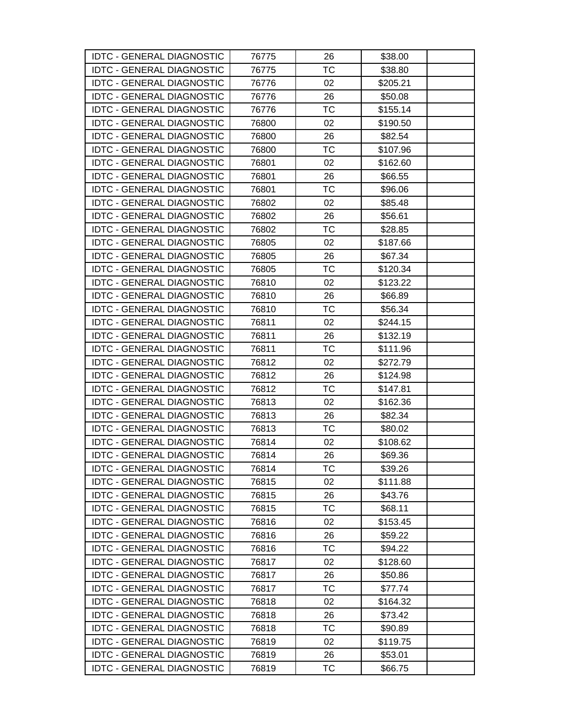| <b>IDTC - GENERAL DIAGNOSTIC</b> | 76775 | 26        | \$38.00  |
|----------------------------------|-------|-----------|----------|
| <b>IDTC - GENERAL DIAGNOSTIC</b> | 76775 | <b>TC</b> | \$38.80  |
| <b>IDTC - GENERAL DIAGNOSTIC</b> | 76776 | 02        | \$205.21 |
| <b>IDTC - GENERAL DIAGNOSTIC</b> | 76776 | 26        | \$50.08  |
| <b>IDTC - GENERAL DIAGNOSTIC</b> | 76776 | <b>TC</b> | \$155.14 |
| <b>IDTC - GENERAL DIAGNOSTIC</b> | 76800 | 02        | \$190.50 |
| <b>IDTC - GENERAL DIAGNOSTIC</b> | 76800 | 26        | \$82.54  |
| <b>IDTC - GENERAL DIAGNOSTIC</b> | 76800 | ТC        | \$107.96 |
| <b>IDTC - GENERAL DIAGNOSTIC</b> | 76801 | 02        | \$162.60 |
| <b>IDTC - GENERAL DIAGNOSTIC</b> | 76801 | 26        | \$66.55  |
| <b>IDTC - GENERAL DIAGNOSTIC</b> | 76801 | TC        | \$96.06  |
| <b>IDTC - GENERAL DIAGNOSTIC</b> | 76802 | 02        | \$85.48  |
| <b>IDTC - GENERAL DIAGNOSTIC</b> | 76802 | 26        | \$56.61  |
| <b>IDTC - GENERAL DIAGNOSTIC</b> | 76802 | ТC        | \$28.85  |
| <b>IDTC - GENERAL DIAGNOSTIC</b> | 76805 | 02        | \$187.66 |
| <b>IDTC - GENERAL DIAGNOSTIC</b> | 76805 | 26        | \$67.34  |
| <b>IDTC - GENERAL DIAGNOSTIC</b> | 76805 | TC        | \$120.34 |
| <b>IDTC - GENERAL DIAGNOSTIC</b> | 76810 | 02        | \$123.22 |
| <b>IDTC - GENERAL DIAGNOSTIC</b> | 76810 | 26        | \$66.89  |
| <b>IDTC - GENERAL DIAGNOSTIC</b> | 76810 | ТC        | \$56.34  |
| <b>IDTC - GENERAL DIAGNOSTIC</b> | 76811 | 02        | \$244.15 |
| <b>IDTC - GENERAL DIAGNOSTIC</b> | 76811 | 26        | \$132.19 |
| <b>IDTC - GENERAL DIAGNOSTIC</b> | 76811 | TC        | \$111.96 |
| <b>IDTC - GENERAL DIAGNOSTIC</b> | 76812 | 02        | \$272.79 |
| <b>IDTC - GENERAL DIAGNOSTIC</b> | 76812 | 26        | \$124.98 |
| <b>IDTC - GENERAL DIAGNOSTIC</b> | 76812 | ТC        | \$147.81 |
| <b>IDTC - GENERAL DIAGNOSTIC</b> | 76813 | 02        | \$162.36 |
| <b>IDTC - GENERAL DIAGNOSTIC</b> | 76813 | 26        | \$82.34  |
| <b>IDTC - GENERAL DIAGNOSTIC</b> | 76813 | TC        | \$80.02  |
| <b>IDTC - GENERAL DIAGNOSTIC</b> | 76814 | 02        | \$108.62 |
| <b>IDTC - GENERAL DIAGNOSTIC</b> | 76814 | 26        | \$69.36  |
| <b>IDTC - GENERAL DIAGNOSTIC</b> | 76814 | ТC        | \$39.26  |
| <b>IDTC - GENERAL DIAGNOSTIC</b> | 76815 | 02        | \$111.88 |
| <b>IDTC - GENERAL DIAGNOSTIC</b> | 76815 | 26        | \$43.76  |
| <b>IDTC - GENERAL DIAGNOSTIC</b> | 76815 | TC        | \$68.11  |
| <b>IDTC - GENERAL DIAGNOSTIC</b> | 76816 | 02        | \$153.45 |
| <b>IDTC - GENERAL DIAGNOSTIC</b> | 76816 | 26        | \$59.22  |
| <b>IDTC - GENERAL DIAGNOSTIC</b> | 76816 | ТC        | \$94.22  |
| <b>IDTC - GENERAL DIAGNOSTIC</b> | 76817 | 02        | \$128.60 |
| <b>IDTC - GENERAL DIAGNOSTIC</b> | 76817 | 26        | \$50.86  |
| <b>IDTC - GENERAL DIAGNOSTIC</b> | 76817 | ТC        | \$77.74  |
| <b>IDTC - GENERAL DIAGNOSTIC</b> | 76818 | 02        | \$164.32 |
| <b>IDTC - GENERAL DIAGNOSTIC</b> | 76818 | 26        | \$73.42  |
| <b>IDTC - GENERAL DIAGNOSTIC</b> | 76818 | <b>TC</b> | \$90.89  |
| <b>IDTC - GENERAL DIAGNOSTIC</b> | 76819 | 02        | \$119.75 |
| <b>IDTC - GENERAL DIAGNOSTIC</b> | 76819 | 26        | \$53.01  |
| <b>IDTC - GENERAL DIAGNOSTIC</b> | 76819 | <b>TC</b> | \$66.75  |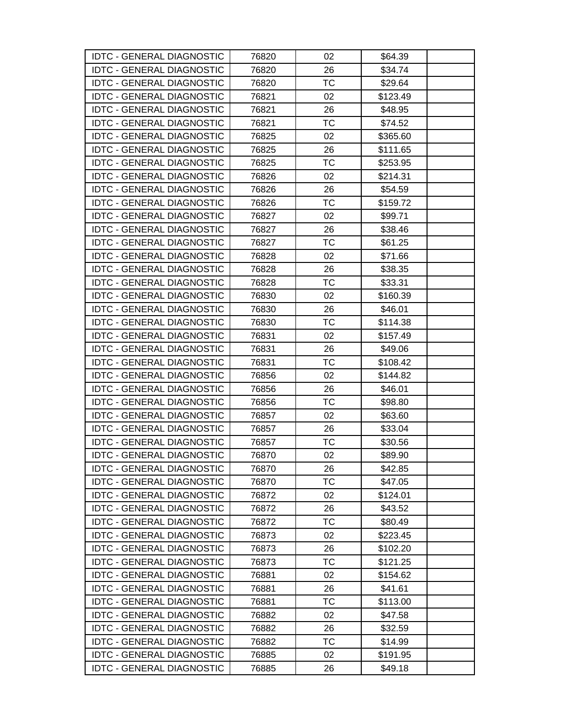| <b>IDTC - GENERAL DIAGNOSTIC</b> | 76820 | 02        | \$64.39  |  |
|----------------------------------|-------|-----------|----------|--|
| <b>IDTC - GENERAL DIAGNOSTIC</b> | 76820 | 26        | \$34.74  |  |
| <b>IDTC - GENERAL DIAGNOSTIC</b> | 76820 | TC        | \$29.64  |  |
| <b>IDTC - GENERAL DIAGNOSTIC</b> | 76821 | 02        | \$123.49 |  |
| <b>IDTC - GENERAL DIAGNOSTIC</b> | 76821 | 26        | \$48.95  |  |
| <b>IDTC - GENERAL DIAGNOSTIC</b> | 76821 | TC        | \$74.52  |  |
| <b>IDTC - GENERAL DIAGNOSTIC</b> | 76825 | 02        | \$365.60 |  |
| <b>IDTC - GENERAL DIAGNOSTIC</b> | 76825 | 26        | \$111.65 |  |
| <b>IDTC - GENERAL DIAGNOSTIC</b> | 76825 | <b>TC</b> | \$253.95 |  |
| <b>IDTC - GENERAL DIAGNOSTIC</b> | 76826 | 02        | \$214.31 |  |
| <b>IDTC - GENERAL DIAGNOSTIC</b> | 76826 | 26        | \$54.59  |  |
| <b>IDTC - GENERAL DIAGNOSTIC</b> | 76826 | TC        | \$159.72 |  |
| <b>IDTC - GENERAL DIAGNOSTIC</b> | 76827 | 02        | \$99.71  |  |
| <b>IDTC - GENERAL DIAGNOSTIC</b> | 76827 | 26        | \$38.46  |  |
| <b>IDTC - GENERAL DIAGNOSTIC</b> | 76827 | TC        | \$61.25  |  |
| <b>IDTC - GENERAL DIAGNOSTIC</b> | 76828 | 02        | \$71.66  |  |
| <b>IDTC - GENERAL DIAGNOSTIC</b> | 76828 | 26        | \$38.35  |  |
| <b>IDTC - GENERAL DIAGNOSTIC</b> | 76828 | TC        | \$33.31  |  |
| <b>IDTC - GENERAL DIAGNOSTIC</b> | 76830 | 02        | \$160.39 |  |
| <b>IDTC - GENERAL DIAGNOSTIC</b> | 76830 | 26        | \$46.01  |  |
| <b>IDTC - GENERAL DIAGNOSTIC</b> | 76830 | <b>TC</b> | \$114.38 |  |
| <b>IDTC - GENERAL DIAGNOSTIC</b> | 76831 | 02        | \$157.49 |  |
| <b>IDTC - GENERAL DIAGNOSTIC</b> | 76831 | 26        | \$49.06  |  |
| <b>IDTC - GENERAL DIAGNOSTIC</b> | 76831 | <b>TC</b> | \$108.42 |  |
| <b>IDTC - GENERAL DIAGNOSTIC</b> | 76856 | 02        | \$144.82 |  |
| <b>IDTC - GENERAL DIAGNOSTIC</b> | 76856 | 26        | \$46.01  |  |
| <b>IDTC - GENERAL DIAGNOSTIC</b> | 76856 | TC        | \$98.80  |  |
| <b>IDTC - GENERAL DIAGNOSTIC</b> | 76857 | 02        | \$63.60  |  |
| <b>IDTC - GENERAL DIAGNOSTIC</b> | 76857 | 26        | \$33.04  |  |
| <b>IDTC - GENERAL DIAGNOSTIC</b> | 76857 | TC        | \$30.56  |  |
| <b>IDTC - GENERAL DIAGNOSTIC</b> | 76870 | 02        | \$89.90  |  |
| <b>IDTC - GENERAL DIAGNOSTIC</b> | 76870 | 26        | \$42.85  |  |
| <b>IDTC - GENERAL DIAGNOSTIC</b> | 76870 | <b>TC</b> | \$47.05  |  |
| <b>IDTC - GENERAL DIAGNOSTIC</b> | 76872 | 02        | \$124.01 |  |
| <b>IDTC - GENERAL DIAGNOSTIC</b> | 76872 | 26        | \$43.52  |  |
| <b>IDTC - GENERAL DIAGNOSTIC</b> | 76872 | ТC        | \$80.49  |  |
| <b>IDTC - GENERAL DIAGNOSTIC</b> | 76873 | 02        | \$223.45 |  |
| <b>IDTC - GENERAL DIAGNOSTIC</b> | 76873 | 26        | \$102.20 |  |
| <b>IDTC - GENERAL DIAGNOSTIC</b> | 76873 | ТC        | \$121.25 |  |
| <b>IDTC - GENERAL DIAGNOSTIC</b> | 76881 | 02        | \$154.62 |  |
| <b>IDTC - GENERAL DIAGNOSTIC</b> | 76881 | 26        | \$41.61  |  |
| <b>IDTC - GENERAL DIAGNOSTIC</b> | 76881 | TC        | \$113.00 |  |
| <b>IDTC - GENERAL DIAGNOSTIC</b> | 76882 | 02        | \$47.58  |  |
| <b>IDTC - GENERAL DIAGNOSTIC</b> | 76882 | 26        | \$32.59  |  |
| <b>IDTC - GENERAL DIAGNOSTIC</b> | 76882 | TC        | \$14.99  |  |
| <b>IDTC - GENERAL DIAGNOSTIC</b> | 76885 | 02        | \$191.95 |  |
| <b>IDTC - GENERAL DIAGNOSTIC</b> | 76885 | 26        | \$49.18  |  |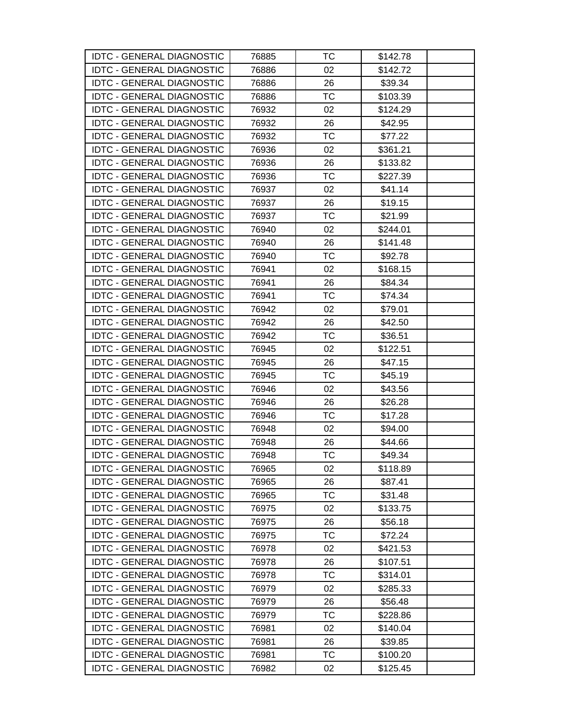| <b>IDTC - GENERAL DIAGNOSTIC</b> | 76885 | тс        | \$142.78 |  |
|----------------------------------|-------|-----------|----------|--|
| <b>IDTC - GENERAL DIAGNOSTIC</b> | 76886 | 02        | \$142.72 |  |
| <b>IDTC - GENERAL DIAGNOSTIC</b> | 76886 | 26        | \$39.34  |  |
| <b>IDTC - GENERAL DIAGNOSTIC</b> | 76886 | <b>TC</b> | \$103.39 |  |
| <b>IDTC - GENERAL DIAGNOSTIC</b> | 76932 | 02        | \$124.29 |  |
| <b>IDTC - GENERAL DIAGNOSTIC</b> | 76932 | 26        | \$42.95  |  |
| <b>IDTC - GENERAL DIAGNOSTIC</b> | 76932 | <b>TC</b> | \$77.22  |  |
| <b>IDTC - GENERAL DIAGNOSTIC</b> | 76936 | 02        | \$361.21 |  |
| <b>IDTC - GENERAL DIAGNOSTIC</b> | 76936 | 26        | \$133.82 |  |
| <b>IDTC - GENERAL DIAGNOSTIC</b> | 76936 | TC        | \$227.39 |  |
| <b>IDTC - GENERAL DIAGNOSTIC</b> | 76937 | 02        | \$41.14  |  |
| <b>IDTC - GENERAL DIAGNOSTIC</b> | 76937 | 26        | \$19.15  |  |
| <b>IDTC - GENERAL DIAGNOSTIC</b> | 76937 | TC        | \$21.99  |  |
| <b>IDTC - GENERAL DIAGNOSTIC</b> | 76940 | 02        | \$244.01 |  |
| <b>IDTC - GENERAL DIAGNOSTIC</b> | 76940 | 26        | \$141.48 |  |
| <b>IDTC - GENERAL DIAGNOSTIC</b> | 76940 | <b>TC</b> | \$92.78  |  |
| <b>IDTC - GENERAL DIAGNOSTIC</b> | 76941 | 02        | \$168.15 |  |
| <b>IDTC - GENERAL DIAGNOSTIC</b> | 76941 | 26        | \$84.34  |  |
| <b>IDTC - GENERAL DIAGNOSTIC</b> | 76941 | TC        | \$74.34  |  |
| <b>IDTC - GENERAL DIAGNOSTIC</b> | 76942 | 02        | \$79.01  |  |
| <b>IDTC - GENERAL DIAGNOSTIC</b> | 76942 | 26        | \$42.50  |  |
| <b>IDTC - GENERAL DIAGNOSTIC</b> | 76942 | TC        | \$36.51  |  |
| <b>IDTC - GENERAL DIAGNOSTIC</b> | 76945 | 02        | \$122.51 |  |
| <b>IDTC - GENERAL DIAGNOSTIC</b> | 76945 | 26        | \$47.15  |  |
| <b>IDTC - GENERAL DIAGNOSTIC</b> | 76945 | TC        | \$45.19  |  |
| <b>IDTC - GENERAL DIAGNOSTIC</b> | 76946 | 02        | \$43.56  |  |
| <b>IDTC - GENERAL DIAGNOSTIC</b> | 76946 | 26        | \$26.28  |  |
| <b>IDTC - GENERAL DIAGNOSTIC</b> | 76946 | TC        | \$17.28  |  |
| <b>IDTC - GENERAL DIAGNOSTIC</b> | 76948 | 02        | \$94.00  |  |
| <b>IDTC - GENERAL DIAGNOSTIC</b> | 76948 | 26        | \$44.66  |  |
| <b>IDTC - GENERAL DIAGNOSTIC</b> | 76948 | <b>TC</b> | \$49.34  |  |
| <b>IDTC - GENERAL DIAGNOSTIC</b> | 76965 | 02        | \$118.89 |  |
| <b>IDTC - GENERAL DIAGNOSTIC</b> | 76965 | 26        | \$87.41  |  |
| <b>IDTC - GENERAL DIAGNOSTIC</b> | 76965 | TC        | \$31.48  |  |
| <b>IDTC - GENERAL DIAGNOSTIC</b> | 76975 | 02        | \$133.75 |  |
| <b>IDTC - GENERAL DIAGNOSTIC</b> | 76975 | 26        | \$56.18  |  |
| <b>IDTC - GENERAL DIAGNOSTIC</b> | 76975 | <b>TC</b> | \$72.24  |  |
| <b>IDTC - GENERAL DIAGNOSTIC</b> | 76978 | 02        | \$421.53 |  |
| <b>IDTC - GENERAL DIAGNOSTIC</b> | 76978 | 26        | \$107.51 |  |
| <b>IDTC - GENERAL DIAGNOSTIC</b> | 76978 | <b>TC</b> | \$314.01 |  |
| <b>IDTC - GENERAL DIAGNOSTIC</b> | 76979 | 02        | \$285.33 |  |
| <b>IDTC - GENERAL DIAGNOSTIC</b> | 76979 | 26        | \$56.48  |  |
| <b>IDTC - GENERAL DIAGNOSTIC</b> | 76979 | TC        | \$228.86 |  |
| <b>IDTC - GENERAL DIAGNOSTIC</b> | 76981 | 02        | \$140.04 |  |
| <b>IDTC - GENERAL DIAGNOSTIC</b> | 76981 | 26        | \$39.85  |  |
| <b>IDTC - GENERAL DIAGNOSTIC</b> | 76981 | TC        | \$100.20 |  |
| <b>IDTC - GENERAL DIAGNOSTIC</b> | 76982 | 02        | \$125.45 |  |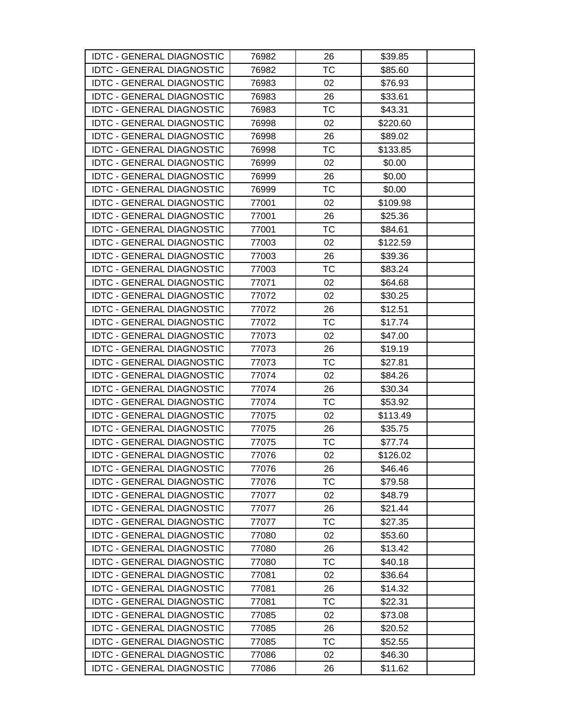| <b>IDTC - GENERAL DIAGNOSTIC</b> | 76982 | 26        | \$39.85  |  |
|----------------------------------|-------|-----------|----------|--|
| <b>IDTC - GENERAL DIAGNOSTIC</b> | 76982 | <b>TC</b> | \$85.60  |  |
| <b>IDTC - GENERAL DIAGNOSTIC</b> | 76983 | 02        | \$76.93  |  |
| <b>IDTC - GENERAL DIAGNOSTIC</b> | 76983 | 26        | \$33.61  |  |
| <b>IDTC - GENERAL DIAGNOSTIC</b> | 76983 | <b>TC</b> | \$43.31  |  |
| <b>IDTC - GENERAL DIAGNOSTIC</b> | 76998 | 02        | \$220.60 |  |
| <b>IDTC - GENERAL DIAGNOSTIC</b> | 76998 | 26        | \$89.02  |  |
| <b>IDTC - GENERAL DIAGNOSTIC</b> | 76998 | <b>TC</b> | \$133.85 |  |
| <b>IDTC - GENERAL DIAGNOSTIC</b> | 76999 | 02        | \$0.00   |  |
| <b>IDTC - GENERAL DIAGNOSTIC</b> | 76999 | 26        | \$0.00   |  |
| <b>IDTC - GENERAL DIAGNOSTIC</b> | 76999 | <b>TC</b> | \$0.00   |  |
| <b>IDTC - GENERAL DIAGNOSTIC</b> | 77001 | 02        | \$109.98 |  |
| <b>IDTC - GENERAL DIAGNOSTIC</b> | 77001 | 26        | \$25.36  |  |
| <b>IDTC - GENERAL DIAGNOSTIC</b> | 77001 | <b>TC</b> | \$84.61  |  |
| <b>IDTC - GENERAL DIAGNOSTIC</b> | 77003 | 02        | \$122.59 |  |
| <b>IDTC - GENERAL DIAGNOSTIC</b> | 77003 | 26        | \$39.36  |  |
| <b>IDTC - GENERAL DIAGNOSTIC</b> | 77003 | TC        | \$83.24  |  |
| <b>IDTC - GENERAL DIAGNOSTIC</b> | 77071 | 02        | \$64.68  |  |
| <b>IDTC - GENERAL DIAGNOSTIC</b> | 77072 | 02        | \$30.25  |  |
| <b>IDTC - GENERAL DIAGNOSTIC</b> | 77072 | 26        | \$12.51  |  |
| <b>IDTC - GENERAL DIAGNOSTIC</b> | 77072 | <b>TC</b> | \$17.74  |  |
| <b>IDTC - GENERAL DIAGNOSTIC</b> | 77073 | 02        | \$47.00  |  |
| <b>IDTC - GENERAL DIAGNOSTIC</b> | 77073 | 26        | \$19.19  |  |
| <b>IDTC - GENERAL DIAGNOSTIC</b> | 77073 | <b>TC</b> | \$27.81  |  |
| <b>IDTC - GENERAL DIAGNOSTIC</b> | 77074 | 02        | \$84.26  |  |
| <b>IDTC - GENERAL DIAGNOSTIC</b> | 77074 | 26        | \$30.34  |  |
| <b>IDTC - GENERAL DIAGNOSTIC</b> | 77074 | TC        | \$53.92  |  |
| <b>IDTC - GENERAL DIAGNOSTIC</b> | 77075 | 02        | \$113.49 |  |
| <b>IDTC - GENERAL DIAGNOSTIC</b> | 77075 | 26        | \$35.75  |  |
| <b>IDTC - GENERAL DIAGNOSTIC</b> | 77075 | TC        | \$77.74  |  |
| <b>IDTC - GENERAL DIAGNOSTIC</b> | 77076 | 02        | \$126.02 |  |
| <b>IDTC - GENERAL DIAGNOSTIC</b> | 77076 | 26        | \$46.46  |  |
| <b>IDTC - GENERAL DIAGNOSTIC</b> | 77076 | <b>TC</b> | \$79.58  |  |
| <b>IDTC - GENERAL DIAGNOSTIC</b> | 77077 | 02        | \$48.79  |  |
| <b>IDTC - GENERAL DIAGNOSTIC</b> | 77077 | 26        | \$21.44  |  |
| <b>IDTC - GENERAL DIAGNOSTIC</b> | 77077 | ТC        | \$27.35  |  |
| <b>IDTC - GENERAL DIAGNOSTIC</b> | 77080 | 02        | \$53.60  |  |
| <b>IDTC - GENERAL DIAGNOSTIC</b> | 77080 | 26        | \$13.42  |  |
| <b>IDTC - GENERAL DIAGNOSTIC</b> | 77080 | ТC        | \$40.18  |  |
| <b>IDTC - GENERAL DIAGNOSTIC</b> | 77081 | 02        | \$36.64  |  |
| <b>IDTC - GENERAL DIAGNOSTIC</b> | 77081 | 26        | \$14.32  |  |
| <b>IDTC - GENERAL DIAGNOSTIC</b> | 77081 | TC        | \$22.31  |  |
| <b>IDTC - GENERAL DIAGNOSTIC</b> | 77085 | 02        | \$73.08  |  |
| <b>IDTC - GENERAL DIAGNOSTIC</b> | 77085 | 26        | \$20.52  |  |
| <b>IDTC - GENERAL DIAGNOSTIC</b> | 77085 | TC        | \$52.55  |  |
| <b>IDTC - GENERAL DIAGNOSTIC</b> | 77086 | 02        | \$46.30  |  |
| <b>IDTC - GENERAL DIAGNOSTIC</b> | 77086 | 26        | \$11.62  |  |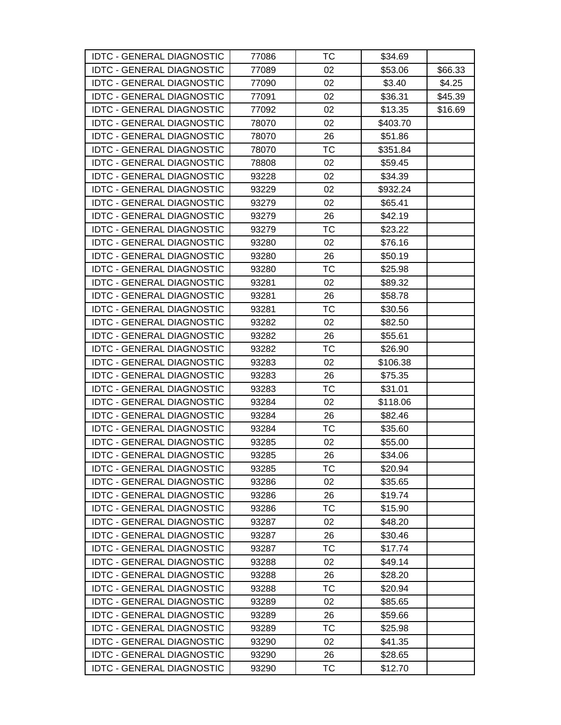| <b>IDTC - GENERAL DIAGNOSTIC</b> | 77086 | ТC        | \$34.69  |         |
|----------------------------------|-------|-----------|----------|---------|
| <b>IDTC - GENERAL DIAGNOSTIC</b> | 77089 | 02        | \$53.06  | \$66.33 |
| <b>IDTC - GENERAL DIAGNOSTIC</b> | 77090 | 02        | \$3.40   | \$4.25  |
| <b>IDTC - GENERAL DIAGNOSTIC</b> | 77091 | 02        | \$36.31  | \$45.39 |
| <b>IDTC - GENERAL DIAGNOSTIC</b> | 77092 | 02        | \$13.35  | \$16.69 |
| <b>IDTC - GENERAL DIAGNOSTIC</b> | 78070 | 02        | \$403.70 |         |
| <b>IDTC - GENERAL DIAGNOSTIC</b> | 78070 | 26        | \$51.86  |         |
| <b>IDTC - GENERAL DIAGNOSTIC</b> | 78070 | ТC        | \$351.84 |         |
| <b>IDTC - GENERAL DIAGNOSTIC</b> | 78808 | 02        | \$59.45  |         |
| <b>IDTC - GENERAL DIAGNOSTIC</b> | 93228 | 02        | \$34.39  |         |
| <b>IDTC - GENERAL DIAGNOSTIC</b> | 93229 | 02        | \$932.24 |         |
| <b>IDTC - GENERAL DIAGNOSTIC</b> | 93279 | 02        | \$65.41  |         |
| <b>IDTC - GENERAL DIAGNOSTIC</b> | 93279 | 26        | \$42.19  |         |
| <b>IDTC - GENERAL DIAGNOSTIC</b> | 93279 | ТC        | \$23.22  |         |
| <b>IDTC - GENERAL DIAGNOSTIC</b> | 93280 | 02        | \$76.16  |         |
| <b>IDTC - GENERAL DIAGNOSTIC</b> | 93280 | 26        | \$50.19  |         |
| <b>IDTC - GENERAL DIAGNOSTIC</b> | 93280 | <b>TC</b> | \$25.98  |         |
| <b>IDTC - GENERAL DIAGNOSTIC</b> | 93281 | 02        | \$89.32  |         |
| <b>IDTC - GENERAL DIAGNOSTIC</b> | 93281 | 26        | \$58.78  |         |
| <b>IDTC - GENERAL DIAGNOSTIC</b> | 93281 | ТC        | \$30.56  |         |
| <b>IDTC - GENERAL DIAGNOSTIC</b> | 93282 | 02        | \$82.50  |         |
| <b>IDTC - GENERAL DIAGNOSTIC</b> | 93282 | 26        | \$55.61  |         |
| <b>IDTC - GENERAL DIAGNOSTIC</b> | 93282 | ТC        | \$26.90  |         |
| <b>IDTC - GENERAL DIAGNOSTIC</b> | 93283 | 02        | \$106.38 |         |
| <b>IDTC - GENERAL DIAGNOSTIC</b> | 93283 | 26        | \$75.35  |         |
| <b>IDTC - GENERAL DIAGNOSTIC</b> | 93283 | ТC        | \$31.01  |         |
| <b>IDTC - GENERAL DIAGNOSTIC</b> | 93284 | 02        | \$118.06 |         |
| <b>IDTC - GENERAL DIAGNOSTIC</b> | 93284 | 26        | \$82.46  |         |
| <b>IDTC - GENERAL DIAGNOSTIC</b> | 93284 | TC        | \$35.60  |         |
| <b>IDTC - GENERAL DIAGNOSTIC</b> | 93285 | 02        | \$55.00  |         |
| <b>IDTC - GENERAL DIAGNOSTIC</b> | 93285 | 26        | \$34.06  |         |
| <b>IDTC - GENERAL DIAGNOSTIC</b> | 93285 | ТC        | \$20.94  |         |
| <b>IDTC - GENERAL DIAGNOSTIC</b> | 93286 | 02        | \$35.65  |         |
| <b>IDTC - GENERAL DIAGNOSTIC</b> | 93286 | 26        | \$19.74  |         |
| <b>IDTC - GENERAL DIAGNOSTIC</b> | 93286 | TC        | \$15.90  |         |
| <b>IDTC - GENERAL DIAGNOSTIC</b> | 93287 | 02        | \$48.20  |         |
| <b>IDTC - GENERAL DIAGNOSTIC</b> | 93287 | 26        | \$30.46  |         |
| <b>IDTC - GENERAL DIAGNOSTIC</b> | 93287 | ТC        | \$17.74  |         |
| <b>IDTC - GENERAL DIAGNOSTIC</b> | 93288 | 02        | \$49.14  |         |
| <b>IDTC - GENERAL DIAGNOSTIC</b> | 93288 | 26        | \$28.20  |         |
| <b>IDTC - GENERAL DIAGNOSTIC</b> | 93288 | ТC        | \$20.94  |         |
| <b>IDTC - GENERAL DIAGNOSTIC</b> | 93289 | 02        | \$85.65  |         |
| <b>IDTC - GENERAL DIAGNOSTIC</b> | 93289 | 26        | \$59.66  |         |
| <b>IDTC - GENERAL DIAGNOSTIC</b> | 93289 | ТC        | \$25.98  |         |
| <b>IDTC - GENERAL DIAGNOSTIC</b> | 93290 | 02        | \$41.35  |         |
| <b>IDTC - GENERAL DIAGNOSTIC</b> | 93290 | 26        | \$28.65  |         |
| <b>IDTC - GENERAL DIAGNOSTIC</b> | 93290 | <b>TC</b> | \$12.70  |         |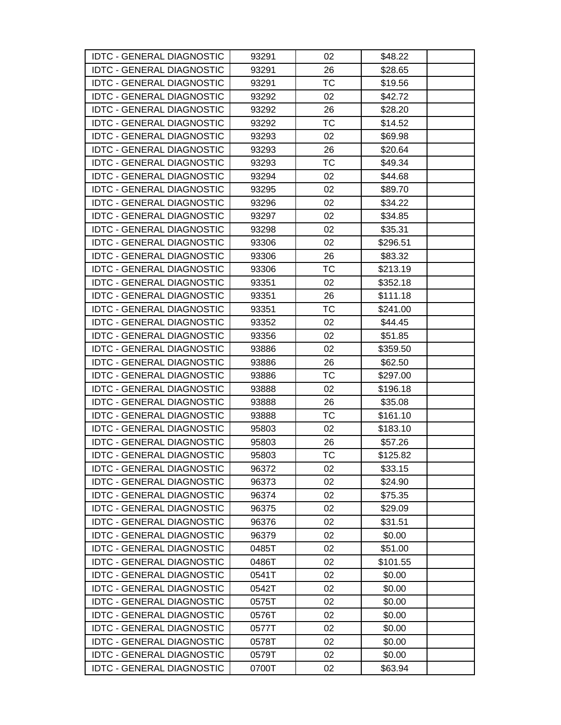| <b>IDTC - GENERAL DIAGNOSTIC</b> | 93291 | 02        | \$48.22  |  |
|----------------------------------|-------|-----------|----------|--|
| <b>IDTC - GENERAL DIAGNOSTIC</b> | 93291 | 26        | \$28.65  |  |
| <b>IDTC - GENERAL DIAGNOSTIC</b> | 93291 | TC        | \$19.56  |  |
| <b>IDTC - GENERAL DIAGNOSTIC</b> | 93292 | 02        | \$42.72  |  |
| <b>IDTC - GENERAL DIAGNOSTIC</b> | 93292 | 26        | \$28.20  |  |
| <b>IDTC - GENERAL DIAGNOSTIC</b> | 93292 | TC        | \$14.52  |  |
| <b>IDTC - GENERAL DIAGNOSTIC</b> | 93293 | 02        | \$69.98  |  |
| <b>IDTC - GENERAL DIAGNOSTIC</b> | 93293 | 26        | \$20.64  |  |
| <b>IDTC - GENERAL DIAGNOSTIC</b> | 93293 | <b>TC</b> | \$49.34  |  |
| <b>IDTC - GENERAL DIAGNOSTIC</b> | 93294 | 02        | \$44.68  |  |
| <b>IDTC - GENERAL DIAGNOSTIC</b> | 93295 | 02        | \$89.70  |  |
| <b>IDTC - GENERAL DIAGNOSTIC</b> | 93296 | 02        | \$34.22  |  |
| <b>IDTC - GENERAL DIAGNOSTIC</b> | 93297 | 02        | \$34.85  |  |
| <b>IDTC - GENERAL DIAGNOSTIC</b> | 93298 | 02        | \$35.31  |  |
| <b>IDTC - GENERAL DIAGNOSTIC</b> | 93306 | 02        | \$296.51 |  |
| <b>IDTC - GENERAL DIAGNOSTIC</b> | 93306 | 26        | \$83.32  |  |
| <b>IDTC - GENERAL DIAGNOSTIC</b> | 93306 | <b>TC</b> | \$213.19 |  |
| <b>IDTC - GENERAL DIAGNOSTIC</b> | 93351 | 02        | \$352.18 |  |
| <b>IDTC - GENERAL DIAGNOSTIC</b> | 93351 | 26        | \$111.18 |  |
| <b>IDTC - GENERAL DIAGNOSTIC</b> | 93351 | <b>TC</b> | \$241.00 |  |
| <b>IDTC - GENERAL DIAGNOSTIC</b> | 93352 | 02        | \$44.45  |  |
| <b>IDTC - GENERAL DIAGNOSTIC</b> | 93356 | 02        | \$51.85  |  |
| <b>IDTC - GENERAL DIAGNOSTIC</b> | 93886 | 02        | \$359.50 |  |
| <b>IDTC - GENERAL DIAGNOSTIC</b> | 93886 | 26        | \$62.50  |  |
| <b>IDTC - GENERAL DIAGNOSTIC</b> | 93886 | TC        | \$297.00 |  |
| <b>IDTC - GENERAL DIAGNOSTIC</b> | 93888 | 02        | \$196.18 |  |
| <b>IDTC - GENERAL DIAGNOSTIC</b> | 93888 | 26        | \$35.08  |  |
| <b>IDTC - GENERAL DIAGNOSTIC</b> | 93888 | TC        | \$161.10 |  |
| <b>IDTC - GENERAL DIAGNOSTIC</b> | 95803 | 02        | \$183.10 |  |
| <b>IDTC - GENERAL DIAGNOSTIC</b> | 95803 | 26        | \$57.26  |  |
| <b>IDTC - GENERAL DIAGNOSTIC</b> | 95803 | <b>TC</b> | \$125.82 |  |
| <b>IDTC - GENERAL DIAGNOSTIC</b> | 96372 | 02        | \$33.15  |  |
| <b>IDTC - GENERAL DIAGNOSTIC</b> | 96373 | 02        | \$24.90  |  |
| <b>IDTC - GENERAL DIAGNOSTIC</b> | 96374 | 02        | \$75.35  |  |
| <b>IDTC - GENERAL DIAGNOSTIC</b> | 96375 | 02        | \$29.09  |  |
| <b>IDTC - GENERAL DIAGNOSTIC</b> | 96376 | 02        | \$31.51  |  |
| <b>IDTC - GENERAL DIAGNOSTIC</b> | 96379 | 02        | \$0.00   |  |
| <b>IDTC - GENERAL DIAGNOSTIC</b> | 0485T | 02        | \$51.00  |  |
| <b>IDTC - GENERAL DIAGNOSTIC</b> | 0486T | 02        | \$101.55 |  |
| <b>IDTC - GENERAL DIAGNOSTIC</b> | 0541T | 02        | \$0.00   |  |
| <b>IDTC - GENERAL DIAGNOSTIC</b> | 0542T | 02        | \$0.00   |  |
| <b>IDTC - GENERAL DIAGNOSTIC</b> | 0575T | 02        | \$0.00   |  |
| <b>IDTC - GENERAL DIAGNOSTIC</b> | 0576T | 02        | \$0.00   |  |
| <b>IDTC - GENERAL DIAGNOSTIC</b> | 0577T | 02        | \$0.00   |  |
| <b>IDTC - GENERAL DIAGNOSTIC</b> | 0578T | 02        | \$0.00   |  |
| <b>IDTC - GENERAL DIAGNOSTIC</b> | 0579T | 02        | \$0.00   |  |
| <b>IDTC - GENERAL DIAGNOSTIC</b> | 0700T | 02        | \$63.94  |  |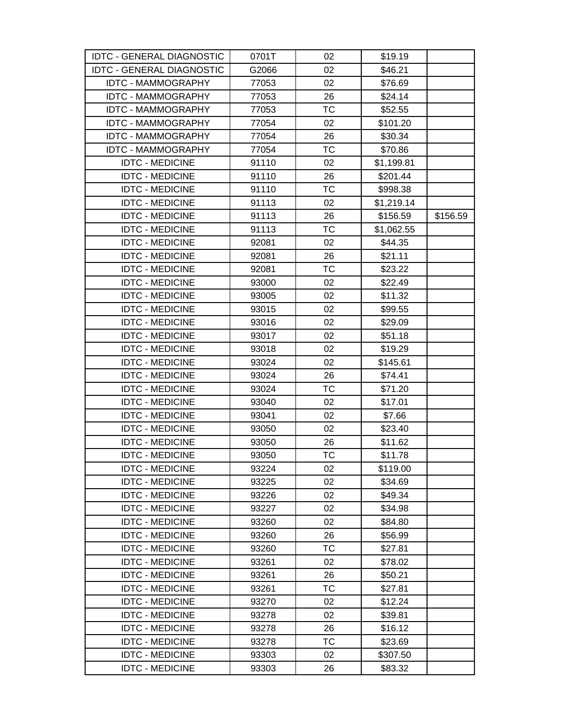| <b>IDTC - GENERAL DIAGNOSTIC</b> | 0701T | 02        | \$19.19    |          |
|----------------------------------|-------|-----------|------------|----------|
| <b>IDTC - GENERAL DIAGNOSTIC</b> | G2066 | 02        | \$46.21    |          |
| <b>IDTC - MAMMOGRAPHY</b>        | 77053 | 02        | \$76.69    |          |
| <b>IDTC - MAMMOGRAPHY</b>        | 77053 | 26        | \$24.14    |          |
| <b>IDTC - MAMMOGRAPHY</b>        | 77053 | ТC        | \$52.55    |          |
| <b>IDTC - MAMMOGRAPHY</b>        | 77054 | 02        | \$101.20   |          |
| <b>IDTC - MAMMOGRAPHY</b>        | 77054 | 26        | \$30.34    |          |
| <b>IDTC - MAMMOGRAPHY</b>        | 77054 | <b>TC</b> | \$70.86    |          |
| <b>IDTC - MEDICINE</b>           | 91110 | 02        | \$1,199.81 |          |
| <b>IDTC - MEDICINE</b>           | 91110 | 26        | \$201.44   |          |
| <b>IDTC - MEDICINE</b>           | 91110 | <b>TC</b> | \$998.38   |          |
| <b>IDTC - MEDICINE</b>           | 91113 | 02        | \$1,219.14 |          |
| <b>IDTC - MEDICINE</b>           | 91113 | 26        | \$156.59   | \$156.59 |
| <b>IDTC - MEDICINE</b>           | 91113 | <b>TC</b> | \$1,062.55 |          |
| <b>IDTC - MEDICINE</b>           | 92081 | 02        | \$44.35    |          |
| <b>IDTC - MEDICINE</b>           | 92081 | 26        | \$21.11    |          |
| <b>IDTC - MEDICINE</b>           | 92081 | <b>TC</b> | \$23.22    |          |
| <b>IDTC - MEDICINE</b>           | 93000 | 02        | \$22.49    |          |
| <b>IDTC - MEDICINE</b>           | 93005 | 02        | \$11.32    |          |
| <b>IDTC - MEDICINE</b>           | 93015 | 02        | \$99.55    |          |
| <b>IDTC - MEDICINE</b>           | 93016 | 02        | \$29.09    |          |
| <b>IDTC - MEDICINE</b>           | 93017 | 02        | \$51.18    |          |
| <b>IDTC - MEDICINE</b>           | 93018 | 02        | \$19.29    |          |
| <b>IDTC - MEDICINE</b>           | 93024 | 02        | \$145.61   |          |
| <b>IDTC - MEDICINE</b>           | 93024 | 26        | \$74.41    |          |
| <b>IDTC - MEDICINE</b>           | 93024 | <b>TC</b> | \$71.20    |          |
| <b>IDTC - MEDICINE</b>           | 93040 | 02        | \$17.01    |          |
| <b>IDTC - MEDICINE</b>           | 93041 | 02        | \$7.66     |          |
| <b>IDTC - MEDICINE</b>           | 93050 | 02        | \$23.40    |          |
| <b>IDTC - MEDICINE</b>           | 93050 | 26        | \$11.62    |          |
| <b>IDTC - MEDICINE</b>           | 93050 | <b>TC</b> | \$11.78    |          |
| <b>IDTC - MEDICINE</b>           | 93224 | 02        | \$119.00   |          |
| <b>IDTC - MEDICINE</b>           | 93225 | 02        | \$34.69    |          |
| <b>IDTC - MEDICINE</b>           | 93226 | 02        | \$49.34    |          |
| <b>IDTC - MEDICINE</b>           | 93227 | 02        | \$34.98    |          |
| <b>IDTC - MEDICINE</b>           | 93260 | 02        | \$84.80    |          |
| <b>IDTC - MEDICINE</b>           | 93260 | 26        | \$56.99    |          |
| <b>IDTC - MEDICINE</b>           | 93260 | TC        | \$27.81    |          |
| <b>IDTC - MEDICINE</b>           | 93261 | 02        | \$78.02    |          |
| <b>IDTC - MEDICINE</b>           | 93261 | 26        | \$50.21    |          |
| <b>IDTC - MEDICINE</b>           | 93261 | TC        | \$27.81    |          |
| <b>IDTC - MEDICINE</b>           | 93270 | 02        | \$12.24    |          |
| <b>IDTC - MEDICINE</b>           | 93278 | 02        | \$39.81    |          |
| <b>IDTC - MEDICINE</b>           | 93278 | 26        | \$16.12    |          |
| <b>IDTC - MEDICINE</b>           | 93278 | <b>TC</b> | \$23.69    |          |
| <b>IDTC - MEDICINE</b>           | 93303 | 02        | \$307.50   |          |
| <b>IDTC - MEDICINE</b>           | 93303 | 26        | \$83.32    |          |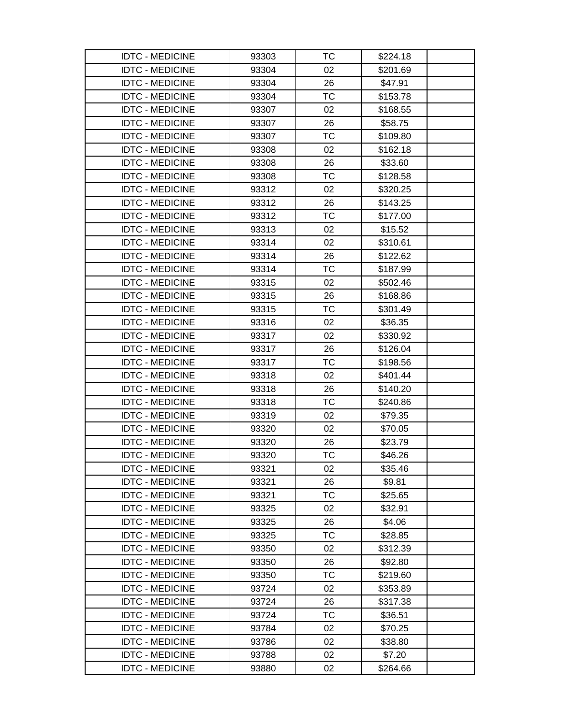| <b>IDTC - MEDICINE</b> | 93303 | ТC        | \$224.18 |  |
|------------------------|-------|-----------|----------|--|
| <b>IDTC - MEDICINE</b> | 93304 | 02        | \$201.69 |  |
| <b>IDTC - MEDICINE</b> | 93304 | 26        | \$47.91  |  |
| <b>IDTC - MEDICINE</b> | 93304 | <b>TC</b> | \$153.78 |  |
| <b>IDTC - MEDICINE</b> | 93307 | 02        | \$168.55 |  |
| <b>IDTC - MEDICINE</b> | 93307 | 26        | \$58.75  |  |
| <b>IDTC - MEDICINE</b> | 93307 | ТC        | \$109.80 |  |
| <b>IDTC - MEDICINE</b> | 93308 | 02        | \$162.18 |  |
| <b>IDTC - MEDICINE</b> | 93308 | 26        | \$33.60  |  |
| <b>IDTC - MEDICINE</b> | 93308 | TC        | \$128.58 |  |
| <b>IDTC - MEDICINE</b> | 93312 | 02        | \$320.25 |  |
| <b>IDTC - MEDICINE</b> | 93312 | 26        | \$143.25 |  |
| <b>IDTC - MEDICINE</b> | 93312 | ТC        | \$177.00 |  |
| <b>IDTC - MEDICINE</b> | 93313 | 02        | \$15.52  |  |
| <b>IDTC - MEDICINE</b> | 93314 | 02        | \$310.61 |  |
| <b>IDTC - MEDICINE</b> | 93314 | 26        | \$122.62 |  |
| <b>IDTC - MEDICINE</b> | 93314 | <b>TC</b> | \$187.99 |  |
| <b>IDTC - MEDICINE</b> | 93315 | 02        | \$502.46 |  |
| <b>IDTC - MEDICINE</b> | 93315 | 26        | \$168.86 |  |
| <b>IDTC - MEDICINE</b> | 93315 | <b>TC</b> | \$301.49 |  |
| <b>IDTC - MEDICINE</b> | 93316 | 02        | \$36.35  |  |
| <b>IDTC - MEDICINE</b> | 93317 | 02        | \$330.92 |  |
| <b>IDTC - MEDICINE</b> | 93317 | 26        | \$126.04 |  |
| <b>IDTC - MEDICINE</b> | 93317 | <b>TC</b> | \$198.56 |  |
| <b>IDTC - MEDICINE</b> | 93318 | 02        | \$401.44 |  |
| <b>IDTC - MEDICINE</b> | 93318 | 26        | \$140.20 |  |
| <b>IDTC - MEDICINE</b> | 93318 | <b>TC</b> | \$240.86 |  |
| <b>IDTC - MEDICINE</b> | 93319 | 02        | \$79.35  |  |
| <b>IDTC - MEDICINE</b> | 93320 | 02        | \$70.05  |  |
| <b>IDTC - MEDICINE</b> | 93320 | 26        | \$23.79  |  |
| <b>IDTC - MEDICINE</b> | 93320 | <b>TC</b> | \$46.26  |  |
| <b>IDTC - MEDICINE</b> | 93321 | 02        | \$35.46  |  |
| <b>IDTC - MEDICINE</b> | 93321 | 26        | \$9.81   |  |
| <b>IDTC - MEDICINE</b> | 93321 | TC        | \$25.65  |  |
| <b>IDTC - MEDICINE</b> | 93325 | 02        | \$32.91  |  |
| <b>IDTC - MEDICINE</b> | 93325 | 26        | \$4.06   |  |
| <b>IDTC - MEDICINE</b> | 93325 | <b>TC</b> | \$28.85  |  |
| <b>IDTC - MEDICINE</b> | 93350 | 02        | \$312.39 |  |
| <b>IDTC - MEDICINE</b> | 93350 | 26        | \$92.80  |  |
| <b>IDTC - MEDICINE</b> | 93350 | TC        | \$219.60 |  |
| <b>IDTC - MEDICINE</b> | 93724 | 02        | \$353.89 |  |
| <b>IDTC - MEDICINE</b> | 93724 | 26        | \$317.38 |  |
| <b>IDTC - MEDICINE</b> | 93724 | TC        | \$36.51  |  |
| <b>IDTC - MEDICINE</b> | 93784 | 02        | \$70.25  |  |
| <b>IDTC - MEDICINE</b> | 93786 | 02        | \$38.80  |  |
| <b>IDTC - MEDICINE</b> | 93788 | 02        | \$7.20   |  |
| <b>IDTC - MEDICINE</b> | 93880 | 02        | \$264.66 |  |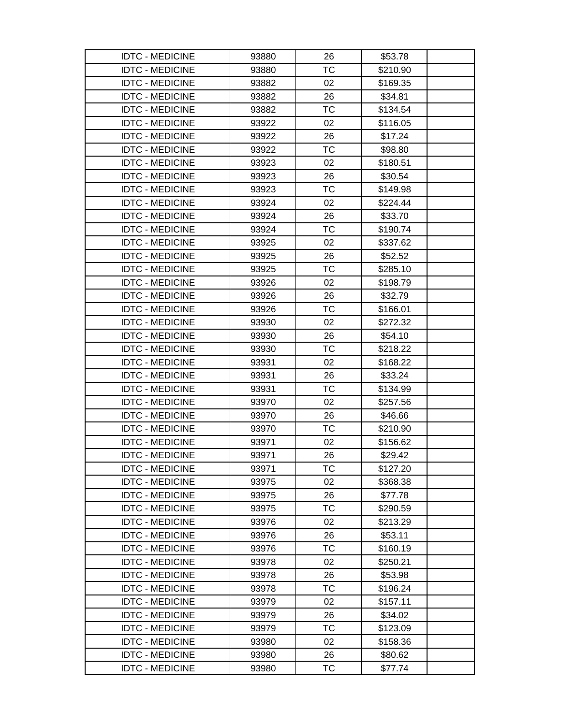| <b>IDTC - MEDICINE</b> | 93880 | 26        | \$53.78  |  |
|------------------------|-------|-----------|----------|--|
| <b>IDTC - MEDICINE</b> | 93880 | <b>TC</b> | \$210.90 |  |
| <b>IDTC - MEDICINE</b> | 93882 | 02        | \$169.35 |  |
| <b>IDTC - MEDICINE</b> | 93882 | 26        | \$34.81  |  |
| <b>IDTC - MEDICINE</b> | 93882 | ТC        | \$134.54 |  |
| <b>IDTC - MEDICINE</b> | 93922 | 02        | \$116.05 |  |
| <b>IDTC - MEDICINE</b> | 93922 | 26        | \$17.24  |  |
| <b>IDTC - MEDICINE</b> | 93922 | <b>TC</b> | \$98.80  |  |
| <b>IDTC - MEDICINE</b> | 93923 | 02        | \$180.51 |  |
| <b>IDTC - MEDICINE</b> | 93923 | 26        | \$30.54  |  |
| <b>IDTC - MEDICINE</b> | 93923 | <b>TC</b> | \$149.98 |  |
| <b>IDTC - MEDICINE</b> | 93924 | 02        | \$224.44 |  |
| <b>IDTC - MEDICINE</b> | 93924 | 26        | \$33.70  |  |
| <b>IDTC - MEDICINE</b> | 93924 | <b>TC</b> | \$190.74 |  |
| <b>IDTC - MEDICINE</b> | 93925 | 02        | \$337.62 |  |
| <b>IDTC - MEDICINE</b> | 93925 | 26        | \$52.52  |  |
| <b>IDTC - MEDICINE</b> | 93925 | <b>TC</b> | \$285.10 |  |
| <b>IDTC - MEDICINE</b> | 93926 | 02        | \$198.79 |  |
| <b>IDTC - MEDICINE</b> | 93926 | 26        | \$32.79  |  |
| <b>IDTC - MEDICINE</b> | 93926 | TC        | \$166.01 |  |
| <b>IDTC - MEDICINE</b> | 93930 | 02        | \$272.32 |  |
| <b>IDTC - MEDICINE</b> | 93930 | 26        | \$54.10  |  |
| <b>IDTC - MEDICINE</b> | 93930 | <b>TC</b> | \$218.22 |  |
| <b>IDTC - MEDICINE</b> | 93931 | 02        | \$168.22 |  |
| <b>IDTC - MEDICINE</b> | 93931 | 26        | \$33.24  |  |
| <b>IDTC - MEDICINE</b> | 93931 | <b>TC</b> | \$134.99 |  |
| <b>IDTC - MEDICINE</b> | 93970 | 02        | \$257.56 |  |
| <b>IDTC - MEDICINE</b> | 93970 | 26        | \$46.66  |  |
| <b>IDTC - MEDICINE</b> | 93970 | TC        | \$210.90 |  |
| <b>IDTC - MEDICINE</b> | 93971 | 02        | \$156.62 |  |
| <b>IDTC - MEDICINE</b> | 93971 | 26        | \$29.42  |  |
| <b>IDTC - MEDICINE</b> | 93971 | ТC        | \$127.20 |  |
| <b>IDTC - MEDICINE</b> | 93975 | 02        | \$368.38 |  |
| <b>IDTC - MEDICINE</b> | 93975 | 26        | \$77.78  |  |
| <b>IDTC - MEDICINE</b> | 93975 | ТC        | \$290.59 |  |
| <b>IDTC - MEDICINE</b> | 93976 | 02        | \$213.29 |  |
| <b>IDTC - MEDICINE</b> | 93976 | 26        | \$53.11  |  |
| <b>IDTC - MEDICINE</b> | 93976 | TC        | \$160.19 |  |
| <b>IDTC - MEDICINE</b> | 93978 | 02        | \$250.21 |  |
| <b>IDTC - MEDICINE</b> | 93978 | 26        | \$53.98  |  |
| <b>IDTC - MEDICINE</b> | 93978 | TC        | \$196.24 |  |
| <b>IDTC - MEDICINE</b> | 93979 | 02        | \$157.11 |  |
| <b>IDTC - MEDICINE</b> | 93979 | 26        | \$34.02  |  |
| <b>IDTC - MEDICINE</b> | 93979 | ТC        | \$123.09 |  |
| <b>IDTC - MEDICINE</b> | 93980 | 02        | \$158.36 |  |
| <b>IDTC - MEDICINE</b> | 93980 | 26        | \$80.62  |  |
| <b>IDTC - MEDICINE</b> | 93980 | ТC        | \$77.74  |  |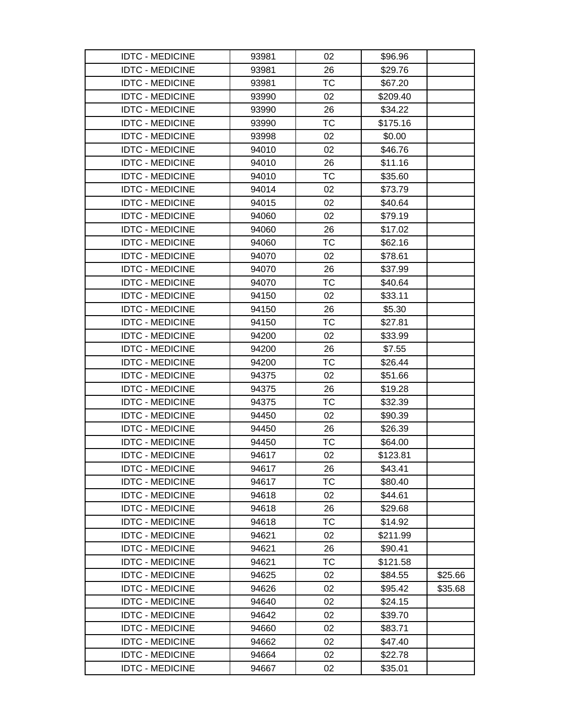| <b>IDTC - MEDICINE</b> | 93981 | 02        | \$96.96  |         |
|------------------------|-------|-----------|----------|---------|
| <b>IDTC - MEDICINE</b> | 93981 | 26        | \$29.76  |         |
| <b>IDTC - MEDICINE</b> | 93981 | <b>TC</b> | \$67.20  |         |
| <b>IDTC - MEDICINE</b> | 93990 | 02        | \$209.40 |         |
| <b>IDTC - MEDICINE</b> | 93990 | 26        | \$34.22  |         |
| <b>IDTC - MEDICINE</b> | 93990 | ТC        | \$175.16 |         |
| <b>IDTC - MEDICINE</b> | 93998 | 02        | \$0.00   |         |
| <b>IDTC - MEDICINE</b> | 94010 | 02        | \$46.76  |         |
| <b>IDTC - MEDICINE</b> | 94010 | 26        | \$11.16  |         |
| <b>IDTC - MEDICINE</b> | 94010 | <b>TC</b> | \$35.60  |         |
| <b>IDTC - MEDICINE</b> | 94014 | 02        | \$73.79  |         |
| <b>IDTC - MEDICINE</b> | 94015 | 02        | \$40.64  |         |
| <b>IDTC - MEDICINE</b> | 94060 | 02        | \$79.19  |         |
| <b>IDTC - MEDICINE</b> | 94060 | 26        | \$17.02  |         |
| <b>IDTC - MEDICINE</b> | 94060 | TC        | \$62.16  |         |
| <b>IDTC - MEDICINE</b> | 94070 | 02        | \$78.61  |         |
| <b>IDTC - MEDICINE</b> | 94070 | 26        | \$37.99  |         |
| <b>IDTC - MEDICINE</b> | 94070 | <b>TC</b> | \$40.64  |         |
| <b>IDTC - MEDICINE</b> | 94150 | 02        | \$33.11  |         |
| <b>IDTC - MEDICINE</b> | 94150 | 26        | \$5.30   |         |
| <b>IDTC - MEDICINE</b> | 94150 | TC        | \$27.81  |         |
| <b>IDTC - MEDICINE</b> | 94200 | 02        | \$33.99  |         |
| <b>IDTC - MEDICINE</b> | 94200 | 26        | \$7.55   |         |
| <b>IDTC - MEDICINE</b> | 94200 | ТC        | \$26.44  |         |
| <b>IDTC - MEDICINE</b> | 94375 | 02        | \$51.66  |         |
| <b>IDTC - MEDICINE</b> | 94375 | 26        | \$19.28  |         |
| <b>IDTC - MEDICINE</b> | 94375 | <b>TC</b> | \$32.39  |         |
| <b>IDTC - MEDICINE</b> | 94450 | 02        | \$90.39  |         |
| <b>IDTC - MEDICINE</b> | 94450 | 26        | \$26.39  |         |
| <b>IDTC - MEDICINE</b> | 94450 | ТC        | \$64.00  |         |
| <b>IDTC - MEDICINE</b> | 94617 | 02        | \$123.81 |         |
| <b>IDTC - MEDICINE</b> | 94617 | 26        | \$43.41  |         |
| <b>IDTC - MEDICINE</b> | 94617 | <b>TC</b> | \$80.40  |         |
| <b>IDTC - MEDICINE</b> | 94618 | 02        | \$44.61  |         |
| <b>IDTC - MEDICINE</b> | 94618 | 26        | \$29.68  |         |
| <b>IDTC - MEDICINE</b> | 94618 | ТC        | \$14.92  |         |
| <b>IDTC - MEDICINE</b> | 94621 | 02        | \$211.99 |         |
| <b>IDTC - MEDICINE</b> | 94621 | 26        | \$90.41  |         |
| <b>IDTC - MEDICINE</b> | 94621 | <b>TC</b> | \$121.58 |         |
| <b>IDTC - MEDICINE</b> | 94625 | 02        | \$84.55  | \$25.66 |
| <b>IDTC - MEDICINE</b> | 94626 | 02        | \$95.42  | \$35.68 |
| <b>IDTC - MEDICINE</b> | 94640 | 02        | \$24.15  |         |
| <b>IDTC - MEDICINE</b> | 94642 | 02        | \$39.70  |         |
| <b>IDTC - MEDICINE</b> | 94660 | 02        | \$83.71  |         |
| <b>IDTC - MEDICINE</b> | 94662 | 02        | \$47.40  |         |
| <b>IDTC - MEDICINE</b> | 94664 | 02        | \$22.78  |         |
| <b>IDTC - MEDICINE</b> | 94667 | 02        | \$35.01  |         |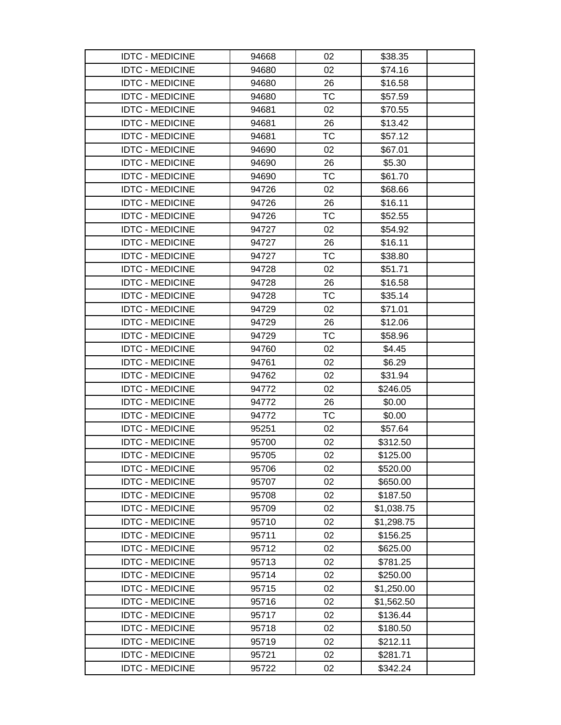| <b>IDTC - MEDICINE</b> | 94668 | 02        | \$38.35    |  |
|------------------------|-------|-----------|------------|--|
| <b>IDTC - MEDICINE</b> | 94680 | 02        | \$74.16    |  |
| <b>IDTC - MEDICINE</b> | 94680 | 26        | \$16.58    |  |
| <b>IDTC - MEDICINE</b> | 94680 | <b>TC</b> | \$57.59    |  |
| <b>IDTC - MEDICINE</b> | 94681 | 02        | \$70.55    |  |
| <b>IDTC - MEDICINE</b> | 94681 | 26        | \$13.42    |  |
| <b>IDTC - MEDICINE</b> | 94681 | <b>TC</b> | \$57.12    |  |
| <b>IDTC - MEDICINE</b> | 94690 | 02        | \$67.01    |  |
| <b>IDTC - MEDICINE</b> | 94690 | 26        | \$5.30     |  |
| <b>IDTC - MEDICINE</b> | 94690 | <b>TC</b> | \$61.70    |  |
| <b>IDTC - MEDICINE</b> | 94726 | 02        | \$68.66    |  |
| <b>IDTC - MEDICINE</b> | 94726 | 26        | \$16.11    |  |
| <b>IDTC - MEDICINE</b> | 94726 | <b>TC</b> | \$52.55    |  |
| <b>IDTC - MEDICINE</b> | 94727 | 02        | \$54.92    |  |
| <b>IDTC - MEDICINE</b> | 94727 | 26        | \$16.11    |  |
| <b>IDTC - MEDICINE</b> | 94727 | <b>TC</b> | \$38.80    |  |
| <b>IDTC - MEDICINE</b> | 94728 | 02        | \$51.71    |  |
| <b>IDTC - MEDICINE</b> | 94728 | 26        | \$16.58    |  |
| <b>IDTC - MEDICINE</b> | 94728 | TC        | \$35.14    |  |
| <b>IDTC - MEDICINE</b> | 94729 | 02        | \$71.01    |  |
| <b>IDTC - MEDICINE</b> | 94729 | 26        | \$12.06    |  |
| <b>IDTC - MEDICINE</b> | 94729 | ТC        | \$58.96    |  |
| <b>IDTC - MEDICINE</b> | 94760 | 02        | \$4.45     |  |
| <b>IDTC - MEDICINE</b> | 94761 | 02        | \$6.29     |  |
| <b>IDTC - MEDICINE</b> | 94762 | 02        | \$31.94    |  |
| <b>IDTC - MEDICINE</b> | 94772 | 02        | \$246.05   |  |
| <b>IDTC - MEDICINE</b> | 94772 | 26        | \$0.00     |  |
| <b>IDTC - MEDICINE</b> | 94772 | ТC        | \$0.00     |  |
| <b>IDTC - MEDICINE</b> | 95251 | 02        | \$57.64    |  |
| <b>IDTC - MEDICINE</b> | 95700 | 02        | \$312.50   |  |
| <b>IDTC - MEDICINE</b> | 95705 | 02        | \$125.00   |  |
| <b>IDTC - MEDICINE</b> | 95706 | 02        | \$520.00   |  |
| <b>IDTC - MEDICINE</b> | 95707 | 02        | \$650.00   |  |
| <b>IDTC - MEDICINE</b> | 95708 | 02        | \$187.50   |  |
| <b>IDTC - MEDICINE</b> | 95709 | 02        | \$1,038.75 |  |
| <b>IDTC - MEDICINE</b> | 95710 | 02        | \$1,298.75 |  |
| <b>IDTC - MEDICINE</b> | 95711 | 02        | \$156.25   |  |
| <b>IDTC - MEDICINE</b> | 95712 | 02        | \$625.00   |  |
| <b>IDTC - MEDICINE</b> | 95713 | 02        | \$781.25   |  |
| <b>IDTC - MEDICINE</b> | 95714 | 02        | \$250.00   |  |
| <b>IDTC - MEDICINE</b> | 95715 | 02        | \$1,250.00 |  |
| <b>IDTC - MEDICINE</b> | 95716 | 02        | \$1,562.50 |  |
| <b>IDTC - MEDICINE</b> | 95717 | 02        | \$136.44   |  |
| <b>IDTC - MEDICINE</b> | 95718 | 02        | \$180.50   |  |
| <b>IDTC - MEDICINE</b> | 95719 | 02        | \$212.11   |  |
| <b>IDTC - MEDICINE</b> | 95721 | 02        | \$281.71   |  |
| <b>IDTC - MEDICINE</b> | 95722 | 02        | \$342.24   |  |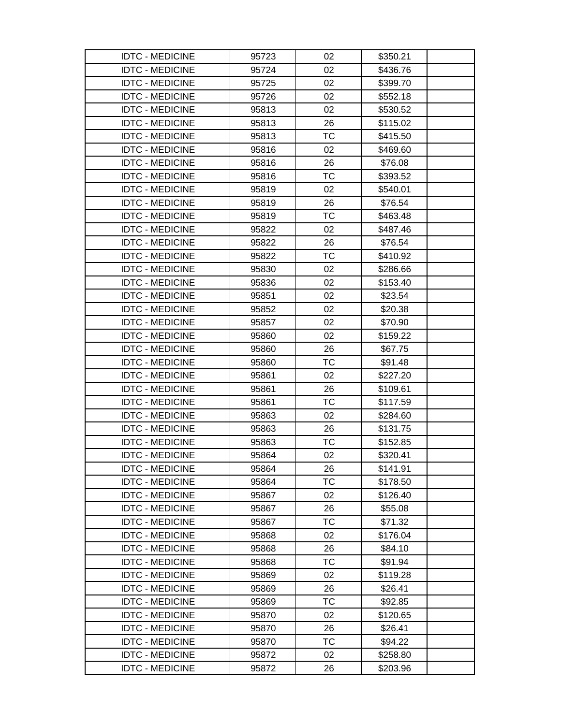| <b>IDTC - MEDICINE</b> | 95723 | 02        | \$350.21 |  |
|------------------------|-------|-----------|----------|--|
| <b>IDTC - MEDICINE</b> | 95724 | 02        | \$436.76 |  |
| <b>IDTC - MEDICINE</b> | 95725 | 02        | \$399.70 |  |
| <b>IDTC - MEDICINE</b> | 95726 | 02        | \$552.18 |  |
| <b>IDTC - MEDICINE</b> | 95813 | 02        | \$530.52 |  |
| <b>IDTC - MEDICINE</b> | 95813 | 26        | \$115.02 |  |
| <b>IDTC - MEDICINE</b> | 95813 | <b>TC</b> | \$415.50 |  |
| <b>IDTC - MEDICINE</b> | 95816 | 02        | \$469.60 |  |
| <b>IDTC - MEDICINE</b> | 95816 | 26        | \$76.08  |  |
| <b>IDTC - MEDICINE</b> | 95816 | <b>TC</b> | \$393.52 |  |
| <b>IDTC - MEDICINE</b> | 95819 | 02        | \$540.01 |  |
| <b>IDTC - MEDICINE</b> | 95819 | 26        | \$76.54  |  |
| <b>IDTC - MEDICINE</b> | 95819 | <b>TC</b> | \$463.48 |  |
| <b>IDTC - MEDICINE</b> | 95822 | 02        | \$487.46 |  |
| <b>IDTC - MEDICINE</b> | 95822 | 26        | \$76.54  |  |
| <b>IDTC - MEDICINE</b> | 95822 | <b>TC</b> | \$410.92 |  |
| <b>IDTC - MEDICINE</b> | 95830 | 02        | \$286.66 |  |
| <b>IDTC - MEDICINE</b> | 95836 | 02        | \$153.40 |  |
| <b>IDTC - MEDICINE</b> | 95851 | 02        | \$23.54  |  |
| <b>IDTC - MEDICINE</b> | 95852 | 02        | \$20.38  |  |
| <b>IDTC - MEDICINE</b> | 95857 | 02        | \$70.90  |  |
| <b>IDTC - MEDICINE</b> | 95860 | 02        | \$159.22 |  |
| <b>IDTC - MEDICINE</b> | 95860 | 26        | \$67.75  |  |
| <b>IDTC - MEDICINE</b> | 95860 | ТC        | \$91.48  |  |
| <b>IDTC - MEDICINE</b> | 95861 | 02        | \$227.20 |  |
| <b>IDTC - MEDICINE</b> | 95861 | 26        | \$109.61 |  |
| <b>IDTC - MEDICINE</b> | 95861 | TC        | \$117.59 |  |
| <b>IDTC - MEDICINE</b> | 95863 | 02        | \$284.60 |  |
| <b>IDTC - MEDICINE</b> | 95863 | 26        | \$131.75 |  |
| <b>IDTC - MEDICINE</b> | 95863 | ТC        | \$152.85 |  |
| <b>IDTC - MEDICINE</b> | 95864 | 02        | \$320.41 |  |
| <b>IDTC - MEDICINE</b> | 95864 | 26        | \$141.91 |  |
| <b>IDTC - MEDICINE</b> | 95864 | <b>TC</b> | \$178.50 |  |
| <b>IDTC - MEDICINE</b> | 95867 | 02        | \$126.40 |  |
| <b>IDTC - MEDICINE</b> | 95867 | 26        | \$55.08  |  |
| <b>IDTC - MEDICINE</b> | 95867 | <b>TC</b> | \$71.32  |  |
| <b>IDTC - MEDICINE</b> | 95868 | 02        | \$176.04 |  |
| <b>IDTC - MEDICINE</b> | 95868 | 26        | \$84.10  |  |
| <b>IDTC - MEDICINE</b> | 95868 | <b>TC</b> | \$91.94  |  |
| <b>IDTC - MEDICINE</b> | 95869 | 02        | \$119.28 |  |
| <b>IDTC - MEDICINE</b> | 95869 | 26        | \$26.41  |  |
| <b>IDTC - MEDICINE</b> | 95869 | <b>TC</b> | \$92.85  |  |
| <b>IDTC - MEDICINE</b> | 95870 | 02        | \$120.65 |  |
| <b>IDTC - MEDICINE</b> | 95870 | 26        | \$26.41  |  |
| <b>IDTC - MEDICINE</b> | 95870 | <b>TC</b> | \$94.22  |  |
| <b>IDTC - MEDICINE</b> | 95872 | 02        | \$258.80 |  |
| <b>IDTC - MEDICINE</b> | 95872 | 26        | \$203.96 |  |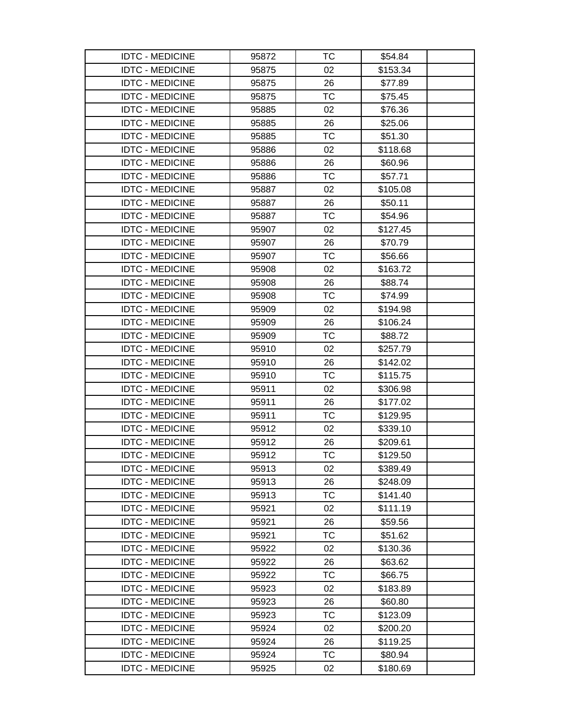| <b>IDTC - MEDICINE</b> | 95872 | ТC        | \$54.84  |  |
|------------------------|-------|-----------|----------|--|
| <b>IDTC - MEDICINE</b> | 95875 | 02        | \$153.34 |  |
| <b>IDTC - MEDICINE</b> | 95875 | 26        | \$77.89  |  |
| <b>IDTC - MEDICINE</b> | 95875 | TC        | \$75.45  |  |
| <b>IDTC - MEDICINE</b> | 95885 | 02        | \$76.36  |  |
| <b>IDTC - MEDICINE</b> | 95885 | 26        | \$25.06  |  |
| <b>IDTC - MEDICINE</b> | 95885 | ТC        | \$51.30  |  |
| <b>IDTC - MEDICINE</b> | 95886 | 02        | \$118.68 |  |
| <b>IDTC - MEDICINE</b> | 95886 | 26        | \$60.96  |  |
| <b>IDTC - MEDICINE</b> | 95886 | TC        | \$57.71  |  |
| <b>IDTC - MEDICINE</b> | 95887 | 02        | \$105.08 |  |
| <b>IDTC - MEDICINE</b> | 95887 | 26        | \$50.11  |  |
| <b>IDTC - MEDICINE</b> | 95887 | ТC        | \$54.96  |  |
| <b>IDTC - MEDICINE</b> | 95907 | 02        | \$127.45 |  |
| <b>IDTC - MEDICINE</b> | 95907 | 26        | \$70.79  |  |
| <b>IDTC - MEDICINE</b> | 95907 | TC        | \$56.66  |  |
| <b>IDTC - MEDICINE</b> | 95908 | 02        | \$163.72 |  |
| <b>IDTC - MEDICINE</b> | 95908 | 26        | \$88.74  |  |
| <b>IDTC - MEDICINE</b> | 95908 | ТC        | \$74.99  |  |
| <b>IDTC - MEDICINE</b> | 95909 | 02        | \$194.98 |  |
| <b>IDTC - MEDICINE</b> | 95909 | 26        | \$106.24 |  |
| <b>IDTC - MEDICINE</b> | 95909 | <b>TC</b> | \$88.72  |  |
| <b>IDTC - MEDICINE</b> | 95910 | 02        | \$257.79 |  |
| <b>IDTC - MEDICINE</b> | 95910 | 26        | \$142.02 |  |
| <b>IDTC - MEDICINE</b> | 95910 | ТC        | \$115.75 |  |
| <b>IDTC - MEDICINE</b> | 95911 | 02        | \$306.98 |  |
| <b>IDTC - MEDICINE</b> | 95911 | 26        | \$177.02 |  |
| <b>IDTC - MEDICINE</b> | 95911 | ТC        | \$129.95 |  |
| <b>IDTC - MEDICINE</b> | 95912 | 02        | \$339.10 |  |
| <b>IDTC - MEDICINE</b> | 95912 | 26        | \$209.61 |  |
| <b>IDTC - MEDICINE</b> | 95912 | <b>TC</b> | \$129.50 |  |
| <b>IDTC - MEDICINE</b> | 95913 | 02        | \$389.49 |  |
| <b>IDTC - MEDICINE</b> | 95913 | 26        | \$248.09 |  |
| <b>IDTC - MEDICINE</b> | 95913 | TC        | \$141.40 |  |
| <b>IDTC - MEDICINE</b> | 95921 | 02        | \$111.19 |  |
| <b>IDTC - MEDICINE</b> | 95921 | 26        | \$59.56  |  |
| <b>IDTC - MEDICINE</b> | 95921 | <b>TC</b> | \$51.62  |  |
| <b>IDTC - MEDICINE</b> | 95922 | 02        | \$130.36 |  |
| <b>IDTC - MEDICINE</b> | 95922 | 26        | \$63.62  |  |
| <b>IDTC - MEDICINE</b> | 95922 | TC        | \$66.75  |  |
| <b>IDTC - MEDICINE</b> | 95923 | 02        | \$183.89 |  |
| <b>IDTC - MEDICINE</b> | 95923 | 26        | \$60.80  |  |
| <b>IDTC - MEDICINE</b> | 95923 | TC        | \$123.09 |  |
| <b>IDTC - MEDICINE</b> | 95924 | 02        | \$200.20 |  |
| <b>IDTC - MEDICINE</b> | 95924 | 26        | \$119.25 |  |
| <b>IDTC - MEDICINE</b> | 95924 | ТC        | \$80.94  |  |
| <b>IDTC - MEDICINE</b> | 95925 | 02        | \$180.69 |  |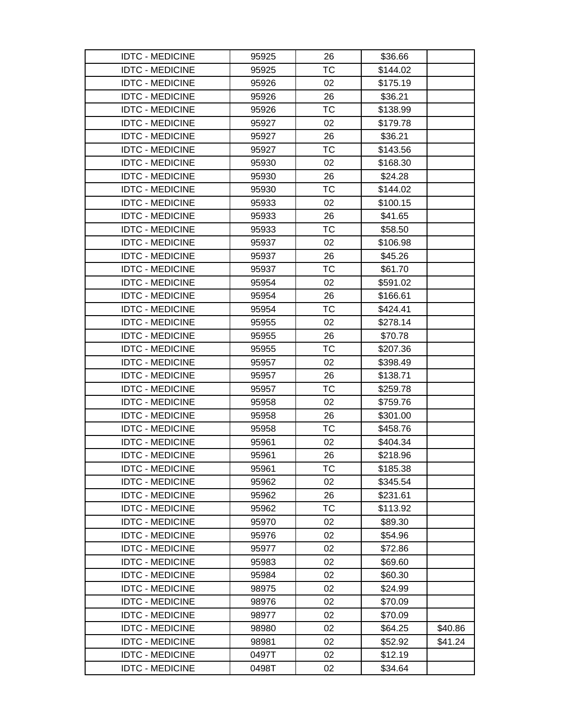| <b>IDTC - MEDICINE</b> | 95925 | 26        | \$36.66  |         |
|------------------------|-------|-----------|----------|---------|
| <b>IDTC - MEDICINE</b> | 95925 | TC        | \$144.02 |         |
| <b>IDTC - MEDICINE</b> | 95926 | 02        | \$175.19 |         |
| <b>IDTC - MEDICINE</b> | 95926 | 26        | \$36.21  |         |
| <b>IDTC - MEDICINE</b> | 95926 | ТC        | \$138.99 |         |
| <b>IDTC - MEDICINE</b> | 95927 | 02        | \$179.78 |         |
| <b>IDTC - MEDICINE</b> | 95927 | 26        | \$36.21  |         |
| <b>IDTC - MEDICINE</b> | 95927 | <b>TC</b> | \$143.56 |         |
| <b>IDTC - MEDICINE</b> | 95930 | 02        | \$168.30 |         |
| <b>IDTC - MEDICINE</b> | 95930 | 26        | \$24.28  |         |
| <b>IDTC - MEDICINE</b> | 95930 | <b>TC</b> | \$144.02 |         |
| <b>IDTC - MEDICINE</b> | 95933 | 02        | \$100.15 |         |
| <b>IDTC - MEDICINE</b> | 95933 | 26        | \$41.65  |         |
| <b>IDTC - MEDICINE</b> | 95933 | <b>TC</b> | \$58.50  |         |
| <b>IDTC - MEDICINE</b> | 95937 | 02        | \$106.98 |         |
| <b>IDTC - MEDICINE</b> | 95937 | 26        | \$45.26  |         |
| <b>IDTC - MEDICINE</b> | 95937 | <b>TC</b> | \$61.70  |         |
| <b>IDTC - MEDICINE</b> | 95954 | 02        | \$591.02 |         |
| <b>IDTC - MEDICINE</b> | 95954 | 26        | \$166.61 |         |
| <b>IDTC - MEDICINE</b> | 95954 | ТC        | \$424.41 |         |
| <b>IDTC - MEDICINE</b> | 95955 | 02        | \$278.14 |         |
| <b>IDTC - MEDICINE</b> | 95955 | 26        | \$70.78  |         |
| <b>IDTC - MEDICINE</b> | 95955 | <b>TC</b> | \$207.36 |         |
| <b>IDTC - MEDICINE</b> | 95957 | 02        | \$398.49 |         |
| <b>IDTC - MEDICINE</b> | 95957 | 26        | \$138.71 |         |
| <b>IDTC - MEDICINE</b> | 95957 | <b>TC</b> | \$259.78 |         |
| <b>IDTC - MEDICINE</b> | 95958 | 02        | \$759.76 |         |
| <b>IDTC - MEDICINE</b> | 95958 | 26        | \$301.00 |         |
| <b>IDTC - MEDICINE</b> | 95958 | TC        | \$458.76 |         |
| <b>IDTC - MEDICINE</b> | 95961 | 02        | \$404.34 |         |
| <b>IDTC - MEDICINE</b> | 95961 | 26        | \$218.96 |         |
| <b>IDTC - MEDICINE</b> | 95961 | ТC        | \$185.38 |         |
| <b>IDTC - MEDICINE</b> | 95962 | 02        | \$345.54 |         |
| <b>IDTC - MEDICINE</b> | 95962 | 26        | \$231.61 |         |
| <b>IDTC - MEDICINE</b> | 95962 | ТC        | \$113.92 |         |
| <b>IDTC - MEDICINE</b> | 95970 | 02        | \$89.30  |         |
| <b>IDTC - MEDICINE</b> | 95976 | 02        | \$54.96  |         |
| <b>IDTC - MEDICINE</b> | 95977 | 02        | \$72.86  |         |
| <b>IDTC - MEDICINE</b> | 95983 | 02        | \$69.60  |         |
| <b>IDTC - MEDICINE</b> | 95984 | 02        | \$60.30  |         |
| <b>IDTC - MEDICINE</b> | 98975 | 02        | \$24.99  |         |
| <b>IDTC - MEDICINE</b> | 98976 | 02        | \$70.09  |         |
| <b>IDTC - MEDICINE</b> | 98977 | 02        | \$70.09  |         |
| <b>IDTC - MEDICINE</b> | 98980 | 02        | \$64.25  | \$40.86 |
| <b>IDTC - MEDICINE</b> | 98981 | 02        | \$52.92  | \$41.24 |
| <b>IDTC - MEDICINE</b> | 0497T | 02        | \$12.19  |         |
| <b>IDTC - MEDICINE</b> | 0498T | 02        | \$34.64  |         |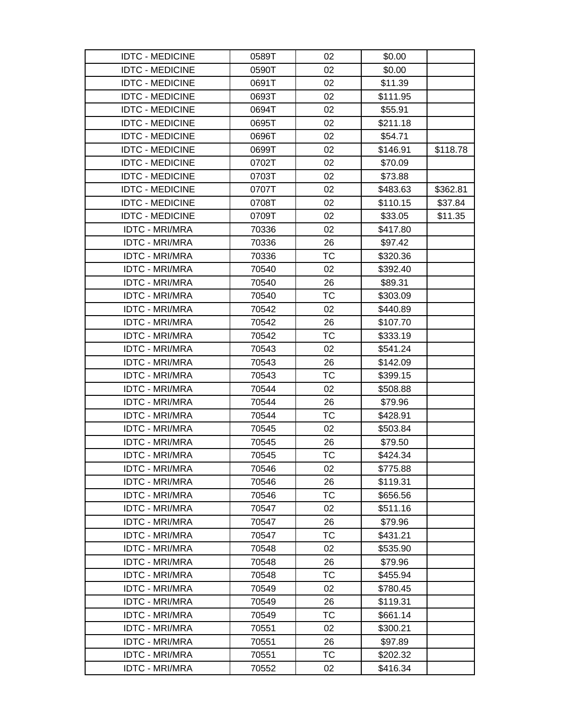| <b>IDTC - MEDICINE</b> | 0589T | 02        | \$0.00   |          |
|------------------------|-------|-----------|----------|----------|
| <b>IDTC - MEDICINE</b> | 0590T | 02        | \$0.00   |          |
| <b>IDTC - MEDICINE</b> | 0691T | 02        | \$11.39  |          |
| <b>IDTC - MEDICINE</b> | 0693T | 02        | \$111.95 |          |
| <b>IDTC - MEDICINE</b> | 0694T | 02        | \$55.91  |          |
| <b>IDTC - MEDICINE</b> | 0695T | 02        | \$211.18 |          |
| <b>IDTC - MEDICINE</b> | 0696T | 02        | \$54.71  |          |
| <b>IDTC - MEDICINE</b> | 0699T | 02        | \$146.91 | \$118.78 |
| <b>IDTC - MEDICINE</b> | 0702T | 02        | \$70.09  |          |
| <b>IDTC - MEDICINE</b> | 0703T | 02        | \$73.88  |          |
| <b>IDTC - MEDICINE</b> | 0707T | 02        | \$483.63 | \$362.81 |
| <b>IDTC - MEDICINE</b> | 0708T | 02        | \$110.15 | \$37.84  |
| <b>IDTC - MEDICINE</b> | 0709T | 02        | \$33.05  | \$11.35  |
| <b>IDTC - MRI/MRA</b>  | 70336 | 02        | \$417.80 |          |
| <b>IDTC - MRI/MRA</b>  | 70336 | 26        | \$97.42  |          |
| <b>IDTC - MRI/MRA</b>  | 70336 | ТC        | \$320.36 |          |
| <b>IDTC - MRI/MRA</b>  | 70540 | 02        | \$392.40 |          |
| <b>IDTC - MRI/MRA</b>  | 70540 | 26        | \$89.31  |          |
| <b>IDTC - MRI/MRA</b>  | 70540 | ТC        | \$303.09 |          |
| <b>IDTC - MRI/MRA</b>  | 70542 | 02        | \$440.89 |          |
| <b>IDTC - MRI/MRA</b>  | 70542 | 26        | \$107.70 |          |
| <b>IDTC - MRI/MRA</b>  | 70542 | <b>TC</b> | \$333.19 |          |
| <b>IDTC - MRI/MRA</b>  | 70543 | 02        | \$541.24 |          |
| <b>IDTC - MRI/MRA</b>  | 70543 | 26        | \$142.09 |          |
| <b>IDTC - MRI/MRA</b>  | 70543 | <b>TC</b> | \$399.15 |          |
| <b>IDTC - MRI/MRA</b>  | 70544 | 02        | \$508.88 |          |
| <b>IDTC - MRI/MRA</b>  | 70544 | 26        | \$79.96  |          |
| <b>IDTC - MRI/MRA</b>  | 70544 | <b>TC</b> | \$428.91 |          |
| <b>IDTC - MRI/MRA</b>  | 70545 | 02        | \$503.84 |          |
| <b>IDTC - MRI/MRA</b>  | 70545 | 26        | \$79.50  |          |
| <b>IDTC - MRI/MRA</b>  | 70545 | <b>TC</b> | \$424.34 |          |
| <b>IDTC - MRI/MRA</b>  | 70546 | 02        | \$775.88 |          |
| <b>IDTC - MRI/MRA</b>  | 70546 | 26        | \$119.31 |          |
| <b>IDTC - MRI/MRA</b>  | 70546 | ТC        | \$656.56 |          |
| <b>IDTC - MRI/MRA</b>  | 70547 | 02        | \$511.16 |          |
| <b>IDTC - MRI/MRA</b>  | 70547 | 26        | \$79.96  |          |
| <b>IDTC - MRI/MRA</b>  | 70547 | ТC        | \$431.21 |          |
| <b>IDTC - MRI/MRA</b>  | 70548 | 02        | \$535.90 |          |
| <b>IDTC - MRI/MRA</b>  | 70548 | 26        | \$79.96  |          |
| <b>IDTC - MRI/MRA</b>  | 70548 | <b>TC</b> | \$455.94 |          |
| <b>IDTC - MRI/MRA</b>  | 70549 | 02        | \$780.45 |          |
| <b>IDTC - MRI/MRA</b>  | 70549 | 26        | \$119.31 |          |
| <b>IDTC - MRI/MRA</b>  | 70549 | ТC        | \$661.14 |          |
| <b>IDTC - MRI/MRA</b>  | 70551 | 02        | \$300.21 |          |
| <b>IDTC - MRI/MRA</b>  | 70551 | 26        | \$97.89  |          |
| <b>IDTC - MRI/MRA</b>  | 70551 | ТC        | \$202.32 |          |
| <b>IDTC - MRI/MRA</b>  | 70552 | 02        | \$416.34 |          |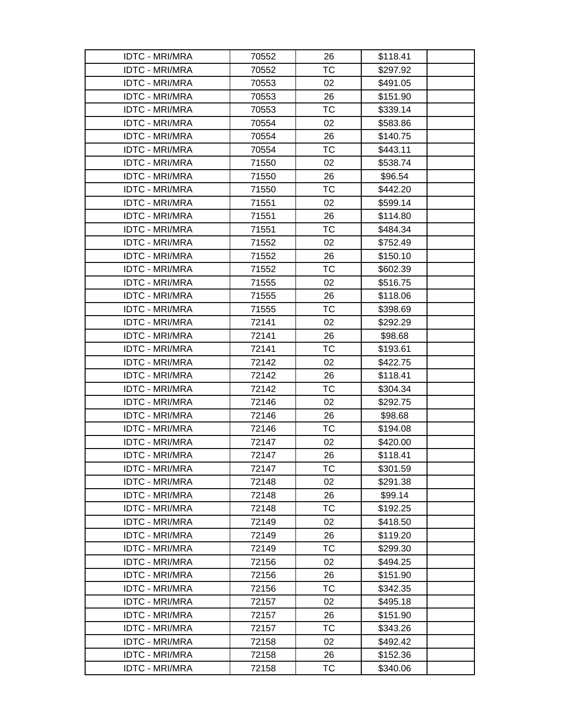| <b>IDTC - MRI/MRA</b> | 70552 | 26        | \$118.41 |
|-----------------------|-------|-----------|----------|
| <b>IDTC - MRI/MRA</b> | 70552 | <b>TC</b> | \$297.92 |
| <b>IDTC - MRI/MRA</b> | 70553 | 02        | \$491.05 |
| <b>IDTC - MRI/MRA</b> | 70553 | 26        | \$151.90 |
| <b>IDTC - MRI/MRA</b> | 70553 | <b>TC</b> | \$339.14 |
| <b>IDTC - MRI/MRA</b> | 70554 | 02        | \$583.86 |
| <b>IDTC - MRI/MRA</b> | 70554 | 26        | \$140.75 |
| <b>IDTC - MRI/MRA</b> | 70554 | <b>TC</b> | \$443.11 |
| <b>IDTC - MRI/MRA</b> | 71550 | 02        | \$538.74 |
| <b>IDTC - MRI/MRA</b> | 71550 | 26        | \$96.54  |
| <b>IDTC - MRI/MRA</b> | 71550 | <b>TC</b> | \$442.20 |
| <b>IDTC - MRI/MRA</b> | 71551 | 02        | \$599.14 |
| <b>IDTC - MRI/MRA</b> | 71551 | 26        | \$114.80 |
| <b>IDTC - MRI/MRA</b> | 71551 | <b>TC</b> | \$484.34 |
| <b>IDTC - MRI/MRA</b> | 71552 | 02        | \$752.49 |
| <b>IDTC - MRI/MRA</b> | 71552 | 26        | \$150.10 |
| <b>IDTC - MRI/MRA</b> | 71552 | <b>TC</b> | \$602.39 |
| <b>IDTC - MRI/MRA</b> | 71555 | 02        | \$516.75 |
| <b>IDTC - MRI/MRA</b> | 71555 | 26        | \$118.06 |
| <b>IDTC - MRI/MRA</b> | 71555 | <b>TC</b> | \$398.69 |
| <b>IDTC - MRI/MRA</b> | 72141 | 02        | \$292.29 |
| <b>IDTC - MRI/MRA</b> | 72141 | 26        | \$98.68  |
| <b>IDTC - MRI/MRA</b> | 72141 | <b>TC</b> | \$193.61 |
| <b>IDTC - MRI/MRA</b> | 72142 | 02        | \$422.75 |
| <b>IDTC - MRI/MRA</b> | 72142 | 26        | \$118.41 |
| <b>IDTC - MRI/MRA</b> | 72142 | <b>TC</b> | \$304.34 |
| <b>IDTC - MRI/MRA</b> | 72146 | 02        | \$292.75 |
| <b>IDTC - MRI/MRA</b> | 72146 | 26        | \$98.68  |
| <b>IDTC - MRI/MRA</b> | 72146 | <b>TC</b> | \$194.08 |
| <b>IDTC - MRI/MRA</b> | 72147 | 02        | \$420.00 |
| <b>IDTC - MRI/MRA</b> | 72147 | 26        | \$118.41 |
| <b>IDTC - MRI/MRA</b> | 72147 | ТC        | \$301.59 |
| <b>IDTC - MRI/MRA</b> | 72148 | 02        | \$291.38 |
| <b>IDTC - MRI/MRA</b> | 72148 | 26        | \$99.14  |
| <b>IDTC - MRI/MRA</b> | 72148 | <b>TC</b> | \$192.25 |
| <b>IDTC - MRI/MRA</b> | 72149 | 02        | \$418.50 |
| <b>IDTC - MRI/MRA</b> | 72149 | 26        | \$119.20 |
| <b>IDTC - MRI/MRA</b> | 72149 | <b>TC</b> | \$299.30 |
| <b>IDTC - MRI/MRA</b> | 72156 | 02        | \$494.25 |
| <b>IDTC - MRI/MRA</b> | 72156 | 26        | \$151.90 |
| <b>IDTC - MRI/MRA</b> | 72156 | ТC        | \$342.35 |
| <b>IDTC - MRI/MRA</b> | 72157 | 02        | \$495.18 |
| <b>IDTC - MRI/MRA</b> | 72157 | 26        | \$151.90 |
| <b>IDTC - MRI/MRA</b> | 72157 | ТC        | \$343.26 |
| <b>IDTC - MRI/MRA</b> | 72158 | 02        | \$492.42 |
| <b>IDTC - MRI/MRA</b> | 72158 | 26        | \$152.36 |
| <b>IDTC - MRI/MRA</b> | 72158 | ТC        | \$340.06 |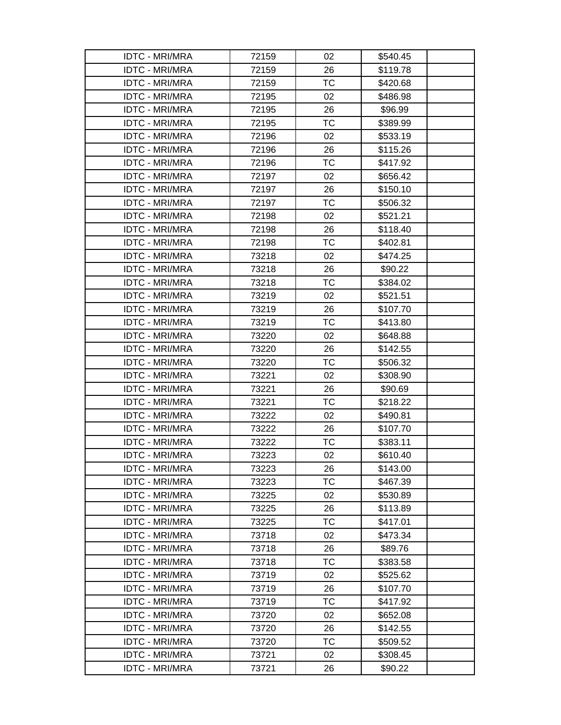| <b>IDTC - MRI/MRA</b> | 72159 | 02        | \$540.45 |  |
|-----------------------|-------|-----------|----------|--|
| <b>IDTC - MRI/MRA</b> | 72159 | 26        | \$119.78 |  |
| <b>IDTC - MRI/MRA</b> | 72159 | ТC        | \$420.68 |  |
| <b>IDTC - MRI/MRA</b> | 72195 | 02        | \$486.98 |  |
| <b>IDTC - MRI/MRA</b> | 72195 | 26        | \$96.99  |  |
| <b>IDTC - MRI/MRA</b> | 72195 | ТC        | \$389.99 |  |
| <b>IDTC - MRI/MRA</b> | 72196 | 02        | \$533.19 |  |
| <b>IDTC - MRI/MRA</b> | 72196 | 26        | \$115.26 |  |
| <b>IDTC - MRI/MRA</b> | 72196 | <b>TC</b> | \$417.92 |  |
| <b>IDTC - MRI/MRA</b> | 72197 | 02        | \$656.42 |  |
| <b>IDTC - MRI/MRA</b> | 72197 | 26        | \$150.10 |  |
| <b>IDTC - MRI/MRA</b> | 72197 | ТC        | \$506.32 |  |
| <b>IDTC - MRI/MRA</b> | 72198 | 02        | \$521.21 |  |
| <b>IDTC - MRI/MRA</b> | 72198 | 26        | \$118.40 |  |
| <b>IDTC - MRI/MRA</b> | 72198 | ТC        | \$402.81 |  |
| <b>IDTC - MRI/MRA</b> | 73218 | 02        | \$474.25 |  |
| <b>IDTC - MRI/MRA</b> | 73218 | 26        | \$90.22  |  |
| <b>IDTC - MRI/MRA</b> | 73218 | <b>TC</b> | \$384.02 |  |
| <b>IDTC - MRI/MRA</b> | 73219 | 02        | \$521.51 |  |
| <b>IDTC - MRI/MRA</b> | 73219 | 26        | \$107.70 |  |
| <b>IDTC - MRI/MRA</b> | 73219 | ТC        | \$413.80 |  |
| <b>IDTC - MRI/MRA</b> | 73220 | 02        | \$648.88 |  |
| <b>IDTC - MRI/MRA</b> | 73220 | 26        | \$142.55 |  |
| <b>IDTC - MRI/MRA</b> | 73220 | ТC        | \$506.32 |  |
| <b>IDTC - MRI/MRA</b> | 73221 | 02        | \$308.90 |  |
| <b>IDTC - MRI/MRA</b> | 73221 | 26        | \$90.69  |  |
| <b>IDTC - MRI/MRA</b> | 73221 | <b>TC</b> | \$218.22 |  |
| <b>IDTC - MRI/MRA</b> | 73222 | 02        | \$490.81 |  |
| <b>IDTC - MRI/MRA</b> | 73222 | 26        | \$107.70 |  |
| <b>IDTC - MRI/MRA</b> | 73222 | ТC        | \$383.11 |  |
| <b>IDTC - MRI/MRA</b> | 73223 | 02        | \$610.40 |  |
| <b>IDTC - MRI/MRA</b> | 73223 | 26        | \$143.00 |  |
| <b>IDTC - MRI/MRA</b> | 73223 | <b>TC</b> | \$467.39 |  |
| <b>IDTC - MRI/MRA</b> | 73225 | 02        | \$530.89 |  |
| <b>IDTC - MRI/MRA</b> | 73225 | 26        | \$113.89 |  |
| <b>IDTC - MRI/MRA</b> | 73225 | <b>TC</b> | \$417.01 |  |
| <b>IDTC - MRI/MRA</b> | 73718 | 02        | \$473.34 |  |
| <b>IDTC - MRI/MRA</b> | 73718 | 26        | \$89.76  |  |
| <b>IDTC - MRI/MRA</b> | 73718 | <b>TC</b> | \$383.58 |  |
| <b>IDTC - MRI/MRA</b> | 73719 | 02        | \$525.62 |  |
| <b>IDTC - MRI/MRA</b> | 73719 | 26        | \$107.70 |  |
| <b>IDTC - MRI/MRA</b> | 73719 | <b>TC</b> | \$417.92 |  |
| <b>IDTC - MRI/MRA</b> | 73720 | 02        | \$652.08 |  |
| <b>IDTC - MRI/MRA</b> | 73720 | 26        | \$142.55 |  |
| <b>IDTC - MRI/MRA</b> | 73720 | <b>TC</b> | \$509.52 |  |
| <b>IDTC - MRI/MRA</b> | 73721 | 02        | \$308.45 |  |
| <b>IDTC - MRI/MRA</b> | 73721 | 26        | \$90.22  |  |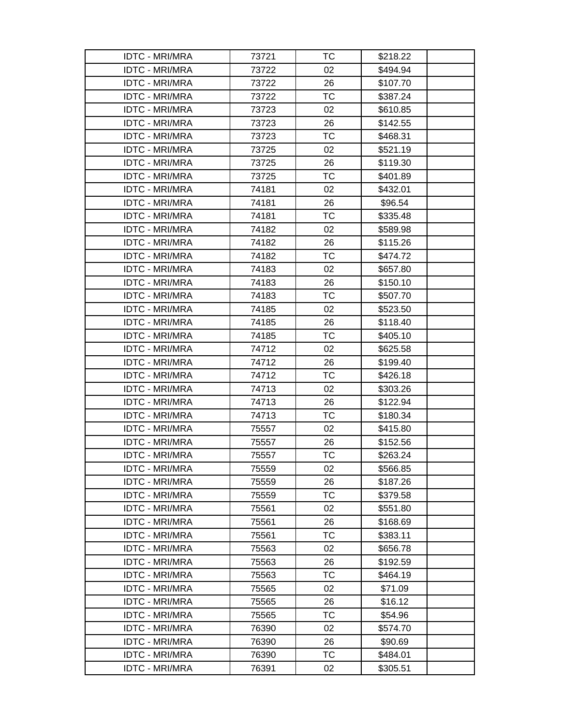| <b>IDTC - MRI/MRA</b> | 73721 | ТC        | \$218.22 |
|-----------------------|-------|-----------|----------|
| <b>IDTC - MRI/MRA</b> | 73722 | 02        | \$494.94 |
| <b>IDTC - MRI/MRA</b> | 73722 | 26        | \$107.70 |
| <b>IDTC - MRI/MRA</b> | 73722 | <b>TC</b> | \$387.24 |
| <b>IDTC - MRI/MRA</b> | 73723 | 02        | \$610.85 |
| <b>IDTC - MRI/MRA</b> | 73723 | 26        | \$142.55 |
| <b>IDTC - MRI/MRA</b> | 73723 | <b>TC</b> | \$468.31 |
| <b>IDTC - MRI/MRA</b> | 73725 | 02        | \$521.19 |
| <b>IDTC - MRI/MRA</b> | 73725 | 26        | \$119.30 |
| <b>IDTC - MRI/MRA</b> | 73725 | <b>TC</b> | \$401.89 |
| <b>IDTC - MRI/MRA</b> | 74181 | 02        | \$432.01 |
| <b>IDTC - MRI/MRA</b> | 74181 | 26        | \$96.54  |
| <b>IDTC - MRI/MRA</b> | 74181 | <b>TC</b> | \$335.48 |
| <b>IDTC - MRI/MRA</b> | 74182 | 02        | \$589.98 |
| <b>IDTC - MRI/MRA</b> | 74182 | 26        | \$115.26 |
| <b>IDTC - MRI/MRA</b> | 74182 | <b>TC</b> | \$474.72 |
| <b>IDTC - MRI/MRA</b> | 74183 | 02        | \$657.80 |
| <b>IDTC - MRI/MRA</b> | 74183 | 26        | \$150.10 |
| <b>IDTC - MRI/MRA</b> | 74183 | <b>TC</b> | \$507.70 |
| <b>IDTC - MRI/MRA</b> | 74185 | 02        | \$523.50 |
| <b>IDTC - MRI/MRA</b> | 74185 | 26        | \$118.40 |
| <b>IDTC - MRI/MRA</b> | 74185 | ТC        | \$405.10 |
| <b>IDTC - MRI/MRA</b> | 74712 | 02        | \$625.58 |
| <b>IDTC - MRI/MRA</b> | 74712 | 26        | \$199.40 |
| <b>IDTC - MRI/MRA</b> | 74712 | <b>TC</b> | \$426.18 |
| <b>IDTC - MRI/MRA</b> | 74713 | 02        | \$303.26 |
| <b>IDTC - MRI/MRA</b> | 74713 | 26        | \$122.94 |
| <b>IDTC - MRI/MRA</b> | 74713 | <b>TC</b> | \$180.34 |
| <b>IDTC - MRI/MRA</b> | 75557 | 02        | \$415.80 |
| <b>IDTC - MRI/MRA</b> | 75557 | 26        | \$152.56 |
| <b>IDTC - MRI/MRA</b> | 75557 | TC        | \$263.24 |
| <b>IDTC - MRI/MRA</b> | 75559 | 02        | \$566.85 |
| <b>IDTC - MRI/MRA</b> | 75559 | 26        | \$187.26 |
| <b>IDTC - MRI/MRA</b> | 75559 | ТC        | \$379.58 |
| <b>IDTC - MRI/MRA</b> | 75561 | 02        | \$551.80 |
| <b>IDTC - MRI/MRA</b> | 75561 | 26        | \$168.69 |
| <b>IDTC - MRI/MRA</b> | 75561 | <b>TC</b> | \$383.11 |
| <b>IDTC - MRI/MRA</b> | 75563 | 02        | \$656.78 |
| <b>IDTC - MRI/MRA</b> | 75563 | 26        | \$192.59 |
| <b>IDTC - MRI/MRA</b> | 75563 | <b>TC</b> | \$464.19 |
| <b>IDTC - MRI/MRA</b> | 75565 | 02        | \$71.09  |
| <b>IDTC - MRI/MRA</b> | 75565 | 26        | \$16.12  |
| <b>IDTC - MRI/MRA</b> | 75565 | ТC        | \$54.96  |
| <b>IDTC - MRI/MRA</b> | 76390 | 02        | \$574.70 |
| <b>IDTC - MRI/MRA</b> | 76390 | 26        | \$90.69  |
| <b>IDTC - MRI/MRA</b> | 76390 | ТC        | \$484.01 |
| <b>IDTC - MRI/MRA</b> | 76391 | 02        | \$305.51 |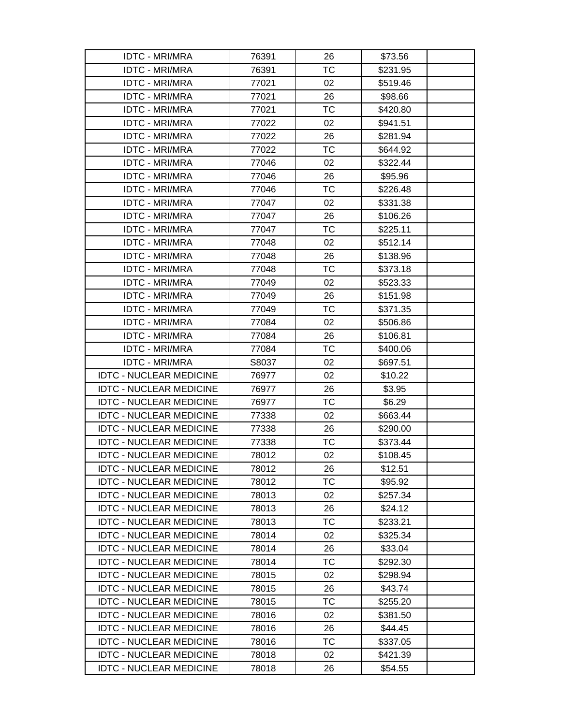| <b>IDTC - MRI/MRA</b>          | 76391 | 26        | \$73.56  |
|--------------------------------|-------|-----------|----------|
| <b>IDTC - MRI/MRA</b>          | 76391 | <b>TC</b> | \$231.95 |
| <b>IDTC - MRI/MRA</b>          | 77021 | 02        | \$519.46 |
| <b>IDTC - MRI/MRA</b>          | 77021 | 26        | \$98.66  |
| <b>IDTC - MRI/MRA</b>          | 77021 | ТC        | \$420.80 |
| <b>IDTC - MRI/MRA</b>          | 77022 | 02        | \$941.51 |
| <b>IDTC - MRI/MRA</b>          | 77022 | 26        | \$281.94 |
| <b>IDTC - MRI/MRA</b>          | 77022 | <b>TC</b> | \$644.92 |
| <b>IDTC - MRI/MRA</b>          | 77046 | 02        | \$322.44 |
| <b>IDTC - MRI/MRA</b>          | 77046 | 26        | \$95.96  |
| <b>IDTC - MRI/MRA</b>          | 77046 | <b>TC</b> | \$226.48 |
| <b>IDTC - MRI/MRA</b>          | 77047 | 02        | \$331.38 |
| <b>IDTC - MRI/MRA</b>          | 77047 | 26        | \$106.26 |
| <b>IDTC - MRI/MRA</b>          | 77047 | <b>TC</b> | \$225.11 |
| <b>IDTC - MRI/MRA</b>          | 77048 | 02        | \$512.14 |
| <b>IDTC - MRI/MRA</b>          | 77048 | 26        | \$138.96 |
| <b>IDTC - MRI/MRA</b>          | 77048 | <b>TC</b> | \$373.18 |
| <b>IDTC - MRI/MRA</b>          | 77049 | 02        | \$523.33 |
| <b>IDTC - MRI/MRA</b>          | 77049 | 26        | \$151.98 |
| <b>IDTC - MRI/MRA</b>          | 77049 | <b>TC</b> | \$371.35 |
| <b>IDTC - MRI/MRA</b>          | 77084 | 02        | \$506.86 |
| <b>IDTC - MRI/MRA</b>          | 77084 | 26        | \$106.81 |
| <b>IDTC - MRI/MRA</b>          | 77084 | <b>TC</b> | \$400.06 |
| <b>IDTC - MRI/MRA</b>          | S8037 | 02        | \$697.51 |
| <b>IDTC - NUCLEAR MEDICINE</b> | 76977 | 02        | \$10.22  |
| <b>IDTC - NUCLEAR MEDICINE</b> | 76977 | 26        | \$3.95   |
| <b>IDTC - NUCLEAR MEDICINE</b> | 76977 | <b>TC</b> | \$6.29   |
| <b>IDTC - NUCLEAR MEDICINE</b> | 77338 | 02        | \$663.44 |
| <b>IDTC - NUCLEAR MEDICINE</b> | 77338 | 26        | \$290.00 |
| <b>IDTC - NUCLEAR MEDICINE</b> | 77338 | <b>TC</b> | \$373.44 |
| <b>IDTC - NUCLEAR MEDICINE</b> | 78012 | 02        | \$108.45 |
| <b>IDTC - NUCLEAR MEDICINE</b> | 78012 | 26        | \$12.51  |
| <b>IDTC - NUCLEAR MEDICINE</b> | 78012 | <b>TC</b> | \$95.92  |
| <b>IDTC - NUCLEAR MEDICINE</b> | 78013 | 02        | \$257.34 |
| <b>IDTC - NUCLEAR MEDICINE</b> | 78013 | 26        | \$24.12  |
| <b>IDTC - NUCLEAR MEDICINE</b> | 78013 | TC        | \$233.21 |
| <b>IDTC - NUCLEAR MEDICINE</b> | 78014 | 02        | \$325.34 |
| <b>IDTC - NUCLEAR MEDICINE</b> | 78014 | 26        | \$33.04  |
| <b>IDTC - NUCLEAR MEDICINE</b> | 78014 | TC        | \$292.30 |
| <b>IDTC - NUCLEAR MEDICINE</b> | 78015 | 02        | \$298.94 |
| <b>IDTC - NUCLEAR MEDICINE</b> | 78015 | 26        | \$43.74  |
| <b>IDTC - NUCLEAR MEDICINE</b> | 78015 | <b>TC</b> | \$255.20 |
| <b>IDTC - NUCLEAR MEDICINE</b> | 78016 | 02        | \$381.50 |
| <b>IDTC - NUCLEAR MEDICINE</b> | 78016 | 26        | \$44.45  |
| <b>IDTC - NUCLEAR MEDICINE</b> | 78016 | <b>TC</b> | \$337.05 |
| <b>IDTC - NUCLEAR MEDICINE</b> | 78018 | 02        | \$421.39 |
| <b>IDTC - NUCLEAR MEDICINE</b> | 78018 | 26        | \$54.55  |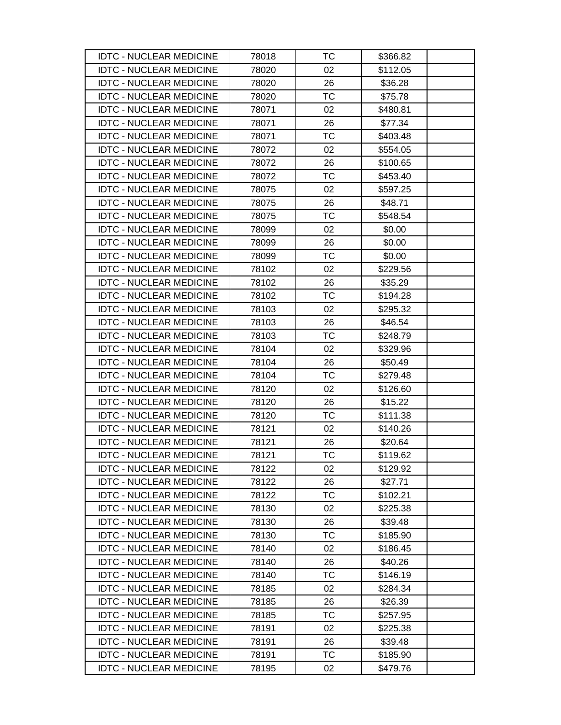| <b>IDTC - NUCLEAR MEDICINE</b> | 78018 | ТC        | \$366.82 |
|--------------------------------|-------|-----------|----------|
| <b>IDTC - NUCLEAR MEDICINE</b> | 78020 | 02        | \$112.05 |
| <b>IDTC - NUCLEAR MEDICINE</b> | 78020 | 26        | \$36.28  |
| <b>IDTC - NUCLEAR MEDICINE</b> | 78020 | <b>TC</b> | \$75.78  |
| <b>IDTC - NUCLEAR MEDICINE</b> | 78071 | 02        | \$480.81 |
| <b>IDTC - NUCLEAR MEDICINE</b> | 78071 | 26        | \$77.34  |
| <b>IDTC - NUCLEAR MEDICINE</b> | 78071 | <b>TC</b> | \$403.48 |
| <b>IDTC - NUCLEAR MEDICINE</b> | 78072 | 02        | \$554.05 |
| <b>IDTC - NUCLEAR MEDICINE</b> | 78072 | 26        | \$100.65 |
| <b>IDTC - NUCLEAR MEDICINE</b> | 78072 | ТC        | \$453.40 |
| <b>IDTC - NUCLEAR MEDICINE</b> | 78075 | 02        | \$597.25 |
| <b>IDTC - NUCLEAR MEDICINE</b> | 78075 | 26        | \$48.71  |
| <b>IDTC - NUCLEAR MEDICINE</b> | 78075 | ТC        | \$548.54 |
| <b>IDTC - NUCLEAR MEDICINE</b> | 78099 | 02        | \$0.00   |
| <b>IDTC - NUCLEAR MEDICINE</b> | 78099 | 26        | \$0.00   |
| <b>IDTC - NUCLEAR MEDICINE</b> | 78099 | TC        | \$0.00   |
| <b>IDTC - NUCLEAR MEDICINE</b> | 78102 | 02        | \$229.56 |
| <b>IDTC - NUCLEAR MEDICINE</b> | 78102 | 26        | \$35.29  |
| <b>IDTC - NUCLEAR MEDICINE</b> | 78102 | <b>TC</b> | \$194.28 |
| <b>IDTC - NUCLEAR MEDICINE</b> | 78103 | 02        | \$295.32 |
| <b>IDTC - NUCLEAR MEDICINE</b> | 78103 | 26        | \$46.54  |
| <b>IDTC - NUCLEAR MEDICINE</b> | 78103 | TC        | \$248.79 |
| <b>IDTC - NUCLEAR MEDICINE</b> | 78104 | 02        | \$329.96 |
| <b>IDTC - NUCLEAR MEDICINE</b> | 78104 | 26        | \$50.49  |
| <b>IDTC - NUCLEAR MEDICINE</b> | 78104 | TC        | \$279.48 |
| <b>IDTC - NUCLEAR MEDICINE</b> | 78120 | 02        | \$126.60 |
| <b>IDTC - NUCLEAR MEDICINE</b> | 78120 | 26        | \$15.22  |
| <b>IDTC - NUCLEAR MEDICINE</b> | 78120 | TC        | \$111.38 |
| <b>IDTC - NUCLEAR MEDICINE</b> | 78121 | 02        | \$140.26 |
| <b>IDTC - NUCLEAR MEDICINE</b> | 78121 | 26        | \$20.64  |
| <b>IDTC - NUCLEAR MEDICINE</b> | 78121 | <b>TC</b> | \$119.62 |
| <b>IDTC - NUCLEAR MEDICINE</b> | 78122 | 02        | \$129.92 |
| <b>IDTC - NUCLEAR MEDICINE</b> | 78122 | 26        | \$27.71  |
| <b>IDTC - NUCLEAR MEDICINE</b> | 78122 | TC        | \$102.21 |
| <b>IDTC - NUCLEAR MEDICINE</b> | 78130 | 02        | \$225.38 |
| <b>IDTC - NUCLEAR MEDICINE</b> | 78130 | 26        | \$39.48  |
| <b>IDTC - NUCLEAR MEDICINE</b> | 78130 | <b>TC</b> | \$185.90 |
| <b>IDTC - NUCLEAR MEDICINE</b> | 78140 | 02        | \$186.45 |
| <b>IDTC - NUCLEAR MEDICINE</b> | 78140 | 26        | \$40.26  |
| <b>IDTC - NUCLEAR MEDICINE</b> | 78140 | <b>TC</b> | \$146.19 |
| <b>IDTC - NUCLEAR MEDICINE</b> | 78185 | 02        | \$284.34 |
| <b>IDTC - NUCLEAR MEDICINE</b> | 78185 | 26        | \$26.39  |
| <b>IDTC - NUCLEAR MEDICINE</b> | 78185 | <b>TC</b> | \$257.95 |
| <b>IDTC - NUCLEAR MEDICINE</b> | 78191 | 02        | \$225.38 |
| <b>IDTC - NUCLEAR MEDICINE</b> | 78191 | 26        | \$39.48  |
| <b>IDTC - NUCLEAR MEDICINE</b> | 78191 | ТC        | \$185.90 |
| <b>IDTC - NUCLEAR MEDICINE</b> | 78195 | 02        | \$479.76 |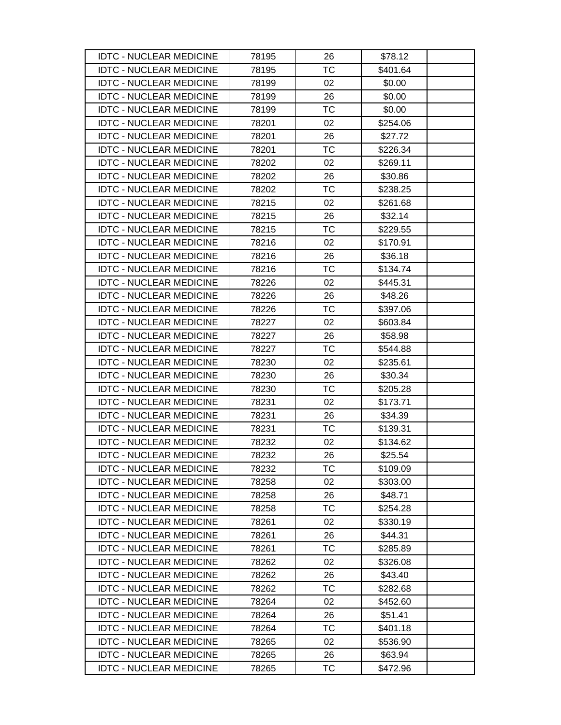| <b>IDTC - NUCLEAR MEDICINE</b> | 78195 | 26        | \$78.12  |
|--------------------------------|-------|-----------|----------|
| <b>IDTC - NUCLEAR MEDICINE</b> | 78195 | <b>TC</b> | \$401.64 |
| <b>IDTC - NUCLEAR MEDICINE</b> | 78199 | 02        | \$0.00   |
| <b>IDTC - NUCLEAR MEDICINE</b> | 78199 | 26        | \$0.00   |
| <b>IDTC - NUCLEAR MEDICINE</b> | 78199 | TC        | \$0.00   |
| <b>IDTC - NUCLEAR MEDICINE</b> | 78201 | 02        | \$254.06 |
| <b>IDTC - NUCLEAR MEDICINE</b> | 78201 | 26        | \$27.72  |
| <b>IDTC - NUCLEAR MEDICINE</b> | 78201 | TC        | \$226.34 |
| <b>IDTC - NUCLEAR MEDICINE</b> | 78202 | 02        | \$269.11 |
| <b>IDTC - NUCLEAR MEDICINE</b> | 78202 | 26        | \$30.86  |
| <b>IDTC - NUCLEAR MEDICINE</b> | 78202 | <b>TC</b> | \$238.25 |
| <b>IDTC - NUCLEAR MEDICINE</b> | 78215 | 02        | \$261.68 |
| <b>IDTC - NUCLEAR MEDICINE</b> | 78215 | 26        | \$32.14  |
| <b>IDTC - NUCLEAR MEDICINE</b> | 78215 | <b>TC</b> | \$229.55 |
| <b>IDTC - NUCLEAR MEDICINE</b> | 78216 | 02        | \$170.91 |
| <b>IDTC - NUCLEAR MEDICINE</b> | 78216 | 26        | \$36.18  |
| <b>IDTC - NUCLEAR MEDICINE</b> | 78216 | <b>TC</b> | \$134.74 |
| <b>IDTC - NUCLEAR MEDICINE</b> | 78226 | 02        | \$445.31 |
| <b>IDTC - NUCLEAR MEDICINE</b> | 78226 | 26        | \$48.26  |
| <b>IDTC - NUCLEAR MEDICINE</b> | 78226 | TC        | \$397.06 |
| <b>IDTC - NUCLEAR MEDICINE</b> | 78227 | 02        | \$603.84 |
| <b>IDTC - NUCLEAR MEDICINE</b> | 78227 | 26        | \$58.98  |
| <b>IDTC - NUCLEAR MEDICINE</b> | 78227 | <b>TC</b> | \$544.88 |
| <b>IDTC - NUCLEAR MEDICINE</b> | 78230 | 02        | \$235.61 |
| <b>IDTC - NUCLEAR MEDICINE</b> | 78230 | 26        | \$30.34  |
| <b>IDTC - NUCLEAR MEDICINE</b> | 78230 | <b>TC</b> | \$205.28 |
| <b>IDTC - NUCLEAR MEDICINE</b> | 78231 | 02        | \$173.71 |
| <b>IDTC - NUCLEAR MEDICINE</b> | 78231 | 26        | \$34.39  |
| <b>IDTC - NUCLEAR MEDICINE</b> | 78231 | <b>TC</b> | \$139.31 |
| <b>IDTC - NUCLEAR MEDICINE</b> | 78232 | 02        | \$134.62 |
| <b>IDTC - NUCLEAR MEDICINE</b> | 78232 | 26        | \$25.54  |
| <b>IDTC - NUCLEAR MEDICINE</b> | 78232 | TC        | \$109.09 |
| <b>IDTC - NUCLEAR MEDICINE</b> | 78258 | 02        | \$303.00 |
| <b>IDTC - NUCLEAR MEDICINE</b> | 78258 | 26        | \$48.71  |
| <b>IDTC - NUCLEAR MEDICINE</b> | 78258 | ТC        | \$254.28 |
| <b>IDTC - NUCLEAR MEDICINE</b> | 78261 | 02        | \$330.19 |
| <b>IDTC - NUCLEAR MEDICINE</b> | 78261 | 26        | \$44.31  |
| <b>IDTC - NUCLEAR MEDICINE</b> | 78261 | TC        | \$285.89 |
| <b>IDTC - NUCLEAR MEDICINE</b> | 78262 | 02        | \$326.08 |
| <b>IDTC - NUCLEAR MEDICINE</b> | 78262 | 26        | \$43.40  |
| <b>IDTC - NUCLEAR MEDICINE</b> | 78262 | TC        | \$282.68 |
| <b>IDTC - NUCLEAR MEDICINE</b> | 78264 | 02        | \$452.60 |
| <b>IDTC - NUCLEAR MEDICINE</b> | 78264 | 26        | \$51.41  |
| <b>IDTC - NUCLEAR MEDICINE</b> | 78264 | ТC        | \$401.18 |
| <b>IDTC - NUCLEAR MEDICINE</b> | 78265 | 02        | \$536.90 |
| <b>IDTC - NUCLEAR MEDICINE</b> | 78265 | 26        | \$63.94  |
| <b>IDTC - NUCLEAR MEDICINE</b> | 78265 | TC        | \$472.96 |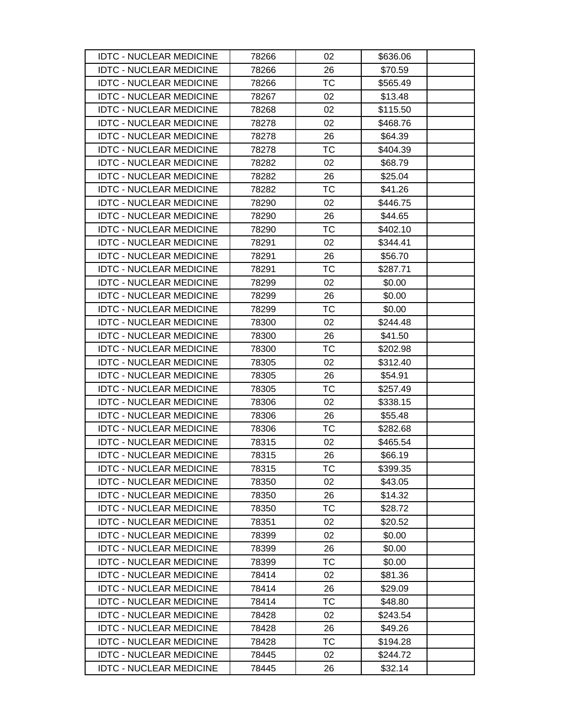| <b>IDTC - NUCLEAR MEDICINE</b> | 78266 | 02        | \$636.06 |
|--------------------------------|-------|-----------|----------|
| <b>IDTC - NUCLEAR MEDICINE</b> | 78266 | 26        | \$70.59  |
| <b>IDTC - NUCLEAR MEDICINE</b> | 78266 | <b>TC</b> | \$565.49 |
| <b>IDTC - NUCLEAR MEDICINE</b> | 78267 | 02        | \$13.48  |
| <b>IDTC - NUCLEAR MEDICINE</b> | 78268 | 02        | \$115.50 |
| <b>IDTC - NUCLEAR MEDICINE</b> | 78278 | 02        | \$468.76 |
| <b>IDTC - NUCLEAR MEDICINE</b> | 78278 | 26        | \$64.39  |
| <b>IDTC - NUCLEAR MEDICINE</b> | 78278 | TC        | \$404.39 |
| <b>IDTC - NUCLEAR MEDICINE</b> | 78282 | 02        | \$68.79  |
| <b>IDTC - NUCLEAR MEDICINE</b> | 78282 | 26        | \$25.04  |
| <b>IDTC - NUCLEAR MEDICINE</b> | 78282 | <b>TC</b> | \$41.26  |
| <b>IDTC - NUCLEAR MEDICINE</b> | 78290 | 02        | \$446.75 |
| <b>IDTC - NUCLEAR MEDICINE</b> | 78290 | 26        | \$44.65  |
| <b>IDTC - NUCLEAR MEDICINE</b> | 78290 | <b>TC</b> | \$402.10 |
| <b>IDTC - NUCLEAR MEDICINE</b> | 78291 | 02        | \$344.41 |
| <b>IDTC - NUCLEAR MEDICINE</b> | 78291 | 26        | \$56.70  |
| <b>IDTC - NUCLEAR MEDICINE</b> | 78291 | <b>TC</b> | \$287.71 |
| <b>IDTC - NUCLEAR MEDICINE</b> | 78299 | 02        | \$0.00   |
| <b>IDTC - NUCLEAR MEDICINE</b> | 78299 | 26        | \$0.00   |
| <b>IDTC - NUCLEAR MEDICINE</b> | 78299 | TC        | \$0.00   |
| <b>IDTC - NUCLEAR MEDICINE</b> | 78300 | 02        | \$244.48 |
| <b>IDTC - NUCLEAR MEDICINE</b> | 78300 | 26        | \$41.50  |
| <b>IDTC - NUCLEAR MEDICINE</b> | 78300 | <b>TC</b> | \$202.98 |
| <b>IDTC - NUCLEAR MEDICINE</b> | 78305 | 02        | \$312.40 |
| <b>IDTC - NUCLEAR MEDICINE</b> | 78305 | 26        | \$54.91  |
| <b>IDTC - NUCLEAR MEDICINE</b> | 78305 | <b>TC</b> | \$257.49 |
| <b>IDTC - NUCLEAR MEDICINE</b> | 78306 | 02        | \$338.15 |
| <b>IDTC - NUCLEAR MEDICINE</b> | 78306 | 26        | \$55.48  |
| <b>IDTC - NUCLEAR MEDICINE</b> | 78306 | <b>TC</b> | \$282.68 |
| <b>IDTC - NUCLEAR MEDICINE</b> | 78315 | 02        | \$465.54 |
| <b>IDTC - NUCLEAR MEDICINE</b> | 78315 | 26        | \$66.19  |
| <b>IDTC - NUCLEAR MEDICINE</b> | 78315 | TC        | \$399.35 |
| <b>IDTC - NUCLEAR MEDICINE</b> | 78350 | 02        | \$43.05  |
| <b>IDTC - NUCLEAR MEDICINE</b> | 78350 | 26        | \$14.32  |
| <b>IDTC - NUCLEAR MEDICINE</b> | 78350 | ТC        | \$28.72  |
| <b>IDTC - NUCLEAR MEDICINE</b> | 78351 | 02        | \$20.52  |
| <b>IDTC - NUCLEAR MEDICINE</b> | 78399 | 02        | \$0.00   |
| <b>IDTC - NUCLEAR MEDICINE</b> | 78399 | 26        | \$0.00   |
| <b>IDTC - NUCLEAR MEDICINE</b> | 78399 | TC        | \$0.00   |
| <b>IDTC - NUCLEAR MEDICINE</b> | 78414 | 02        | \$81.36  |
| <b>IDTC - NUCLEAR MEDICINE</b> | 78414 | 26        | \$29.09  |
| <b>IDTC - NUCLEAR MEDICINE</b> | 78414 | <b>TC</b> | \$48.80  |
| <b>IDTC - NUCLEAR MEDICINE</b> | 78428 | 02        | \$243.54 |
| <b>IDTC - NUCLEAR MEDICINE</b> | 78428 | 26        | \$49.26  |
| <b>IDTC - NUCLEAR MEDICINE</b> | 78428 | <b>TC</b> | \$194.28 |
| <b>IDTC - NUCLEAR MEDICINE</b> | 78445 | 02        | \$244.72 |
| <b>IDTC - NUCLEAR MEDICINE</b> | 78445 | 26        | \$32.14  |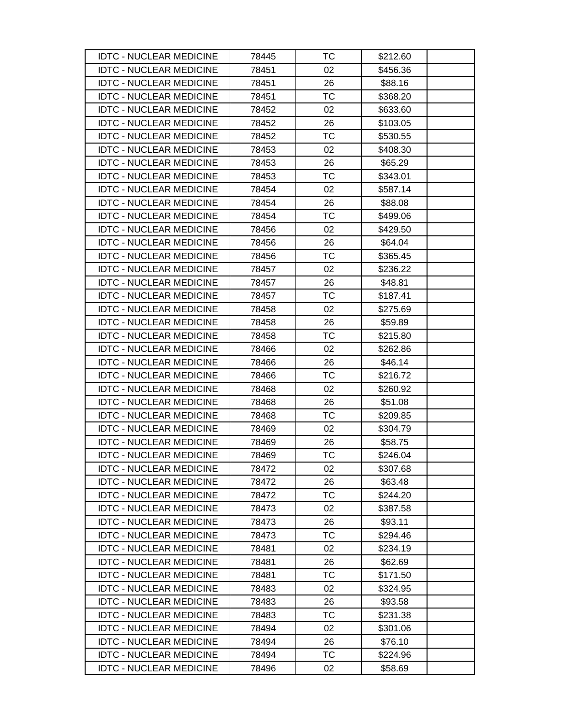| <b>IDTC - NUCLEAR MEDICINE</b> | 78445 | ТC        | \$212.60 |
|--------------------------------|-------|-----------|----------|
| <b>IDTC - NUCLEAR MEDICINE</b> | 78451 | 02        | \$456.36 |
| <b>IDTC - NUCLEAR MEDICINE</b> | 78451 | 26        | \$88.16  |
| <b>IDTC - NUCLEAR MEDICINE</b> | 78451 | <b>TC</b> | \$368.20 |
| <b>IDTC - NUCLEAR MEDICINE</b> | 78452 | 02        | \$633.60 |
| <b>IDTC - NUCLEAR MEDICINE</b> | 78452 | 26        | \$103.05 |
| <b>IDTC - NUCLEAR MEDICINE</b> | 78452 | <b>TC</b> | \$530.55 |
| <b>IDTC - NUCLEAR MEDICINE</b> | 78453 | 02        | \$408.30 |
| <b>IDTC - NUCLEAR MEDICINE</b> | 78453 | 26        | \$65.29  |
| <b>IDTC - NUCLEAR MEDICINE</b> | 78453 | ТC        | \$343.01 |
| <b>IDTC - NUCLEAR MEDICINE</b> | 78454 | 02        | \$587.14 |
| <b>IDTC - NUCLEAR MEDICINE</b> | 78454 | 26        | \$88.08  |
| <b>IDTC - NUCLEAR MEDICINE</b> | 78454 | <b>TC</b> | \$499.06 |
| <b>IDTC - NUCLEAR MEDICINE</b> | 78456 | 02        | \$429.50 |
| <b>IDTC - NUCLEAR MEDICINE</b> | 78456 | 26        | \$64.04  |
| <b>IDTC - NUCLEAR MEDICINE</b> | 78456 | ТC        | \$365.45 |
| <b>IDTC - NUCLEAR MEDICINE</b> | 78457 | 02        | \$236.22 |
| <b>IDTC - NUCLEAR MEDICINE</b> | 78457 | 26        | \$48.81  |
| <b>IDTC - NUCLEAR MEDICINE</b> | 78457 | TC        | \$187.41 |
| <b>IDTC - NUCLEAR MEDICINE</b> | 78458 | 02        | \$275.69 |
| <b>IDTC - NUCLEAR MEDICINE</b> | 78458 | 26        | \$59.89  |
| <b>IDTC - NUCLEAR MEDICINE</b> | 78458 | TC        | \$215.80 |
| <b>IDTC - NUCLEAR MEDICINE</b> | 78466 | 02        | \$262.86 |
| <b>IDTC - NUCLEAR MEDICINE</b> | 78466 | 26        | \$46.14  |
| <b>IDTC - NUCLEAR MEDICINE</b> | 78466 | ТC        | \$216.72 |
| <b>IDTC - NUCLEAR MEDICINE</b> | 78468 | 02        | \$260.92 |
| <b>IDTC - NUCLEAR MEDICINE</b> | 78468 | 26        | \$51.08  |
| <b>IDTC - NUCLEAR MEDICINE</b> | 78468 | ТC        | \$209.85 |
| <b>IDTC - NUCLEAR MEDICINE</b> | 78469 | 02        | \$304.79 |
| <b>IDTC - NUCLEAR MEDICINE</b> | 78469 | 26        | \$58.75  |
| <b>IDTC - NUCLEAR MEDICINE</b> | 78469 | ТC        | \$246.04 |
| <b>IDTC - NUCLEAR MEDICINE</b> | 78472 | 02        | \$307.68 |
| <b>IDTC - NUCLEAR MEDICINE</b> | 78472 | 26        | \$63.48  |
| <b>IDTC - NUCLEAR MEDICINE</b> | 78472 | ТC        | \$244.20 |
| <b>IDTC - NUCLEAR MEDICINE</b> | 78473 | 02        | \$387.58 |
| <b>IDTC - NUCLEAR MEDICINE</b> | 78473 | 26        | \$93.11  |
| <b>IDTC - NUCLEAR MEDICINE</b> | 78473 | ТC        | \$294.46 |
| <b>IDTC - NUCLEAR MEDICINE</b> | 78481 | 02        | \$234.19 |
| <b>IDTC - NUCLEAR MEDICINE</b> | 78481 | 26        | \$62.69  |
| <b>IDTC - NUCLEAR MEDICINE</b> | 78481 | <b>TC</b> | \$171.50 |
| <b>IDTC - NUCLEAR MEDICINE</b> | 78483 | 02        | \$324.95 |
| <b>IDTC - NUCLEAR MEDICINE</b> | 78483 | 26        | \$93.58  |
| <b>IDTC - NUCLEAR MEDICINE</b> | 78483 | TC        | \$231.38 |
| <b>IDTC - NUCLEAR MEDICINE</b> | 78494 | 02        | \$301.06 |
| <b>IDTC - NUCLEAR MEDICINE</b> | 78494 | 26        | \$76.10  |
| <b>IDTC - NUCLEAR MEDICINE</b> | 78494 | TC        | \$224.96 |
| <b>IDTC - NUCLEAR MEDICINE</b> | 78496 | 02        | \$58.69  |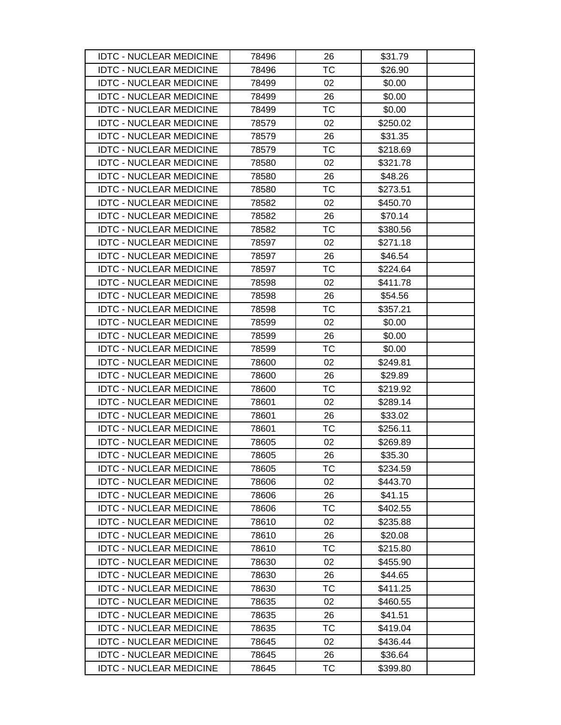| <b>IDTC - NUCLEAR MEDICINE</b> | 78496 | 26        | \$31.79  |
|--------------------------------|-------|-----------|----------|
| <b>IDTC - NUCLEAR MEDICINE</b> | 78496 | <b>TC</b> | \$26.90  |
| <b>IDTC - NUCLEAR MEDICINE</b> | 78499 | 02        | \$0.00   |
| <b>IDTC - NUCLEAR MEDICINE</b> | 78499 | 26        | \$0.00   |
| <b>IDTC - NUCLEAR MEDICINE</b> | 78499 | TC        | \$0.00   |
| <b>IDTC - NUCLEAR MEDICINE</b> | 78579 | 02        | \$250.02 |
| <b>IDTC - NUCLEAR MEDICINE</b> | 78579 | 26        | \$31.35  |
| <b>IDTC - NUCLEAR MEDICINE</b> | 78579 | TC        | \$218.69 |
| <b>IDTC - NUCLEAR MEDICINE</b> | 78580 | 02        | \$321.78 |
| <b>IDTC - NUCLEAR MEDICINE</b> | 78580 | 26        | \$48.26  |
| <b>IDTC - NUCLEAR MEDICINE</b> | 78580 | <b>TC</b> | \$273.51 |
| <b>IDTC - NUCLEAR MEDICINE</b> | 78582 | 02        | \$450.70 |
| <b>IDTC - NUCLEAR MEDICINE</b> | 78582 | 26        | \$70.14  |
| <b>IDTC - NUCLEAR MEDICINE</b> | 78582 | <b>TC</b> | \$380.56 |
| <b>IDTC - NUCLEAR MEDICINE</b> | 78597 | 02        | \$271.18 |
| <b>IDTC - NUCLEAR MEDICINE</b> | 78597 | 26        | \$46.54  |
| <b>IDTC - NUCLEAR MEDICINE</b> | 78597 | <b>TC</b> | \$224.64 |
| <b>IDTC - NUCLEAR MEDICINE</b> | 78598 | 02        | \$411.78 |
| <b>IDTC - NUCLEAR MEDICINE</b> | 78598 | 26        | \$54.56  |
| <b>IDTC - NUCLEAR MEDICINE</b> | 78598 | TC        | \$357.21 |
| <b>IDTC - NUCLEAR MEDICINE</b> | 78599 | 02        | \$0.00   |
| <b>IDTC - NUCLEAR MEDICINE</b> | 78599 | 26        | \$0.00   |
| <b>IDTC - NUCLEAR MEDICINE</b> | 78599 | <b>TC</b> | \$0.00   |
| <b>IDTC - NUCLEAR MEDICINE</b> | 78600 | 02        | \$249.81 |
| <b>IDTC - NUCLEAR MEDICINE</b> | 78600 | 26        | \$29.89  |
| <b>IDTC - NUCLEAR MEDICINE</b> | 78600 | <b>TC</b> | \$219.92 |
| <b>IDTC - NUCLEAR MEDICINE</b> | 78601 | 02        | \$289.14 |
| <b>IDTC - NUCLEAR MEDICINE</b> | 78601 | 26        | \$33.02  |
| <b>IDTC - NUCLEAR MEDICINE</b> | 78601 | <b>TC</b> | \$256.11 |
| <b>IDTC - NUCLEAR MEDICINE</b> | 78605 | 02        | \$269.89 |
| <b>IDTC - NUCLEAR MEDICINE</b> | 78605 | 26        | \$35.30  |
| <b>IDTC - NUCLEAR MEDICINE</b> | 78605 | TC        | \$234.59 |
| <b>IDTC - NUCLEAR MEDICINE</b> | 78606 | 02        | \$443.70 |
| <b>IDTC - NUCLEAR MEDICINE</b> | 78606 | 26        | \$41.15  |
| <b>IDTC - NUCLEAR MEDICINE</b> | 78606 | ТC        | \$402.55 |
| <b>IDTC - NUCLEAR MEDICINE</b> | 78610 | 02        | \$235.88 |
| <b>IDTC - NUCLEAR MEDICINE</b> | 78610 | 26        | \$20.08  |
| <b>IDTC - NUCLEAR MEDICINE</b> | 78610 | TC        | \$215.80 |
| <b>IDTC - NUCLEAR MEDICINE</b> | 78630 | 02        | \$455.90 |
| <b>IDTC - NUCLEAR MEDICINE</b> | 78630 | 26        | \$44.65  |
| <b>IDTC - NUCLEAR MEDICINE</b> | 78630 | TC        | \$411.25 |
| <b>IDTC - NUCLEAR MEDICINE</b> | 78635 | 02        | \$460.55 |
| <b>IDTC - NUCLEAR MEDICINE</b> | 78635 | 26        | \$41.51  |
| <b>IDTC - NUCLEAR MEDICINE</b> | 78635 | ТC        | \$419.04 |
| <b>IDTC - NUCLEAR MEDICINE</b> | 78645 | 02        | \$436.44 |
| <b>IDTC - NUCLEAR MEDICINE</b> | 78645 | 26        | \$36.64  |
| <b>IDTC - NUCLEAR MEDICINE</b> | 78645 | TC        | \$399.80 |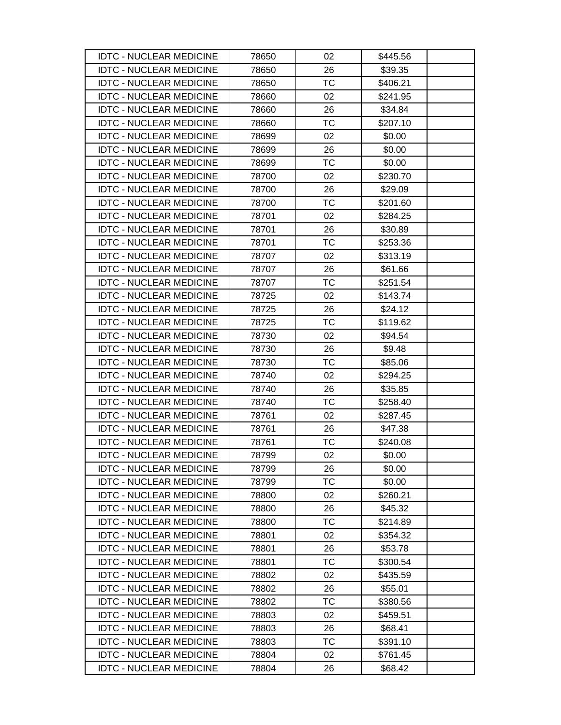| <b>IDTC - NUCLEAR MEDICINE</b> | 78650 | 02        | \$445.56 |
|--------------------------------|-------|-----------|----------|
| <b>IDTC - NUCLEAR MEDICINE</b> | 78650 | 26        | \$39.35  |
| <b>IDTC - NUCLEAR MEDICINE</b> | 78650 | <b>TC</b> | \$406.21 |
| <b>IDTC - NUCLEAR MEDICINE</b> | 78660 | 02        | \$241.95 |
| <b>IDTC - NUCLEAR MEDICINE</b> | 78660 | 26        | \$34.84  |
| <b>IDTC - NUCLEAR MEDICINE</b> | 78660 | ТC        | \$207.10 |
| <b>IDTC - NUCLEAR MEDICINE</b> | 78699 | 02        | \$0.00   |
| <b>IDTC - NUCLEAR MEDICINE</b> | 78699 | 26        | \$0.00   |
| <b>IDTC - NUCLEAR MEDICINE</b> | 78699 | <b>TC</b> | \$0.00   |
| <b>IDTC - NUCLEAR MEDICINE</b> | 78700 | 02        | \$230.70 |
| <b>IDTC - NUCLEAR MEDICINE</b> | 78700 | 26        | \$29.09  |
| <b>IDTC - NUCLEAR MEDICINE</b> | 78700 | TC        | \$201.60 |
| <b>IDTC - NUCLEAR MEDICINE</b> | 78701 | 02        | \$284.25 |
| <b>IDTC - NUCLEAR MEDICINE</b> | 78701 | 26        | \$30.89  |
| <b>IDTC - NUCLEAR MEDICINE</b> | 78701 | TC        | \$253.36 |
| <b>IDTC - NUCLEAR MEDICINE</b> | 78707 | 02        | \$313.19 |
| <b>IDTC - NUCLEAR MEDICINE</b> | 78707 | 26        | \$61.66  |
| <b>IDTC - NUCLEAR MEDICINE</b> | 78707 | <b>TC</b> | \$251.54 |
| <b>IDTC - NUCLEAR MEDICINE</b> | 78725 | 02        | \$143.74 |
| <b>IDTC - NUCLEAR MEDICINE</b> | 78725 | 26        | \$24.12  |
| <b>IDTC - NUCLEAR MEDICINE</b> | 78725 | <b>TC</b> | \$119.62 |
| <b>IDTC - NUCLEAR MEDICINE</b> | 78730 | 02        | \$94.54  |
| <b>IDTC - NUCLEAR MEDICINE</b> | 78730 | 26        | \$9.48   |
| <b>IDTC - NUCLEAR MEDICINE</b> | 78730 | <b>TC</b> | \$85.06  |
| <b>IDTC - NUCLEAR MEDICINE</b> | 78740 | 02        | \$294.25 |
| <b>IDTC - NUCLEAR MEDICINE</b> | 78740 | 26        | \$35.85  |
| <b>IDTC - NUCLEAR MEDICINE</b> | 78740 | TC        | \$258.40 |
| <b>IDTC - NUCLEAR MEDICINE</b> | 78761 | 02        | \$287.45 |
| <b>IDTC - NUCLEAR MEDICINE</b> | 78761 | 26        | \$47.38  |
| <b>IDTC - NUCLEAR MEDICINE</b> | 78761 | TC        | \$240.08 |
| <b>IDTC - NUCLEAR MEDICINE</b> | 78799 | 02        | \$0.00   |
| <b>IDTC - NUCLEAR MEDICINE</b> | 78799 | 26        | \$0.00   |
| <b>IDTC - NUCLEAR MEDICINE</b> | 78799 | <b>TC</b> | \$0.00   |
| <b>IDTC - NUCLEAR MEDICINE</b> | 78800 | 02        | \$260.21 |
| <b>IDTC - NUCLEAR MEDICINE</b> | 78800 | 26        | \$45.32  |
| <b>IDTC - NUCLEAR MEDICINE</b> | 78800 | <b>TC</b> | \$214.89 |
| <b>IDTC - NUCLEAR MEDICINE</b> | 78801 | 02        | \$354.32 |
| <b>IDTC - NUCLEAR MEDICINE</b> | 78801 | 26        | \$53.78  |
| <b>IDTC - NUCLEAR MEDICINE</b> | 78801 | TC        | \$300.54 |
| <b>IDTC - NUCLEAR MEDICINE</b> | 78802 | 02        | \$435.59 |
| <b>IDTC - NUCLEAR MEDICINE</b> | 78802 | 26        | \$55.01  |
| <b>IDTC - NUCLEAR MEDICINE</b> | 78802 | <b>TC</b> | \$380.56 |
| <b>IDTC - NUCLEAR MEDICINE</b> | 78803 | 02        | \$459.51 |
| <b>IDTC - NUCLEAR MEDICINE</b> | 78803 | 26        | \$68.41  |
| <b>IDTC - NUCLEAR MEDICINE</b> | 78803 | <b>TC</b> | \$391.10 |
| <b>IDTC - NUCLEAR MEDICINE</b> | 78804 | 02        | \$761.45 |
| <b>IDTC - NUCLEAR MEDICINE</b> | 78804 | 26        | \$68.42  |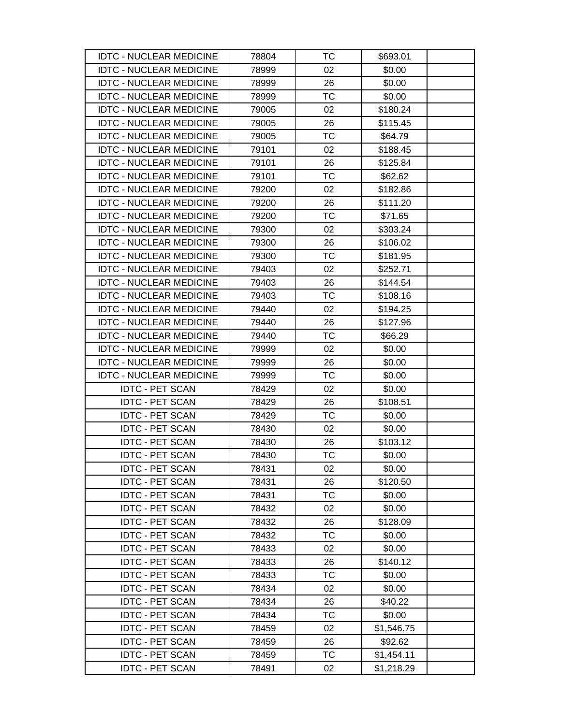| <b>IDTC - NUCLEAR MEDICINE</b> | 78804 | ТC        | \$693.01   |
|--------------------------------|-------|-----------|------------|
| <b>IDTC - NUCLEAR MEDICINE</b> | 78999 | 02        | \$0.00     |
| <b>IDTC - NUCLEAR MEDICINE</b> | 78999 | 26        | \$0.00     |
| <b>IDTC - NUCLEAR MEDICINE</b> | 78999 | <b>TC</b> | \$0.00     |
| <b>IDTC - NUCLEAR MEDICINE</b> | 79005 | 02        | \$180.24   |
| <b>IDTC - NUCLEAR MEDICINE</b> | 79005 | 26        | \$115.45   |
| <b>IDTC - NUCLEAR MEDICINE</b> | 79005 | <b>TC</b> | \$64.79    |
| <b>IDTC - NUCLEAR MEDICINE</b> | 79101 | 02        | \$188.45   |
| <b>IDTC - NUCLEAR MEDICINE</b> | 79101 | 26        | \$125.84   |
| <b>IDTC - NUCLEAR MEDICINE</b> | 79101 | <b>TC</b> | \$62.62    |
| <b>IDTC - NUCLEAR MEDICINE</b> | 79200 | 02        | \$182.86   |
| <b>IDTC - NUCLEAR MEDICINE</b> | 79200 | 26        | \$111.20   |
| <b>IDTC - NUCLEAR MEDICINE</b> | 79200 | <b>TC</b> | \$71.65    |
| <b>IDTC - NUCLEAR MEDICINE</b> | 79300 | 02        | \$303.24   |
| <b>IDTC - NUCLEAR MEDICINE</b> | 79300 | 26        | \$106.02   |
| <b>IDTC - NUCLEAR MEDICINE</b> | 79300 | ТC        | \$181.95   |
| <b>IDTC - NUCLEAR MEDICINE</b> | 79403 | 02        | \$252.71   |
| <b>IDTC - NUCLEAR MEDICINE</b> | 79403 | 26        | \$144.54   |
| <b>IDTC - NUCLEAR MEDICINE</b> | 79403 | TC        | \$108.16   |
| <b>IDTC - NUCLEAR MEDICINE</b> | 79440 | 02        | \$194.25   |
| <b>IDTC - NUCLEAR MEDICINE</b> | 79440 | 26        | \$127.96   |
| <b>IDTC - NUCLEAR MEDICINE</b> | 79440 | TC        | \$66.29    |
| <b>IDTC - NUCLEAR MEDICINE</b> | 79999 | 02        | \$0.00     |
| <b>IDTC - NUCLEAR MEDICINE</b> | 79999 | 26        | \$0.00     |
| <b>IDTC - NUCLEAR MEDICINE</b> | 79999 | <b>TC</b> | \$0.00     |
| <b>IDTC - PET SCAN</b>         | 78429 | 02        | \$0.00     |
| <b>IDTC - PET SCAN</b>         | 78429 | 26        | \$108.51   |
| <b>IDTC - PET SCAN</b>         | 78429 | TC        | \$0.00     |
| <b>IDTC - PET SCAN</b>         | 78430 | 02        | \$0.00     |
| <b>IDTC - PET SCAN</b>         | 78430 | 26        | \$103.12   |
| <b>IDTC - PET SCAN</b>         | 78430 | <b>TC</b> | \$0.00     |
| <b>IDTC - PET SCAN</b>         | 78431 | 02        | \$0.00     |
| <b>IDTC - PET SCAN</b>         | 78431 | 26        | \$120.50   |
| <b>IDTC - PET SCAN</b>         | 78431 | TC        | \$0.00     |
| <b>IDTC - PET SCAN</b>         | 78432 | 02        | \$0.00     |
| <b>IDTC - PET SCAN</b>         | 78432 | 26        | \$128.09   |
| <b>IDTC - PET SCAN</b>         | 78432 | ТC        | \$0.00     |
| <b>IDTC - PET SCAN</b>         | 78433 | 02        | \$0.00     |
| <b>IDTC - PET SCAN</b>         | 78433 | 26        | \$140.12   |
| <b>IDTC - PET SCAN</b>         | 78433 | <b>TC</b> | \$0.00     |
| <b>IDTC - PET SCAN</b>         | 78434 | 02        | \$0.00     |
| <b>IDTC - PET SCAN</b>         | 78434 | 26        | \$40.22    |
| <b>IDTC - PET SCAN</b>         | 78434 | TC        | \$0.00     |
| <b>IDTC - PET SCAN</b>         | 78459 | 02        | \$1,546.75 |
| <b>IDTC - PET SCAN</b>         | 78459 | 26        | \$92.62    |
| <b>IDTC - PET SCAN</b>         | 78459 | TC        | \$1,454.11 |
| <b>IDTC - PET SCAN</b>         | 78491 | 02        | \$1,218.29 |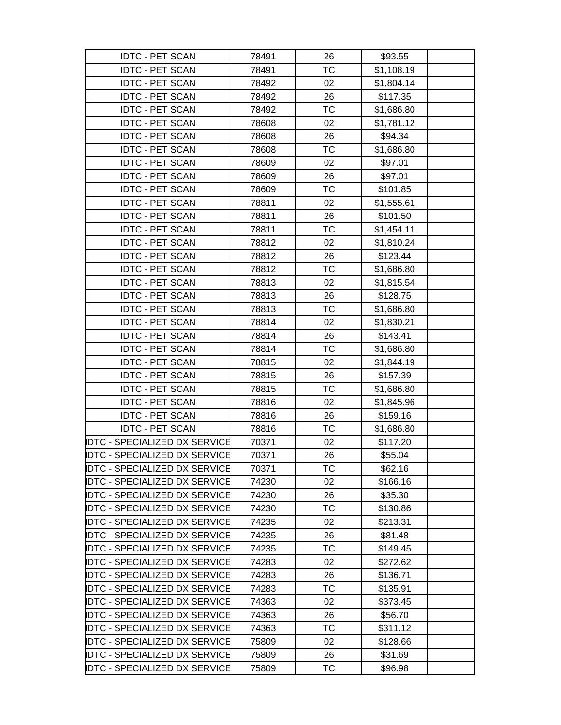| <b>IDTC - PET SCAN</b>               | 78491 | 26        | \$93.55    |  |
|--------------------------------------|-------|-----------|------------|--|
| <b>IDTC - PET SCAN</b>               | 78491 | <b>TC</b> | \$1,108.19 |  |
| <b>IDTC - PET SCAN</b>               | 78492 | 02        | \$1,804.14 |  |
| <b>IDTC - PET SCAN</b>               | 78492 | 26        | \$117.35   |  |
| <b>IDTC - PET SCAN</b>               | 78492 | <b>TC</b> | \$1,686.80 |  |
| <b>IDTC - PET SCAN</b>               | 78608 | 02        | \$1,781.12 |  |
| <b>IDTC - PET SCAN</b>               | 78608 | 26        | \$94.34    |  |
| <b>IDTC - PET SCAN</b>               | 78608 | <b>TC</b> | \$1,686.80 |  |
| <b>IDTC - PET SCAN</b>               | 78609 | 02        | \$97.01    |  |
| <b>IDTC - PET SCAN</b>               | 78609 | 26        | \$97.01    |  |
| <b>IDTC - PET SCAN</b>               | 78609 | <b>TC</b> | \$101.85   |  |
| <b>IDTC - PET SCAN</b>               | 78811 | 02        | \$1,555.61 |  |
| <b>IDTC - PET SCAN</b>               | 78811 | 26        | \$101.50   |  |
| <b>IDTC - PET SCAN</b>               | 78811 | <b>TC</b> | \$1,454.11 |  |
| <b>IDTC - PET SCAN</b>               | 78812 | 02        | \$1,810.24 |  |
| <b>IDTC - PET SCAN</b>               | 78812 | 26        | \$123.44   |  |
| <b>IDTC - PET SCAN</b>               | 78812 | ТC        | \$1,686.80 |  |
| <b>IDTC - PET SCAN</b>               | 78813 | 02        | \$1,815.54 |  |
| <b>IDTC - PET SCAN</b>               | 78813 | 26        | \$128.75   |  |
| <b>IDTC - PET SCAN</b>               | 78813 | ТC        | \$1,686.80 |  |
| <b>IDTC - PET SCAN</b>               | 78814 | 02        | \$1,830.21 |  |
| <b>IDTC - PET SCAN</b>               | 78814 | 26        | \$143.41   |  |
| <b>IDTC - PET SCAN</b>               | 78814 | <b>TC</b> | \$1,686.80 |  |
| <b>IDTC - PET SCAN</b>               | 78815 | 02        | \$1,844.19 |  |
| <b>IDTC - PET SCAN</b>               | 78815 | 26        | \$157.39   |  |
| <b>IDTC - PET SCAN</b>               | 78815 | ТC        | \$1,686.80 |  |
| <b>IDTC - PET SCAN</b>               | 78816 | 02        | \$1,845.96 |  |
| <b>IDTC - PET SCAN</b>               | 78816 | 26        | \$159.16   |  |
| <b>IDTC - PET SCAN</b>               | 78816 | ТC        | \$1,686.80 |  |
| <b>DTC - SPECIALIZED DX SERVICE</b>  | 70371 | 02        | \$117.20   |  |
| <b>DTC - SPECIALIZED DX SERVICE</b>  | 70371 | 26        | \$55.04    |  |
| <b>IDTC - SPECIALIZED DX SERVICE</b> | 70371 | ТC        | \$62.16    |  |
| <b>DTC - SPECIALIZED DX SERVICE</b>  | 74230 | 02        | \$166.16   |  |
| <b>IDTC - SPECIALIZED DX SERVICE</b> | 74230 | 26        | \$35.30    |  |
| <b>IDTC - SPECIALIZED DX SERVICE</b> | 74230 | ТC        | \$130.86   |  |
| <b>IDTC - SPECIALIZED DX SERVICE</b> | 74235 | 02        | \$213.31   |  |
| <b>IDTC - SPECIALIZED DX SERVICE</b> | 74235 | 26        | \$81.48    |  |
| <b>IDTC - SPECIALIZED DX SERVICE</b> | 74235 | ТC        | \$149.45   |  |
| <b>IDTC - SPECIALIZED DX SERVICE</b> | 74283 | 02        | \$272.62   |  |
| <b>DTC - SPECIALIZED DX SERVICE</b>  | 74283 | 26        | \$136.71   |  |
| <b>IDTC - SPECIALIZED DX SERVICE</b> | 74283 | ТC        | \$135.91   |  |
| <b>IDTC - SPECIALIZED DX SERVICE</b> | 74363 | 02        | \$373.45   |  |
| <b>DTC - SPECIALIZED DX SERVICE</b>  | 74363 | 26        | \$56.70    |  |
| <b>IDTC - SPECIALIZED DX SERVICE</b> | 74363 | <b>TC</b> | \$311.12   |  |
| <b>DTC - SPECIALIZED DX SERVICE</b>  | 75809 | 02        | \$128.66   |  |
| <b>IDTC - SPECIALIZED DX SERVICE</b> | 75809 | 26        | \$31.69    |  |
| <b>IDTC - SPECIALIZED DX SERVICE</b> | 75809 | ТC        | \$96.98    |  |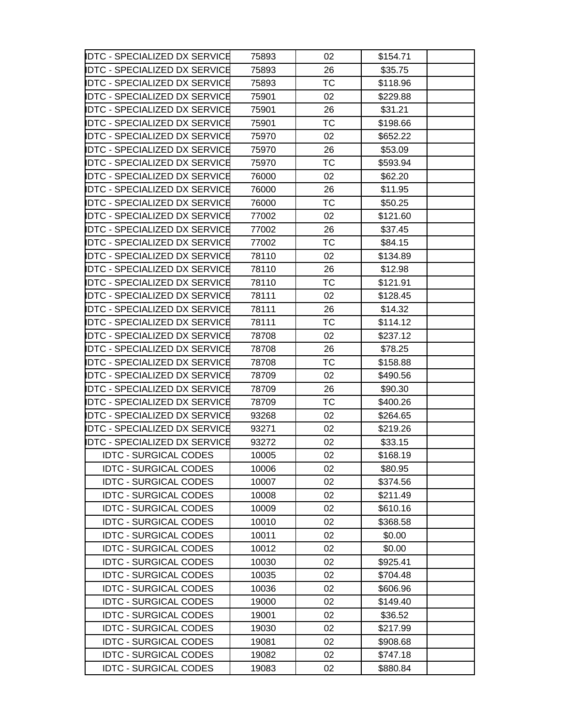| <b>IDTC - SPECIALIZED DX SERVICE</b> | 75893 | 02        | \$154.71 |  |
|--------------------------------------|-------|-----------|----------|--|
| <b>IDTC - SPECIALIZED DX SERVICE</b> | 75893 | 26        | \$35.75  |  |
| DTC - SPECIALIZED DX SERVICE         | 75893 | <b>TC</b> | \$118.96 |  |
| <b>IDTC - SPECIALIZED DX SERVICE</b> | 75901 | 02        | \$229.88 |  |
| IDTC - SPECIALIZED DX SERVICE        | 75901 | 26        | \$31.21  |  |
| <b>IDTC - SPECIALIZED DX SERVICE</b> | 75901 | ТC        | \$198.66 |  |
| <b>IDTC - SPECIALIZED DX SERVICE</b> | 75970 | 02        | \$652.22 |  |
| DTC - SPECIALIZED DX SERVICE         | 75970 | 26        | \$53.09  |  |
| <b>IDTC - SPECIALIZED DX SERVICE</b> | 75970 | <b>TC</b> | \$593.94 |  |
| <b>IDTC - SPECIALIZED DX SERVICE</b> | 76000 | 02        | \$62.20  |  |
| <b>IDTC - SPECIALIZED DX SERVICE</b> | 76000 | 26        | \$11.95  |  |
| <b>IDTC - SPECIALIZED DX SERVICE</b> | 76000 | ТC        | \$50.25  |  |
| <b>DTC - SPECIALIZED DX SERVICE</b>  | 77002 | 02        | \$121.60 |  |
| <b>IDTC - SPECIALIZED DX SERVICE</b> | 77002 | 26        | \$37.45  |  |
| <b>IDTC - SPECIALIZED DX SERVICE</b> | 77002 | TC        | \$84.15  |  |
| <b>IDTC - SPECIALIZED DX SERVICE</b> | 78110 | 02        | \$134.89 |  |
| <b>IDTC - SPECIALIZED DX SERVICE</b> | 78110 | 26        | \$12.98  |  |
| IDTC - SPECIALIZED DX SERVICE        | 78110 | <b>TC</b> | \$121.91 |  |
| IDTC - SPECIALIZED DX SERVICE        | 78111 | 02        | \$128.45 |  |
| <b>DTC - SPECIALIZED DX SERVICE</b>  | 78111 | 26        | \$14.32  |  |
| <b>IDTC - SPECIALIZED DX SERVICE</b> | 78111 | TC        | \$114.12 |  |
| DTC - SPECIALIZED DX SERVICE         | 78708 | 02        | \$237.12 |  |
| <b>IDTC - SPECIALIZED DX SERVICE</b> | 78708 | 26        | \$78.25  |  |
| IDTC - SPECIALIZED DX SERVICE        | 78708 | ТC        | \$158.88 |  |
| <b>IDTC - SPECIALIZED DX SERVICE</b> | 78709 | 02        | \$490.56 |  |
| <b>IDTC - SPECIALIZED DX SERVICE</b> | 78709 | 26        | \$90.30  |  |
| <b>IDTC - SPECIALIZED DX SERVICE</b> | 78709 | <b>TC</b> | \$400.26 |  |
| IDTC - SPECIALIZED DX SERVICE        | 93268 | 02        | \$264.65 |  |
| IDTC - SPECIALIZED DX SERVICE        | 93271 | 02        | \$219.26 |  |
| <b>IDTC - SPECIALIZED DX SERVICE</b> | 93272 | 02        | \$33.15  |  |
| <b>IDTC - SURGICAL CODES</b>         | 10005 | 02        | \$168.19 |  |
| <b>IDTC - SURGICAL CODES</b>         | 10006 | 02        | \$80.95  |  |
| <b>IDTC - SURGICAL CODES</b>         | 10007 | 02        | \$374.56 |  |
| <b>IDTC - SURGICAL CODES</b>         | 10008 | 02        | \$211.49 |  |
| <b>IDTC - SURGICAL CODES</b>         | 10009 | 02        | \$610.16 |  |
| <b>IDTC - SURGICAL CODES</b>         | 10010 | 02        | \$368.58 |  |
| <b>IDTC - SURGICAL CODES</b>         | 10011 | 02        | \$0.00   |  |
| <b>IDTC - SURGICAL CODES</b>         | 10012 | 02        | \$0.00   |  |
| <b>IDTC - SURGICAL CODES</b>         | 10030 | 02        | \$925.41 |  |
| <b>IDTC - SURGICAL CODES</b>         | 10035 | 02        | \$704.48 |  |
| <b>IDTC - SURGICAL CODES</b>         | 10036 | 02        | \$606.96 |  |
| <b>IDTC - SURGICAL CODES</b>         | 19000 | 02        | \$149.40 |  |
| <b>IDTC - SURGICAL CODES</b>         | 19001 | 02        | \$36.52  |  |
| <b>IDTC - SURGICAL CODES</b>         | 19030 | 02        | \$217.99 |  |
| <b>IDTC - SURGICAL CODES</b>         | 19081 | 02        | \$908.68 |  |
| <b>IDTC - SURGICAL CODES</b>         | 19082 | 02        | \$747.18 |  |
| <b>IDTC - SURGICAL CODES</b>         | 19083 | 02        | \$880.84 |  |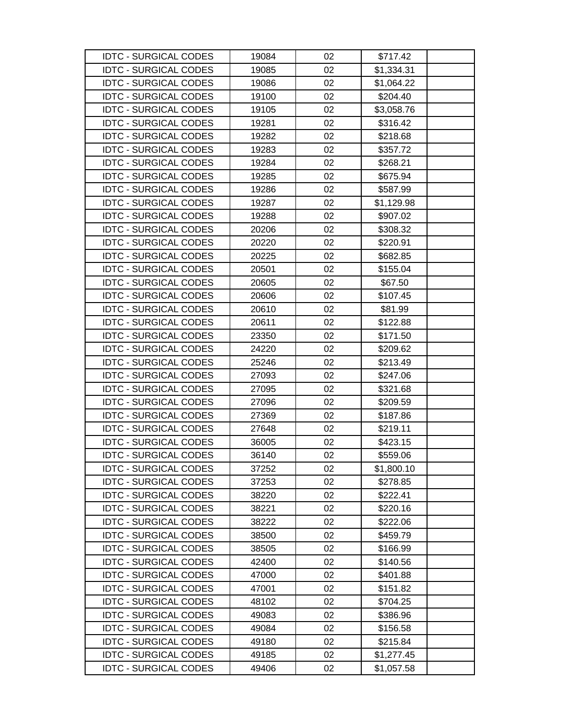| <b>IDTC - SURGICAL CODES</b> | 19084 | 02 | \$717.42   |
|------------------------------|-------|----|------------|
| <b>IDTC - SURGICAL CODES</b> | 19085 | 02 | \$1,334.31 |
| <b>IDTC - SURGICAL CODES</b> | 19086 | 02 | \$1,064.22 |
| <b>IDTC - SURGICAL CODES</b> | 19100 | 02 | \$204.40   |
| <b>IDTC - SURGICAL CODES</b> | 19105 | 02 | \$3,058.76 |
| <b>IDTC - SURGICAL CODES</b> | 19281 | 02 | \$316.42   |
| <b>IDTC - SURGICAL CODES</b> | 19282 | 02 | \$218.68   |
| <b>IDTC - SURGICAL CODES</b> | 19283 | 02 | \$357.72   |
| <b>IDTC - SURGICAL CODES</b> | 19284 | 02 | \$268.21   |
| <b>IDTC - SURGICAL CODES</b> | 19285 | 02 | \$675.94   |
| <b>IDTC - SURGICAL CODES</b> | 19286 | 02 | \$587.99   |
| <b>IDTC - SURGICAL CODES</b> | 19287 | 02 | \$1,129.98 |
| <b>IDTC - SURGICAL CODES</b> | 19288 | 02 | \$907.02   |
| <b>IDTC - SURGICAL CODES</b> | 20206 | 02 | \$308.32   |
| <b>IDTC - SURGICAL CODES</b> | 20220 | 02 | \$220.91   |
| <b>IDTC - SURGICAL CODES</b> | 20225 | 02 | \$682.85   |
| <b>IDTC - SURGICAL CODES</b> | 20501 | 02 | \$155.04   |
| <b>IDTC - SURGICAL CODES</b> | 20605 | 02 | \$67.50    |
| <b>IDTC - SURGICAL CODES</b> | 20606 | 02 | \$107.45   |
| <b>IDTC - SURGICAL CODES</b> | 20610 | 02 | \$81.99    |
| <b>IDTC - SURGICAL CODES</b> | 20611 | 02 | \$122.88   |
| <b>IDTC - SURGICAL CODES</b> | 23350 | 02 | \$171.50   |
| <b>IDTC - SURGICAL CODES</b> | 24220 | 02 | \$209.62   |
| <b>IDTC - SURGICAL CODES</b> | 25246 | 02 | \$213.49   |
| <b>IDTC - SURGICAL CODES</b> | 27093 | 02 | \$247.06   |
| <b>IDTC - SURGICAL CODES</b> | 27095 | 02 | \$321.68   |
| <b>IDTC - SURGICAL CODES</b> | 27096 | 02 | \$209.59   |
| <b>IDTC - SURGICAL CODES</b> | 27369 | 02 | \$187.86   |
| <b>IDTC - SURGICAL CODES</b> | 27648 | 02 | \$219.11   |
| <b>IDTC - SURGICAL CODES</b> | 36005 | 02 | \$423.15   |
| <b>IDTC - SURGICAL CODES</b> | 36140 | 02 | \$559.06   |
| <b>IDTC - SURGICAL CODES</b> | 37252 | 02 | \$1,800.10 |
| <b>IDTC - SURGICAL CODES</b> | 37253 | 02 | \$278.85   |
| <b>IDTC - SURGICAL CODES</b> | 38220 | 02 | \$222.41   |
| <b>IDTC - SURGICAL CODES</b> | 38221 | 02 | \$220.16   |
| <b>IDTC - SURGICAL CODES</b> | 38222 | 02 | \$222.06   |
| <b>IDTC - SURGICAL CODES</b> | 38500 | 02 | \$459.79   |
| <b>IDTC - SURGICAL CODES</b> | 38505 | 02 | \$166.99   |
| <b>IDTC - SURGICAL CODES</b> | 42400 | 02 | \$140.56   |
| <b>IDTC - SURGICAL CODES</b> | 47000 | 02 | \$401.88   |
| <b>IDTC - SURGICAL CODES</b> | 47001 | 02 | \$151.82   |
| <b>IDTC - SURGICAL CODES</b> | 48102 | 02 | \$704.25   |
| <b>IDTC - SURGICAL CODES</b> | 49083 | 02 | \$386.96   |
| <b>IDTC - SURGICAL CODES</b> | 49084 | 02 | \$156.58   |
| <b>IDTC - SURGICAL CODES</b> | 49180 | 02 | \$215.84   |
| <b>IDTC - SURGICAL CODES</b> | 49185 | 02 | \$1,277.45 |
| <b>IDTC - SURGICAL CODES</b> | 49406 | 02 | \$1,057.58 |